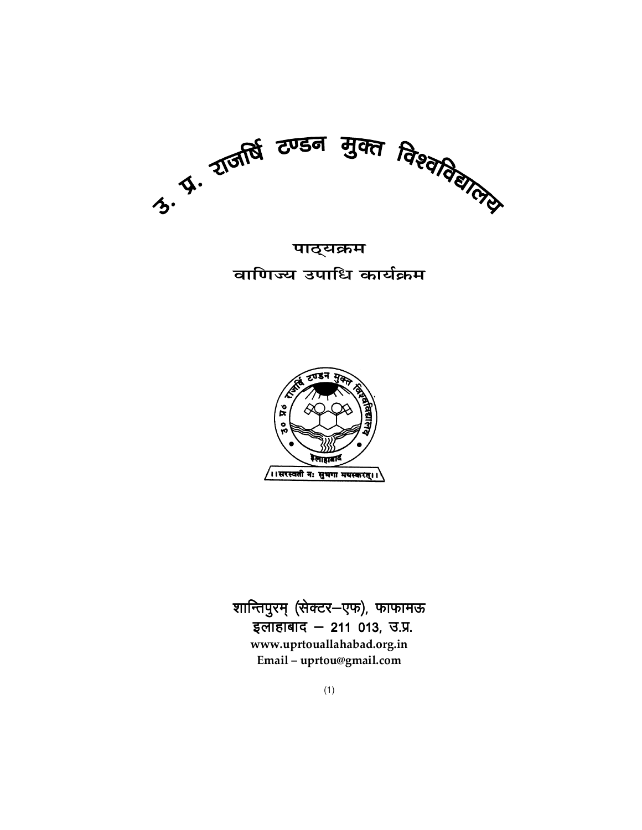

<u>पाठ्</u>यक्रम **बाणिज्य उपाधि कार्यक्रम** 



शान्तिपुरम् (सेक्टर-एफ), फाफामऊ इलाहाबाद  $-$  211 013, उ.प्र. **www.uprtouallahabad.org.in Email – uprtou@gmail.com**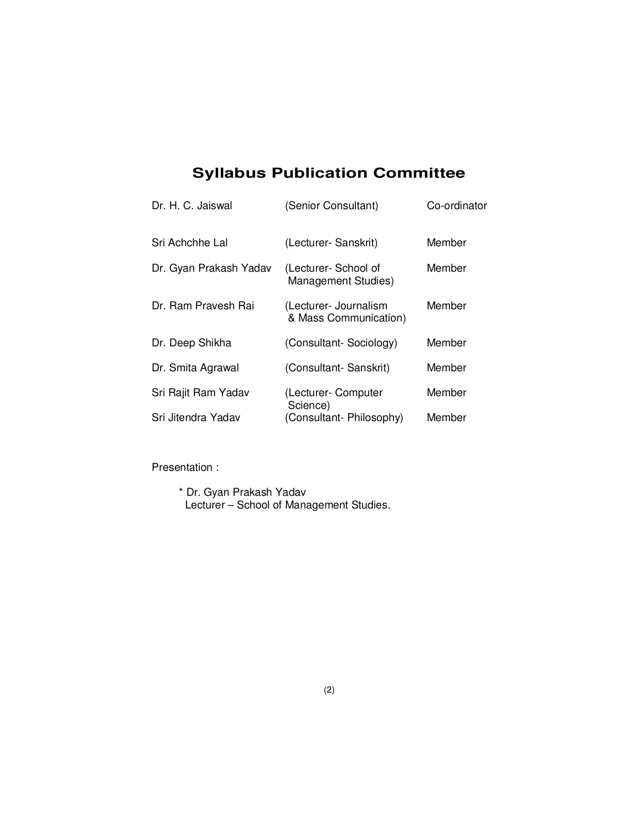# **Syllabus Publication Committee**

| Dr. H. C. Jaiswal      | (Senior Consultant)                            | Co-ordinator |
|------------------------|------------------------------------------------|--------------|
| Sri Achchhe Lal        | (Lecturer- Sanskrit)                           | Member       |
| Dr. Gyan Prakash Yadav | (Lecturer-School of<br>Management Studies)     | Member       |
| Dr. Ram Pravesh Rai    | (Lecturer- Journalism<br>& Mass Communication) | Member       |
| Dr. Deep Shikha        | (Consultant-Sociology)                         | Member       |
| Dr. Smita Agrawal      | (Consultant-Sanskrit)                          | Member       |
| Sri Rajit Ram Yadav    | (Lecturer- Computer<br>Science)                | Member       |
| Sri Jitendra Yadav     | (Consultant-Philosophy)                        | Member       |

Presentation :

 \* Dr. Gyan Prakash Yadav Lecturer – School of Management Studies.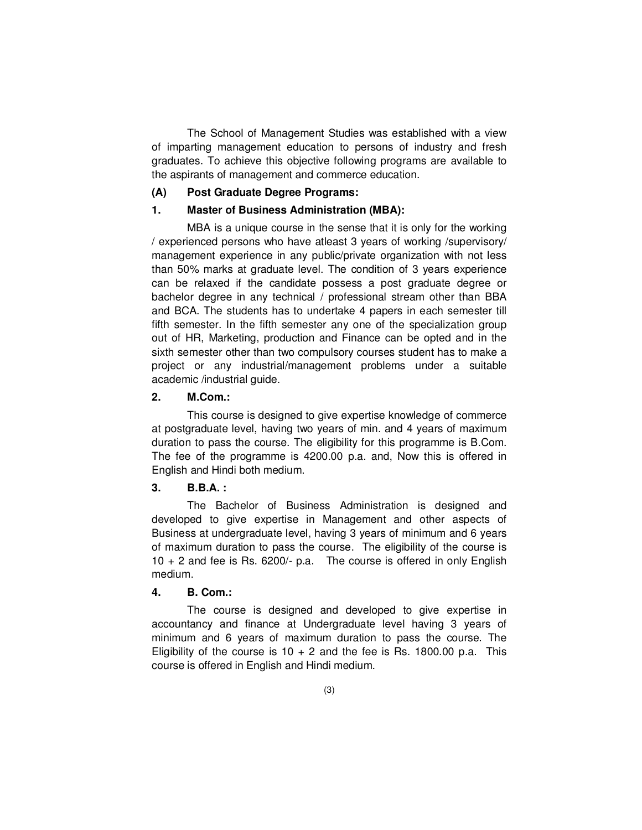The School of Management Studies was established with a view of imparting management education to persons of industry and fresh graduates. To achieve this objective following programs are available to the aspirants of management and commerce education.

#### **(A) Post Graduate Degree Programs:**

#### **1. Master of Business Administration (MBA):**

 MBA is a unique course in the sense that it is only for the working / experienced persons who have atleast 3 years of working /supervisory/ management experience in any public/private organization with not less than 50% marks at graduate level. The condition of 3 years experience can be relaxed if the candidate possess a post graduate degree or bachelor degree in any technical / professional stream other than BBA and BCA. The students has to undertake 4 papers in each semester till fifth semester. In the fifth semester any one of the specialization group out of HR, Marketing, production and Finance can be opted and in the sixth semester other than two compulsory courses student has to make a project or any industrial/management problems under a suitable academic /industrial guide.

#### **2. M.Com.:**

 This course is designed to give expertise knowledge of commerce at postgraduate level, having two years of min. and 4 years of maximum duration to pass the course. The eligibility for this programme is B.Com. The fee of the programme is 4200.00 p.a. and, Now this is offered in English and Hindi both medium.

#### **3. B.B.A. :**

 The Bachelor of Business Administration is designed and developed to give expertise in Management and other aspects of Business at undergraduate level, having 3 years of minimum and 6 years of maximum duration to pass the course. The eligibility of the course is 10 + 2 and fee is Rs. 6200/- p.a. The course is offered in only English medium.

#### **4. B. Com.:**

 The course is designed and developed to give expertise in accountancy and finance at Undergraduate level having 3 years of minimum and 6 years of maximum duration to pass the course. The Eligibility of the course is  $10 + 2$  and the fee is Rs. 1800.00 p.a. This course is offered in English and Hindi medium.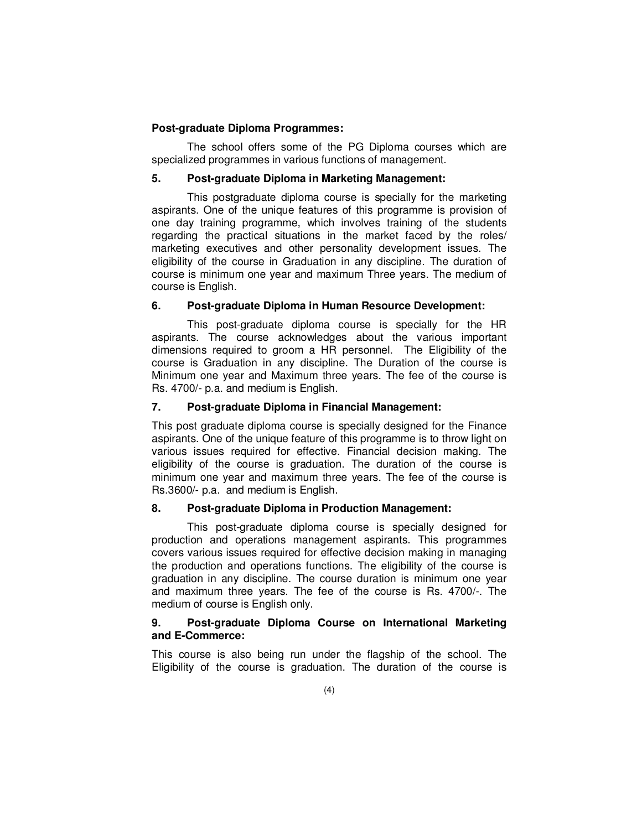#### **Post-graduate Diploma Programmes:**

 The school offers some of the PG Diploma courses which are specialized programmes in various functions of management.

#### **5. Post-graduate Diploma in Marketing Management:**

 This postgraduate diploma course is specially for the marketing aspirants. One of the unique features of this programme is provision of one day training programme, which involves training of the students regarding the practical situations in the market faced by the roles/ marketing executives and other personality development issues. The eligibility of the course in Graduation in any discipline. The duration of course is minimum one year and maximum Three years. The medium of course is English.

#### **6. Post-graduate Diploma in Human Resource Development:**

 This post-graduate diploma course is specially for the HR aspirants. The course acknowledges about the various important dimensions required to groom a HR personnel. The Eligibility of the course is Graduation in any discipline. The Duration of the course is Minimum one year and Maximum three years. The fee of the course is Rs. 4700/- p.a. and medium is English.

#### **7. Post-graduate Diploma in Financial Management:**

This post graduate diploma course is specially designed for the Finance aspirants. One of the unique feature of this programme is to throw light on various issues required for effective. Financial decision making. The eligibility of the course is graduation. The duration of the course is minimum one year and maximum three years. The fee of the course is Rs.3600/- p.a. and medium is English.

#### **8. Post-graduate Diploma in Production Management:**

 This post-graduate diploma course is specially designed for production and operations management aspirants. This programmes covers various issues required for effective decision making in managing the production and operations functions. The eligibility of the course is graduation in any discipline. The course duration is minimum one year and maximum three years. The fee of the course is Rs. 4700/-. The medium of course is English only.

#### **9. Post-graduate Diploma Course on International Marketing and E-Commerce:**

This course is also being run under the flagship of the school. The Eligibility of the course is graduation. The duration of the course is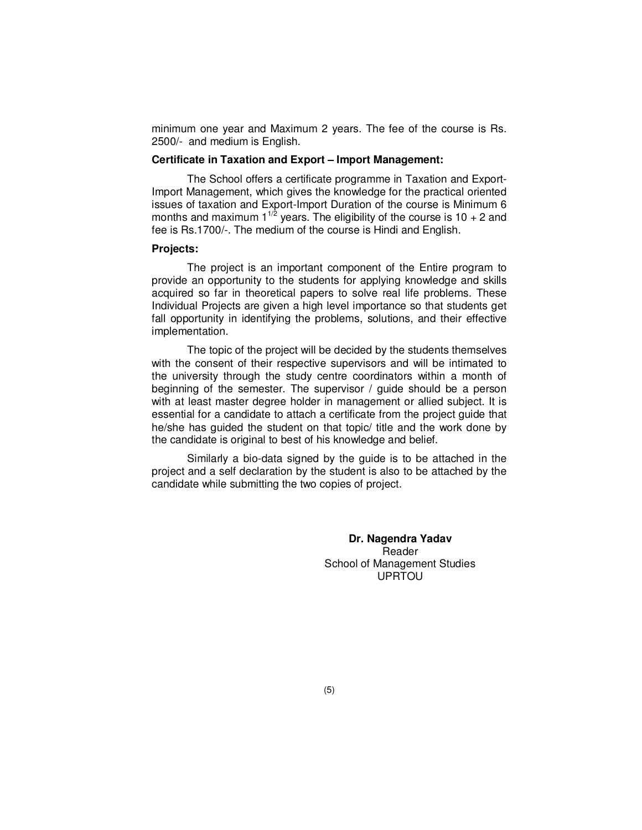minimum one year and Maximum 2 years. The fee of the course is Rs. 2500/- and medium is English.

#### **Certificate in Taxation and Export – Import Management:**

 The School offers a certificate programme in Taxation and Export-Import Management, which gives the knowledge for the practical oriented issues of taxation and Export-Import Duration of the course is Minimum 6 months and maximum  $1^{1/2}$  years. The eligibility of the course is 10 + 2 and fee is Rs.1700/-. The medium of the course is Hindi and English.

#### **Projects:**

 The project is an important component of the Entire program to provide an opportunity to the students for applying knowledge and skills acquired so far in theoretical papers to solve real life problems. These Individual Projects are given a high level importance so that students get fall opportunity in identifying the problems, solutions, and their effective implementation.

 The topic of the project will be decided by the students themselves with the consent of their respective supervisors and will be intimated to the university through the study centre coordinators within a month of beginning of the semester. The supervisor / guide should be a person with at least master degree holder in management or allied subject. It is essential for a candidate to attach a certificate from the project guide that he/she has guided the student on that topic/ title and the work done by the candidate is original to best of his knowledge and belief.

 Similarly a bio-data signed by the guide is to be attached in the project and a self declaration by the student is also to be attached by the candidate while submitting the two copies of project.

> **Dr. Nagendra Yadav**  Reader School of Management Studies UPRTOU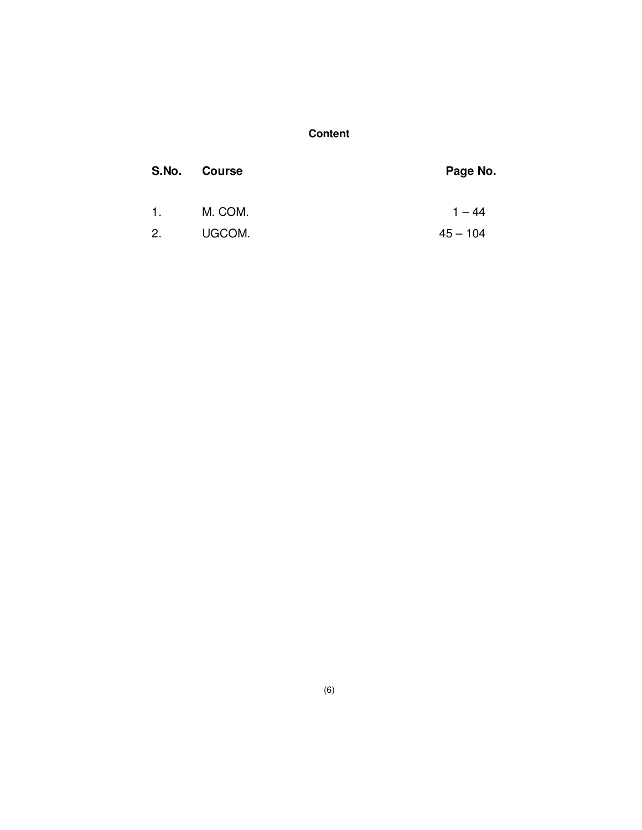## **Content**

| S.No.          | <b>Course</b> | Page No.   |
|----------------|---------------|------------|
| $\mathbf{1}$ . | M. COM.       | $1 - 44$   |
| 2.             | UGCOM.        | $45 - 104$ |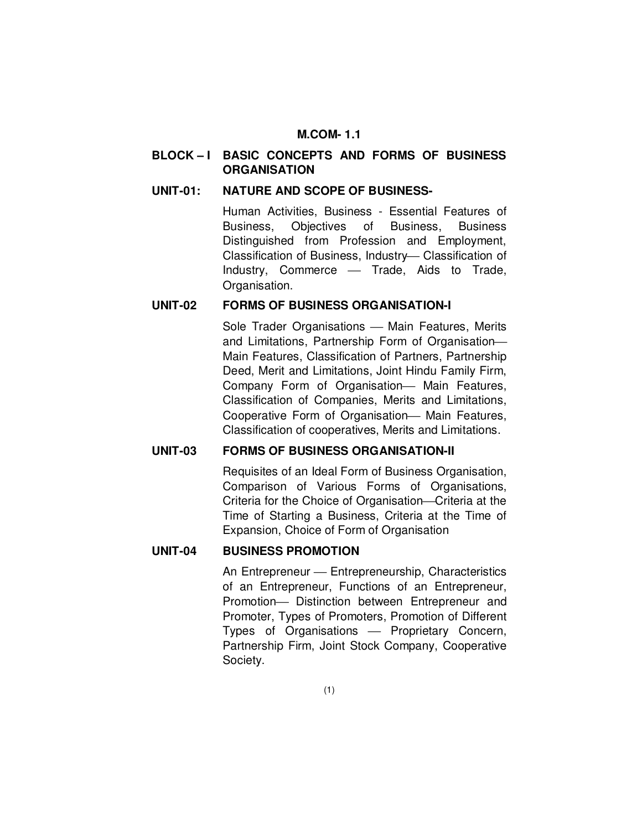#### **M.COM- 1.1**

## **BLOCK – I BASIC CONCEPTS AND FORMS OF BUSINESS ORGANISATION**

#### **UNIT-01: NATURE AND SCOPE OF BUSINESS-**

Human Activities, Business - Essential Features of Business, Objectives of Business, Business Distinguished from Profession and Employment, Classification of Business, Industry-Classification of Industry, Commerce - Trade, Aids to Trade. Organisation.

#### **UNIT-02 FORMS OF BUSINESS ORGANISATION-I**

Sole Trader Organisations - Main Features, Merits and Limitations, Partnership Form of Organisation Main Features, Classification of Partners, Partnership Deed, Merit and Limitations, Joint Hindu Family Firm, Company Form of Organisation- Main Features, Classification of Companies, Merits and Limitations, Cooperative Form of Organisation - Main Features, Classification of cooperatives, Merits and Limitations.

### **UNIT-03 FORMS OF BUSINESS ORGANISATION-II**

Requisites of an Ideal Form of Business Organisation, Comparison of Various Forms of Organisations, Criteria for the Choice of Organisation—Criteria at the Time of Starting a Business, Criteria at the Time of Expansion, Choice of Form of Organisation

#### **UNIT-04 BUSINESS PROMOTION**

An Entrepreneur — Entrepreneurship, Characteristics of an Entrepreneur, Functions of an Entrepreneur, Promotion- Distinction between Entrepreneur and Promoter, Types of Promoters, Promotion of Different Types of Organisations - Proprietary Concern, Partnership Firm, Joint Stock Company, Cooperative Society.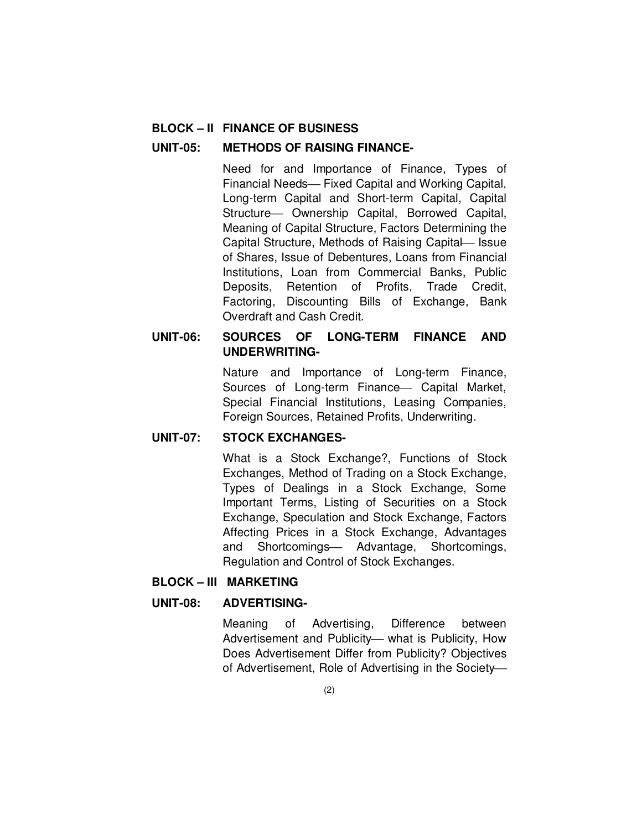#### **BLOCK – II FINANCE OF BUSINESS**

#### **UNIT-05: METHODS OF RAISING FINANCE-**

Need for and Importance of Finance, Types of Financial Needs- Fixed Capital and Working Capital, Long-term Capital and Short-term Capital, Capital Structure - Ownership Capital, Borrowed Capital, Meaning of Capital Structure, Factors Determining the Capital Structure, Methods of Raising Capital Issue of Shares, Issue of Debentures, Loans from Financial Institutions, Loan from Commercial Banks, Public Deposits, Retention of Profits, Trade Credit, Factoring, Discounting Bills of Exchange, Bank Overdraft and Cash Credit.

### **UNIT-06: SOURCES OF LONG-TERM FINANCE AND UNDERWRITING-**

Nature and Importance of Long-term Finance, Sources of Long-term Finance - Capital Market, Special Financial Institutions, Leasing Companies, Foreign Sources, Retained Profits, Underwriting.

### **UNIT-07: STOCK EXCHANGES-**

What is a Stock Exchange?, Functions of Stock Exchanges, Method of Trading on a Stock Exchange, Types of Dealings in a Stock Exchange, Some Important Terms, Listing of Securities on a Stock Exchange, Speculation and Stock Exchange, Factors Affecting Prices in a Stock Exchange, Advantages and Shortcomings- Advantage, Shortcomings, Regulation and Control of Stock Exchanges.

#### **BLOCK – III MARKETING**

#### **UNIT-08: ADVERTISING-**

Meaning of Advertising, Difference between Advertisement and Publicity- what is Publicity, How Does Advertisement Differ from Publicity? Objectives of Advertisement, Role of Advertising in the Society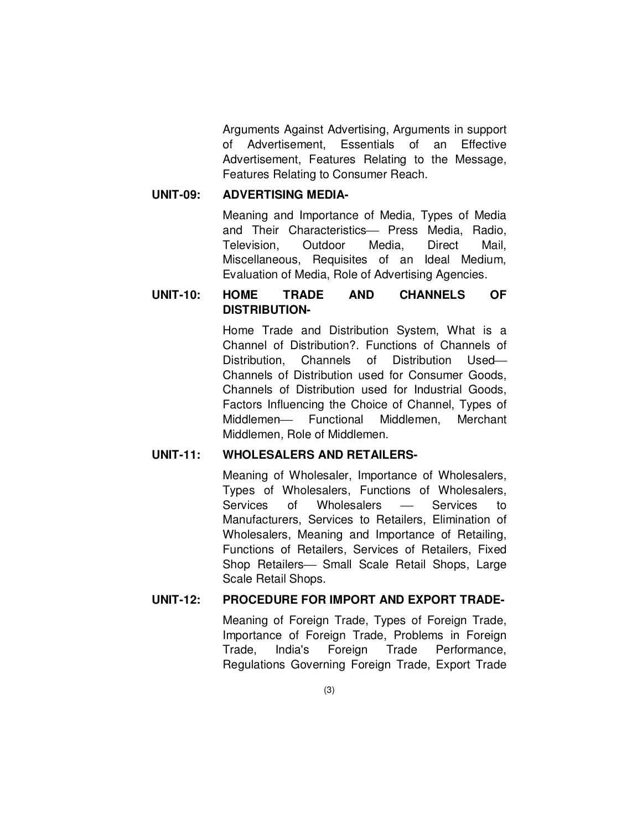Arguments Against Advertising, Arguments in support of Advertisement, Essentials of an Effective Advertisement, Features Relating to the Message, Features Relating to Consumer Reach.

#### **UNIT-09: ADVERTISING MEDIA-**

Meaning and Importance of Media, Types of Media and Their Characteristics- Press Media, Radio, Television, Outdoor Media, Direct Mail, Miscellaneous, Requisites of an Ideal Medium, Evaluation of Media, Role of Advertising Agencies.

## **UNIT-10: HOME TRADE AND CHANNELS OF DISTRIBUTION-**

Home Trade and Distribution System, What is a Channel of Distribution?. Functions of Channels of Distribution, Channels of Distribution Used Channels of Distribution used for Consumer Goods, Channels of Distribution used for Industrial Goods, Factors Influencing the Choice of Channel, Types of Middlemen- Functional Middlemen, Merchant Middlemen, Role of Middlemen.

### **UNIT-11: WHOLESALERS AND RETAILERS-**

Meaning of Wholesaler, Importance of Wholesalers, Types of Wholesalers, Functions of Wholesalers, Services of Wholesalers — Services to Manufacturers, Services to Retailers, Elimination of Wholesalers, Meaning and Importance of Retailing, Functions of Retailers, Services of Retailers, Fixed Shop Retailers- Small Scale Retail Shops, Large Scale Retail Shops.

### **UNIT-12: PROCEDURE FOR IMPORT AND EXPORT TRADE-**

Meaning of Foreign Trade, Types of Foreign Trade, Importance of Foreign Trade, Problems in Foreign Trade, India's Foreign Trade Performance, Regulations Governing Foreign Trade, Export Trade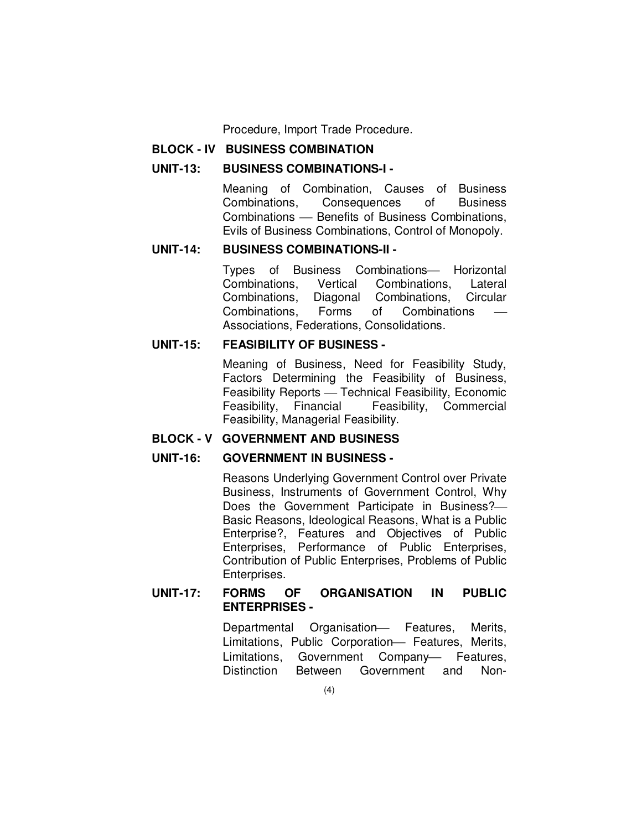Procedure, Import Trade Procedure.

#### **BLOCK - IV BUSINESS COMBINATION**

#### **UNIT-13: BUSINESS COMBINATIONS-I -**

Meaning of Combination, Causes of Business Combinations, Consequences of Business Combinations – Benefits of Business Combinations, Evils of Business Combinations, Control of Monopoly.

## **UNIT-14: BUSINESS COMBINATIONS-II -**

Types of Business Combinations - Horizontal Combinations, Vertical Combinations, Lateral Combinations, Diagonal Combinations, Circular Combinations, Forms of Combinations Associations, Federations, Consolidations.

#### **UNIT-15: FEASIBILITY OF BUSINESS -**

Meaning of Business, Need for Feasibility Study, Factors Determining the Feasibility of Business, Feasibility Reports - Technical Feasibility, Economic Feasibility, Financial Feasibility, Commercial Feasibility, Managerial Feasibility.

#### **BLOCK - V GOVERNMENT AND BUSINESS**

#### **UNIT-16: GOVERNMENT IN BUSINESS -**

Reasons Underlying Government Control over Private Business, Instruments of Government Control, Why Does the Government Participate in Business? Basic Reasons, Ideological Reasons, What is a Public Enterprise?, Features and Objectives of Public Enterprises, Performance of Public Enterprises, Contribution of Public Enterprises, Problems of Public Enterprises.

#### **UNIT-17: FORMS OF ORGANISATION IN PUBLIC ENTERPRISES -**

Departmental Organisation- Features, Merits, Limitations, Public Corporation- Features, Merits, Limitations, Government Company- Features, Distinction Between Government and Non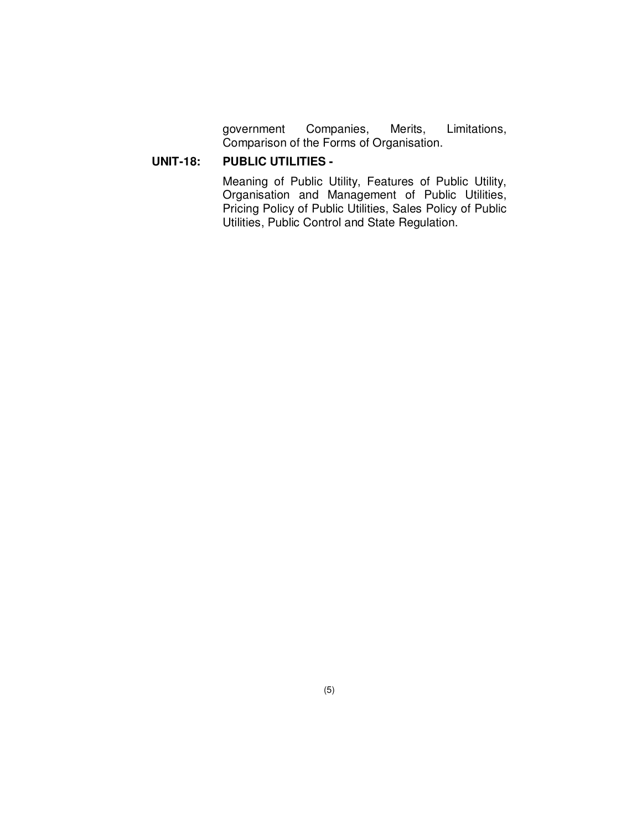government Companies, Merits, Limitations, Comparison of the Forms of Organisation.

### **UNIT-18: PUBLIC UTILITIES -**

Meaning of Public Utility, Features of Public Utility, Organisation and Management of Public Utilities, Pricing Policy of Public Utilities, Sales Policy of Public Utilities, Public Control and State Regulation.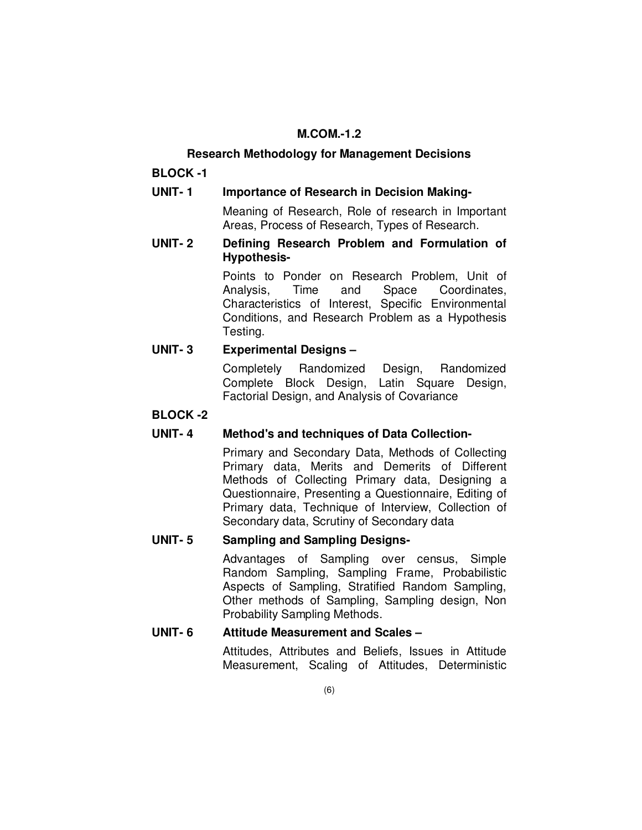## **M.COM.-1.2**

#### **Research Methodology for Management Decisions**

**BLOCK -1** 

**UNIT- 1 Importance of Research in Decision Making-** 

 Meaning of Research, Role of research in Important Areas, Process of Research, Types of Research.

**UNIT- 2 Defining Research Problem and Formulation of Hypothesis-** 

> Points to Ponder on Research Problem, Unit of Analysis, Time and Space Coordinates, Characteristics of Interest, Specific Environmental Conditions, and Research Problem as a Hypothesis Testing.

## **UNIT- 3 Experimental Designs –**

 Completely Randomized Design, Randomized Complete Block Design, Latin Square Design, Factorial Design, and Analysis of Covariance

### **BLOCK -2**

### **UNIT- 4 Method's and techniques of Data Collection-**

 Primary and Secondary Data, Methods of Collecting Primary data, Merits and Demerits of Different Methods of Collecting Primary data, Designing a Questionnaire, Presenting a Questionnaire, Editing of Primary data, Technique of Interview, Collection of Secondary data, Scrutiny of Secondary data

## **UNIT- 5 Sampling and Sampling Designs-**

 Advantages of Sampling over census, Simple Random Sampling, Sampling Frame, Probabilistic Aspects of Sampling, Stratified Random Sampling, Other methods of Sampling, Sampling design, Non Probability Sampling Methods.

### **UNIT- 6 Attitude Measurement and Scales –**

 Attitudes, Attributes and Beliefs, Issues in Attitude Measurement, Scaling of Attitudes, Deterministic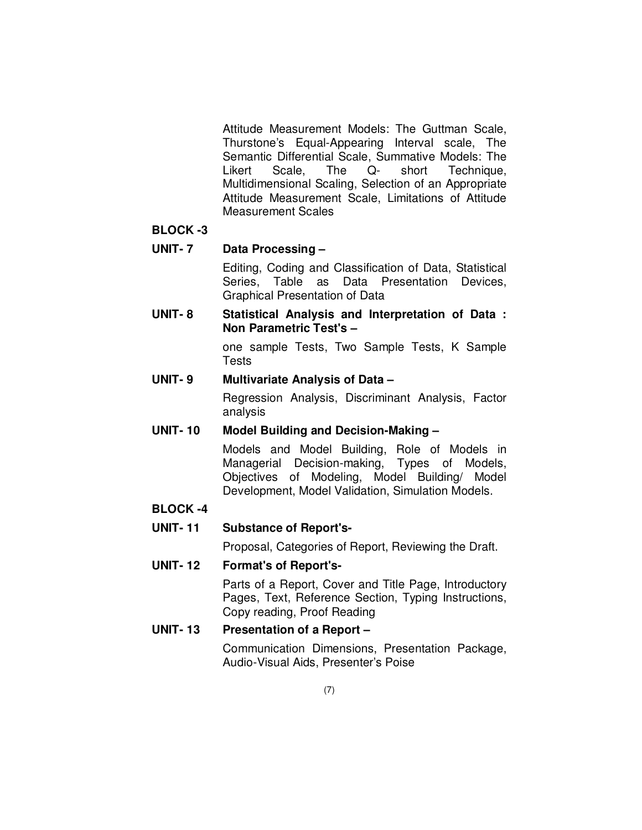Attitude Measurement Models: The Guttman Scale, Thurstone's Equal-Appearing Interval scale, The Semantic Differential Scale, Summative Models: The Likert Scale, The Q- short Technique, Multidimensional Scaling, Selection of an Appropriate Attitude Measurement Scale, Limitations of Attitude Measurement Scales

#### **BLOCK -3**

#### **UNIT- 7 Data Processing –**

 Editing, Coding and Classification of Data, Statistical Series, Table as Data Presentation Devices, Graphical Presentation of Data

**UNIT- 8 Statistical Analysis and Interpretation of Data : Non Parametric Test's –** 

> one sample Tests, Two Sample Tests, K Sample Tests

### **UNIT- 9 Multivariate Analysis of Data –**

 Regression Analysis, Discriminant Analysis, Factor analysis

### **UNIT- 10 Model Building and Decision-Making –**

 Models and Model Building, Role of Models in Managerial Decision-making, Types of Models, Objectives of Modeling, Model Building/ Model Development, Model Validation, Simulation Models.

### **BLOCK -4**

### **UNIT- 11 Substance of Report's-**

Proposal, Categories of Report, Reviewing the Draft.

### **UNIT- 12 Format's of Report's-**

 Parts of a Report, Cover and Title Page, Introductory Pages, Text, Reference Section, Typing Instructions, Copy reading, Proof Reading

## **UNIT- 13 Presentation of a Report –**

 Communication Dimensions, Presentation Package, Audio-Visual Aids, Presenter's Poise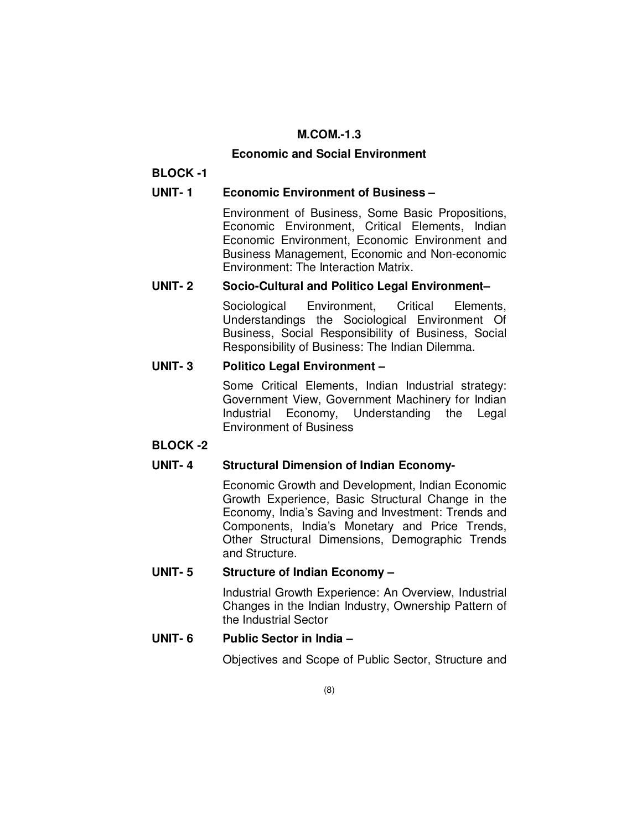## **M.COM.-1.3**

### **Economic and Social Environment**

## **BLOCK -1**

## **UNIT- 1 Economic Environment of Business –**

Environment of Business, Some Basic Propositions, Economic Environment, Critical Elements, Indian Economic Environment, Economic Environment and Business Management, Economic and Non-economic Environment: The Interaction Matrix.

## **UNIT- 2 Socio-Cultural and Politico Legal Environment–**

Sociological Environment, Critical Elements, Understandings the Sociological Environment Of Business, Social Responsibility of Business, Social Responsibility of Business: The Indian Dilemma.

## **UNIT- 3 Politico Legal Environment –**

Some Critical Elements, Indian Industrial strategy: Government View, Government Machinery for Indian Industrial Economy, Understanding the Legal Environment of Business

### **BLOCK -2**

## **UNIT- 4 Structural Dimension of Indian Economy-**

Economic Growth and Development, Indian Economic Growth Experience, Basic Structural Change in the Economy, India's Saving and Investment: Trends and Components, India's Monetary and Price Trends, Other Structural Dimensions, Demographic Trends and Structure.

## **UNIT- 5 Structure of Indian Economy –**

Industrial Growth Experience: An Overview, Industrial Changes in the Indian Industry, Ownership Pattern of the Industrial Sector

## **UNIT- 6 Public Sector in India –**

Objectives and Scope of Public Sector, Structure and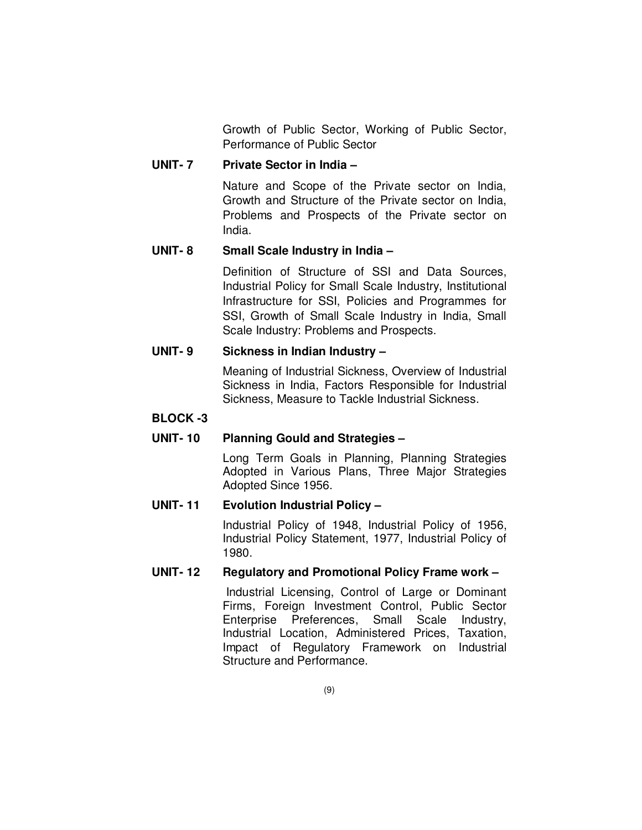Growth of Public Sector, Working of Public Sector, Performance of Public Sector

#### **UNIT- 7 Private Sector in India –**

Nature and Scope of the Private sector on India, Growth and Structure of the Private sector on India, Problems and Prospects of the Private sector on India.

### **UNIT- 8 Small Scale Industry in India –**

Definition of Structure of SSI and Data Sources, Industrial Policy for Small Scale Industry, Institutional Infrastructure for SSI, Policies and Programmes for SSI, Growth of Small Scale Industry in India, Small Scale Industry: Problems and Prospects.

#### **UNIT- 9 Sickness in Indian Industry –**

Meaning of Industrial Sickness, Overview of Industrial Sickness in India, Factors Responsible for Industrial Sickness, Measure to Tackle Industrial Sickness.

#### **BLOCK -3**

### **UNIT- 10 Planning Gould and Strategies –**

Long Term Goals in Planning, Planning Strategies Adopted in Various Plans, Three Major Strategies Adopted Since 1956.

#### **UNIT- 11 Evolution Industrial Policy –**

Industrial Policy of 1948, Industrial Policy of 1956, Industrial Policy Statement, 1977, Industrial Policy of 1980.

## **UNIT- 12 Regulatory and Promotional Policy Frame work –**

 Industrial Licensing, Control of Large or Dominant Firms, Foreign Investment Control, Public Sector Enterprise Preferences, Small Scale Industry, Industrial Location, Administered Prices, Taxation, Impact of Regulatory Framework on Industrial Structure and Performance.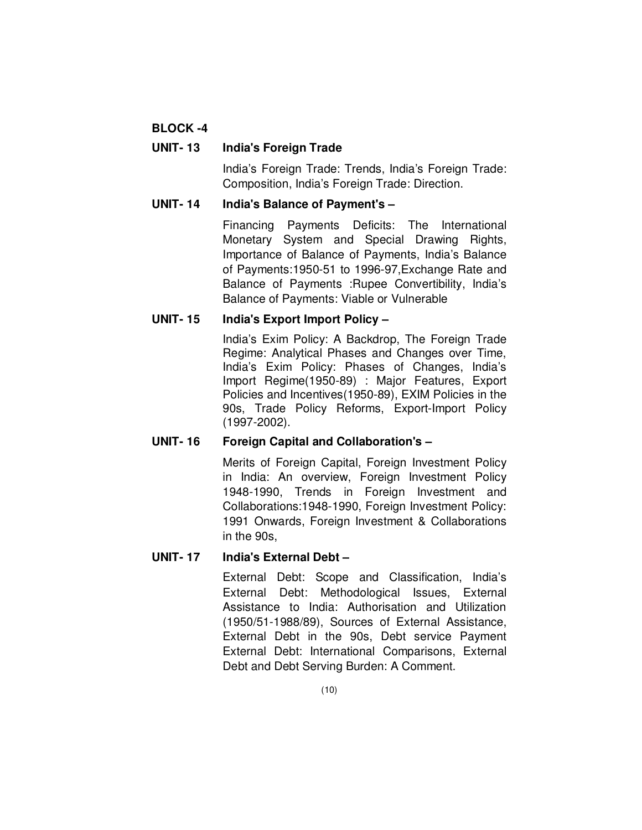## **BLOCK -4**

### **UNIT- 13 India's Foreign Trade**

India's Foreign Trade: Trends, India's Foreign Trade: Composition, India's Foreign Trade: Direction.

#### **UNIT- 14 India's Balance of Payment's –**

Financing Payments Deficits: The International Monetary System and Special Drawing Rights, Importance of Balance of Payments, India's Balance of Payments:1950-51 to 1996-97,Exchange Rate and Balance of Payments :Rupee Convertibility, India's Balance of Payments: Viable or Vulnerable

### **UNIT- 15 India's Export Import Policy –**

India's Exim Policy: A Backdrop, The Foreign Trade Regime: Analytical Phases and Changes over Time, India's Exim Policy: Phases of Changes, India's Import Regime(1950-89) : Major Features, Export Policies and Incentives(1950-89), EXIM Policies in the 90s, Trade Policy Reforms, Export-Import Policy (1997-2002).

### **UNIT- 16 Foreign Capital and Collaboration's –**

Merits of Foreign Capital, Foreign Investment Policy in India: An overview, Foreign Investment Policy 1948-1990, Trends in Foreign Investment and Collaborations:1948-1990, Foreign Investment Policy: 1991 Onwards, Foreign Investment & Collaborations in the 90s,

### **UNIT- 17 India's External Debt –**

External Debt: Scope and Classification, India's External Debt: Methodological Issues, External Assistance to India: Authorisation and Utilization (1950/51-1988/89), Sources of External Assistance, External Debt in the 90s, Debt service Payment External Debt: International Comparisons, External Debt and Debt Serving Burden: A Comment.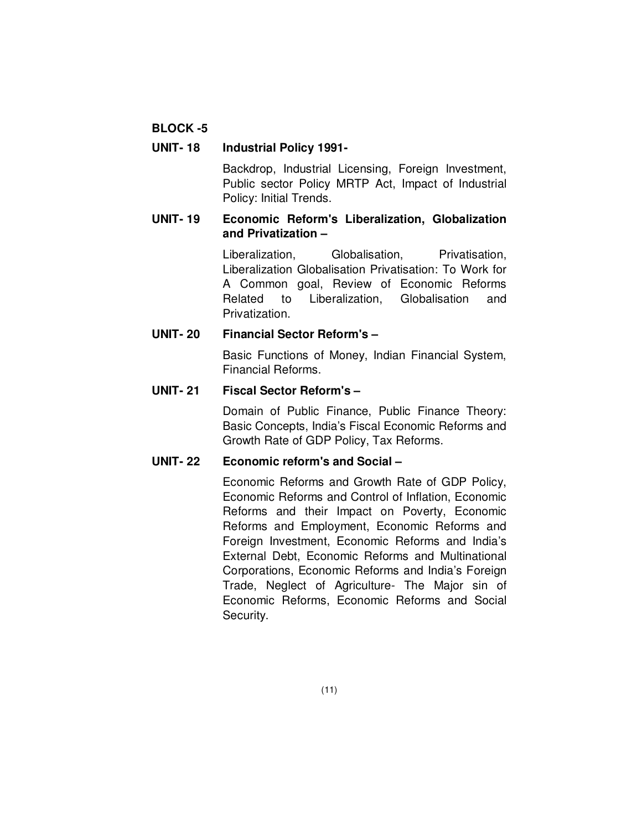## **BLOCK -5**

#### **UNIT- 18 Industrial Policy 1991-**

Backdrop, Industrial Licensing, Foreign Investment, Public sector Policy MRTP Act, Impact of Industrial Policy: Initial Trends.

## **UNIT- 19 Economic Reform's Liberalization, Globalization and Privatization –**

Liberalization, Globalisation, Privatisation, Liberalization Globalisation Privatisation: To Work for A Common goal, Review of Economic Reforms Related to Liberalization, Globalisation and Privatization.

### **UNIT- 20 Financial Sector Reform's –**

Basic Functions of Money, Indian Financial System, Financial Reforms.

#### **UNIT- 21 Fiscal Sector Reform's –**

Domain of Public Finance, Public Finance Theory: Basic Concepts, India's Fiscal Economic Reforms and Growth Rate of GDP Policy, Tax Reforms.

## **UNIT- 22 Economic reform's and Social –**

Economic Reforms and Growth Rate of GDP Policy, Economic Reforms and Control of Inflation, Economic Reforms and their Impact on Poverty, Economic Reforms and Employment, Economic Reforms and Foreign Investment, Economic Reforms and India's External Debt, Economic Reforms and Multinational Corporations, Economic Reforms and India's Foreign Trade, Neglect of Agriculture- The Major sin of Economic Reforms, Economic Reforms and Social Security.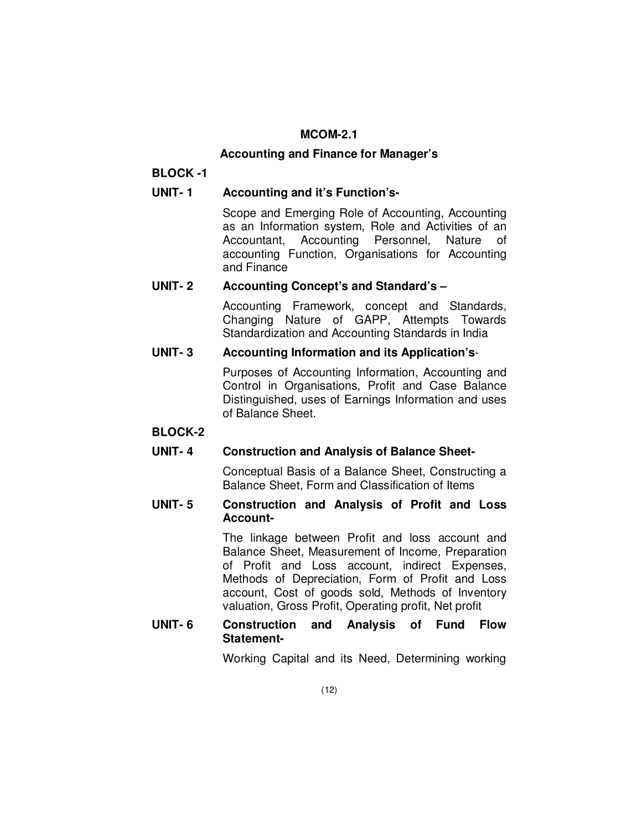## **MCOM-2.1**

#### **Accounting and Finance for Manager's**

### **BLOCK -1**

### **UNIT- 1 Accounting and it's Function's-**

Scope and Emerging Role of Accounting, Accounting as an Information system, Role and Activities of an Accountant, Accounting Personnel, Nature of accounting Function, Organisations for Accounting and Finance

#### **UNIT- 2 Accounting Concept's and Standard's –**

Accounting Framework, concept and Standards, Changing Nature of GAPP, Attempts Towards Standardization and Accounting Standards in India

### **UNIT- 3 Accounting Information and its Application's**-

Purposes of Accounting Information, Accounting and Control in Organisations, Profit and Case Balance Distinguished, uses of Earnings Information and uses of Balance Sheet.

#### **BLOCK-2**

### **UNIT- 4 Construction and Analysis of Balance Sheet-**

Conceptual Basis of a Balance Sheet, Constructing a Balance Sheet, Form and Classification of Items

#### **UNIT- 5 Construction and Analysis of Profit and Loss Account-**

The linkage between Profit and loss account and Balance Sheet, Measurement of Income, Preparation of Profit and Loss account, indirect Expenses, Methods of Depreciation, Form of Profit and Loss account, Cost of goods sold, Methods of Inventory valuation, Gross Profit, Operating profit, Net profit

### **UNIT- 6 Construction and Analysis of Fund Flow Statement-**

Working Capital and its Need, Determining working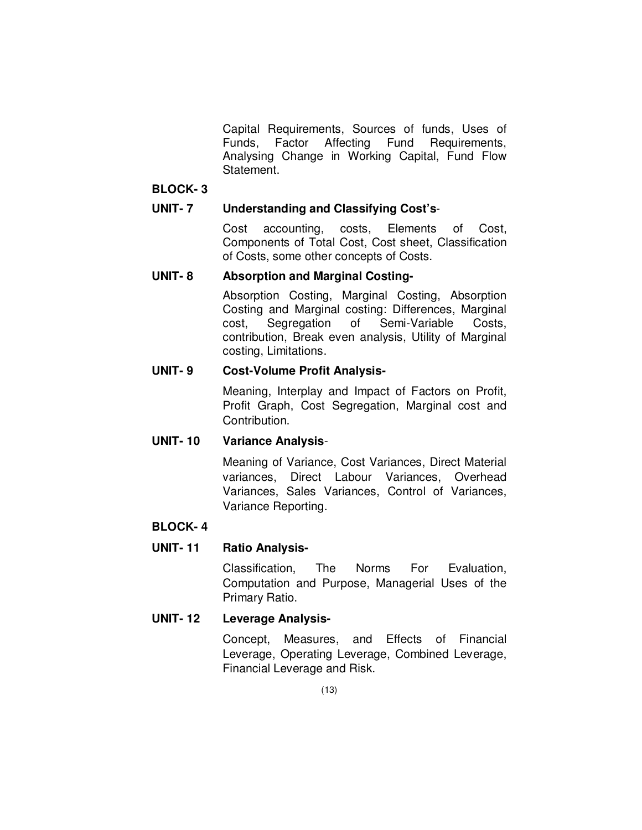Capital Requirements, Sources of funds, Uses of Funds, Factor Affecting Fund Requirements, Analysing Change in Working Capital, Fund Flow Statement.

#### **BLOCK- 3**

### **UNIT- 7 Understanding and Classifying Cost's**-

Cost accounting, costs, Elements of Cost, Components of Total Cost, Cost sheet, Classification of Costs, some other concepts of Costs.

#### **UNIT- 8 Absorption and Marginal Costing-**

Absorption Costing, Marginal Costing, Absorption Costing and Marginal costing: Differences, Marginal cost, Segregation of Semi-Variable Costs, contribution, Break even analysis, Utility of Marginal costing, Limitations.

#### **UNIT- 9 Cost-Volume Profit Analysis-**

Meaning, Interplay and Impact of Factors on Profit, Profit Graph, Cost Segregation, Marginal cost and Contribution.

### **UNIT- 10 Variance Analysis**-

Meaning of Variance, Cost Variances, Direct Material variances, Direct Labour Variances, Overhead Variances, Sales Variances, Control of Variances, Variance Reporting.

### **BLOCK- 4**

### **UNIT- 11 Ratio Analysis-**

Classification, The Norms For Evaluation, Computation and Purpose, Managerial Uses of the Primary Ratio.

### **UNIT- 12 Leverage Analysis-**

Concept, Measures, and Effects of Financial Leverage, Operating Leverage, Combined Leverage, Financial Leverage and Risk.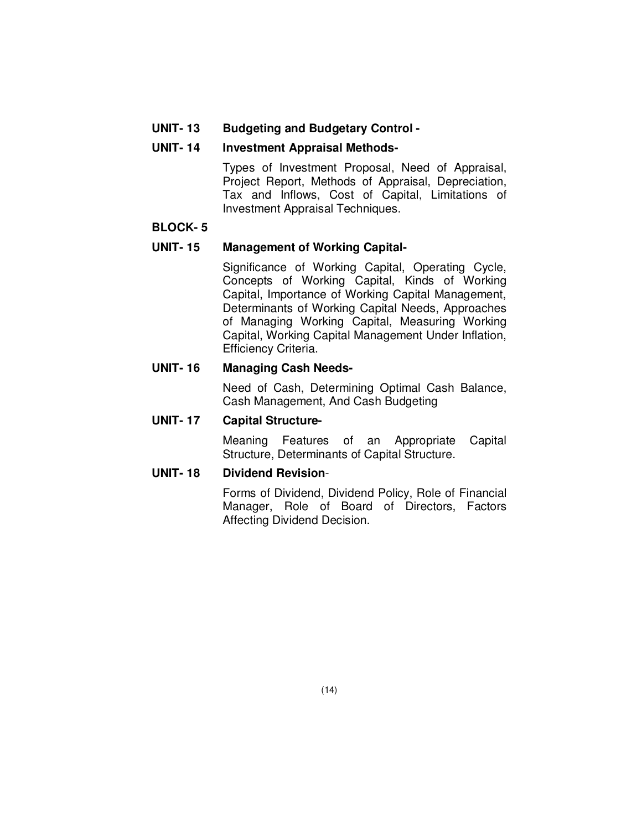#### **UNIT- 13 Budgeting and Budgetary Control -**

#### **UNIT- 14 Investment Appraisal Methods-**

Types of Investment Proposal, Need of Appraisal, Project Report, Methods of Appraisal, Depreciation, Tax and Inflows, Cost of Capital, Limitations of Investment Appraisal Techniques.

#### **BLOCK- 5**

#### **UNIT- 15 Management of Working Capital-**

Significance of Working Capital, Operating Cycle, Concepts of Working Capital, Kinds of Working Capital, Importance of Working Capital Management, Determinants of Working Capital Needs, Approaches of Managing Working Capital, Measuring Working Capital, Working Capital Management Under Inflation, Efficiency Criteria.

#### **UNIT- 16 Managing Cash Needs-**

Need of Cash, Determining Optimal Cash Balance, Cash Management, And Cash Budgeting

#### **UNIT- 17 Capital Structure-**

Meaning Features of an Appropriate Capital Structure, Determinants of Capital Structure.

#### **UNIT- 18 Dividend Revision**-

Forms of Dividend, Dividend Policy, Role of Financial Manager, Role of Board of Directors, Factors Affecting Dividend Decision.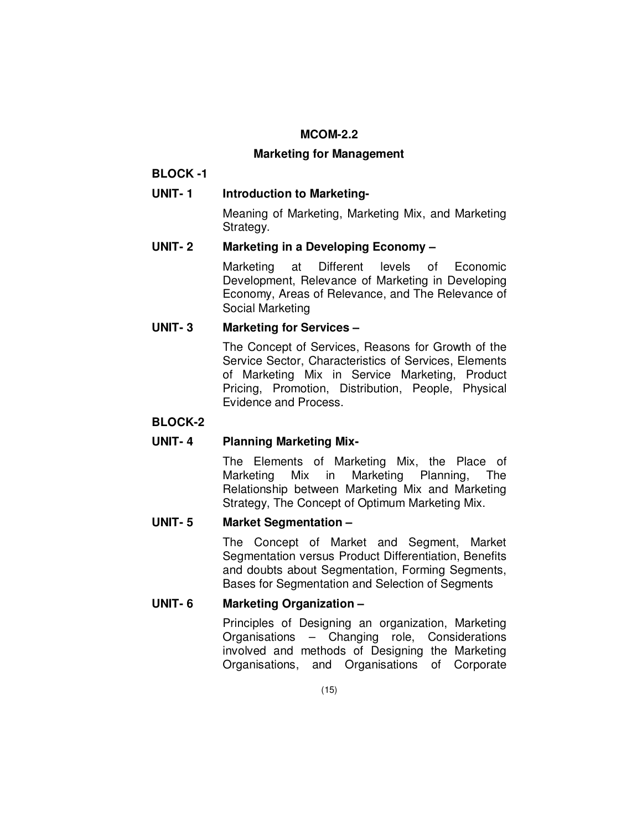#### **MCOM-2.2**

#### **Marketing for Management**

## **BLOCK -1**

## UNIT-1 **Introduction to Marketing-**

Meaning of Marketing, Marketing Mix, and Marketing Strategy.

## **UNIT- 2 Marketing in a Developing Economy –**

Marketing at Different levels of Economic Development, Relevance of Marketing in Developing Economy, Areas of Relevance, and The Relevance of Social Marketing

### **UNIT- 3 Marketing for Services –**

The Concept of Services, Reasons for Growth of the Service Sector, Characteristics of Services, Elements of Marketing Mix in Service Marketing, Product Pricing, Promotion, Distribution, People, Physical Evidence and Process.

## **BLOCK-2**

## **UNIT- 4 Planning Marketing Mix-**

The Elements of Marketing Mix, the Place of Marketing Mix in Marketing Planning, The Relationship between Marketing Mix and Marketing Strategy, The Concept of Optimum Marketing Mix.

### **UNIT- 5 Market Segmentation –**

The Concept of Market and Segment, Market Segmentation versus Product Differentiation, Benefits and doubts about Segmentation, Forming Segments, Bases for Segmentation and Selection of Segments

### **UNIT- 6 Marketing Organization –**

Principles of Designing an organization, Marketing Organisations – Changing role, Considerations involved and methods of Designing the Marketing Organisations, and Organisations of Corporate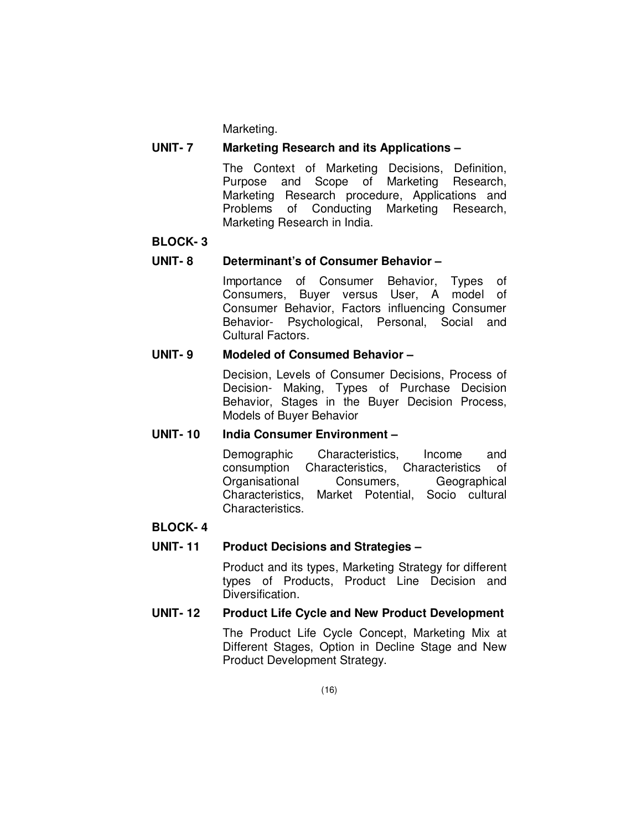Marketing.

### **UNIT- 7 Marketing Research and its Applications –**

The Context of Marketing Decisions, Definition, Purpose and Scope of Marketing Research, Marketing Research procedure, Applications and Problems of Conducting Marketing Research, Marketing Research in India.

#### **BLOCK- 3**

### **UNIT- 8 Determinant's of Consumer Behavior –**

Importance of Consumer Behavior, Types of Consumers, Buyer versus User, A model of Consumer Behavior, Factors influencing Consumer Behavior- Psychological, Personal, Social and Cultural Factors.

### **UNIT- 9 Modeled of Consumed Behavior –**

Decision, Levels of Consumer Decisions, Process of Decision- Making, Types of Purchase Decision Behavior, Stages in the Buyer Decision Process, Models of Buyer Behavior

### **UNIT- 10 India Consumer Environment –**

Demographic Characteristics, Income and consumption Characteristics, Characteristics of Organisational Consumers, Geographical Characteristics, Market Potential, Socio cultural Characteristics.

### **BLOCK- 4**

### **UNIT- 11 Product Decisions and Strategies –**

Product and its types, Marketing Strategy for different types of Products, Product Line Decision and Diversification.

### **UNIT- 12 Product Life Cycle and New Product Development**

The Product Life Cycle Concept, Marketing Mix at Different Stages, Option in Decline Stage and New Product Development Strategy.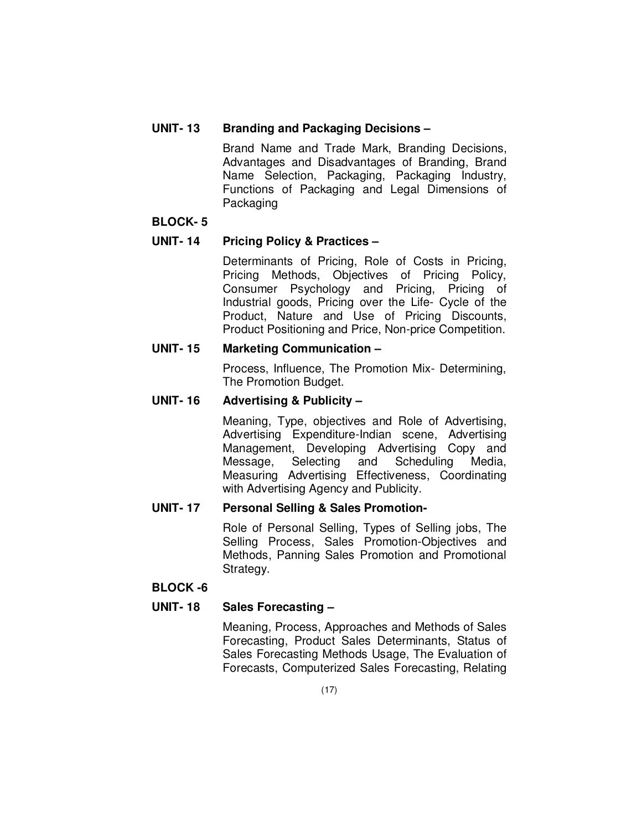### **UNIT- 13 Branding and Packaging Decisions –**

Brand Name and Trade Mark, Branding Decisions, Advantages and Disadvantages of Branding, Brand Name Selection, Packaging, Packaging Industry, Functions of Packaging and Legal Dimensions of **Packaging** 

### **BLOCK- 5**

### **UNIT- 14 Pricing Policy & Practices –**

Determinants of Pricing, Role of Costs in Pricing, Pricing Methods, Objectives of Pricing Policy, Consumer Psychology and Pricing, Pricing of Industrial goods, Pricing over the Life- Cycle of the Product, Nature and Use of Pricing Discounts, Product Positioning and Price, Non-price Competition.

## **UNIT- 15 Marketing Communication –**

Process, Influence, The Promotion Mix- Determining, The Promotion Budget.

## **UNIT- 16 Advertising & Publicity –**

Meaning, Type, objectives and Role of Advertising, Advertising Expenditure-Indian scene, Advertising Management, Developing Advertising Copy and Message, Selecting and Scheduling Media, Measuring Advertising Effectiveness, Coordinating with Advertising Agency and Publicity.

### **UNIT- 17 Personal Selling & Sales Promotion-**

Role of Personal Selling, Types of Selling jobs, The Selling Process, Sales Promotion-Objectives and Methods, Panning Sales Promotion and Promotional Strategy.

### **BLOCK -6**

### **UNIT- 18 Sales Forecasting –**

Meaning, Process, Approaches and Methods of Sales Forecasting, Product Sales Determinants, Status of Sales Forecasting Methods Usage, The Evaluation of Forecasts, Computerized Sales Forecasting, Relating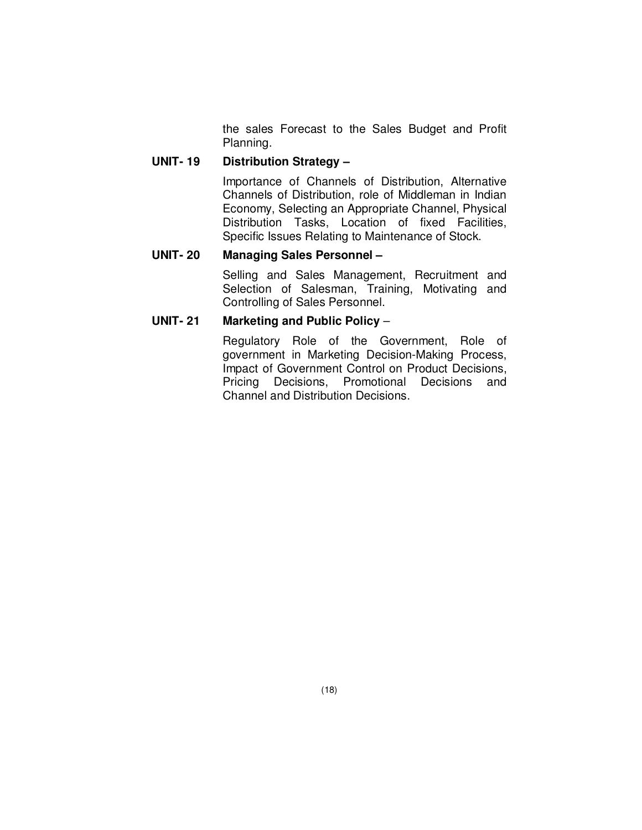the sales Forecast to the Sales Budget and Profit Planning.

## **UNIT- 19 Distribution Strategy –**

Importance of Channels of Distribution, Alternative Channels of Distribution, role of Middleman in Indian Economy, Selecting an Appropriate Channel, Physical Distribution Tasks, Location of fixed Facilities, Specific Issues Relating to Maintenance of Stock.

#### **UNIT- 20 Managing Sales Personnel –**

Selling and Sales Management, Recruitment and Selection of Salesman, Training, Motivating and Controlling of Sales Personnel.

#### **UNIT- 21 Marketing and Public Policy** –

Regulatory Role of the Government, Role of government in Marketing Decision-Making Process, Impact of Government Control on Product Decisions, Pricing Decisions, Promotional Decisions and Channel and Distribution Decisions.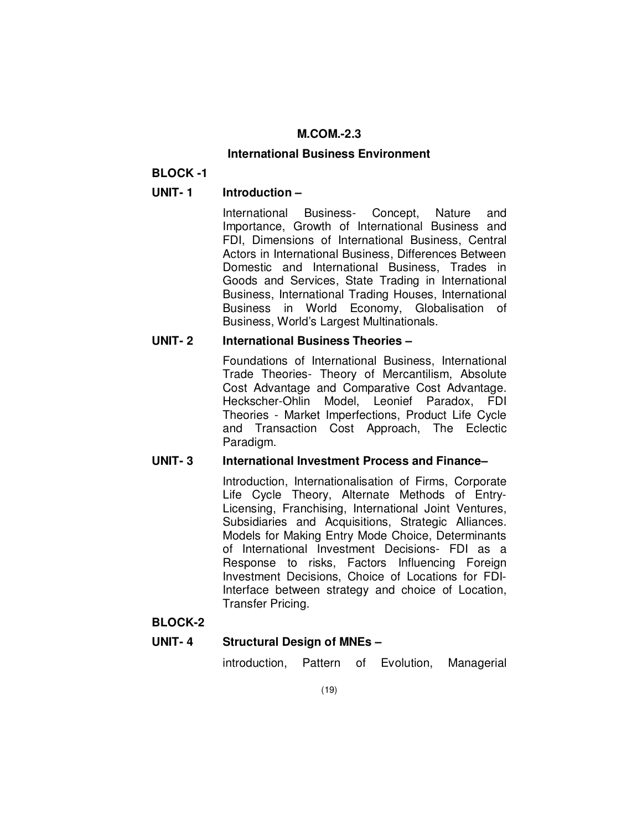## **M.COM.-2.3**

### **International Business Environment**

## **BLOCK -1**

## **UNIT- 1 Introduction –**

International Business- Concept, Nature and Importance, Growth of International Business and FDI, Dimensions of International Business, Central Actors in International Business, Differences Between Domestic and International Business, Trades in Goods and Services, State Trading in International Business, International Trading Houses, International Business in World Economy, Globalisation of Business, World's Largest Multinationals.

## **UNIT- 2 International Business Theories –**

Foundations of International Business, International Trade Theories- Theory of Mercantilism, Absolute Cost Advantage and Comparative Cost Advantage. Heckscher-Ohlin Model, Leonief Paradox, FDI Theories - Market Imperfections, Product Life Cycle and Transaction Cost Approach, The Eclectic Paradigm.

### **UNIT- 3 International Investment Process and Finance–**

Introduction, Internationalisation of Firms, Corporate Life Cycle Theory, Alternate Methods of Entry-Licensing, Franchising, International Joint Ventures, Subsidiaries and Acquisitions, Strategic Alliances. Models for Making Entry Mode Choice, Determinants of International Investment Decisions- FDI as a Response to risks, Factors Influencing Foreign Investment Decisions, Choice of Locations for FDI-Interface between strategy and choice of Location, Transfer Pricing.

### **BLOCK-2**

## **UNIT- 4 Structural Design of MNEs –**

introduction, Pattern of Evolution, Managerial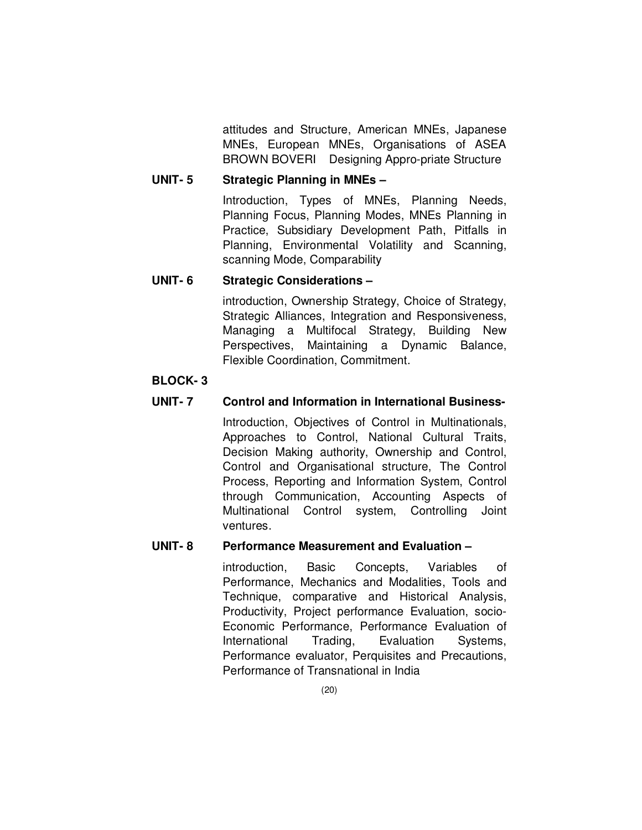attitudes and Structure, American MNEs, Japanese MNEs, European MNEs, Organisations of ASEA BROWN BOVERI Designing Appro-priate Structure

## **UNIT- 5 Strategic Planning in MNEs –**

Introduction, Types of MNEs, Planning Needs, Planning Focus, Planning Modes, MNEs Planning in Practice, Subsidiary Development Path, Pitfalls in Planning, Environmental Volatility and Scanning, scanning Mode, Comparability

#### **UNIT- 6 Strategic Considerations –**

introduction, Ownership Strategy, Choice of Strategy, Strategic Alliances, Integration and Responsiveness, Managing a Multifocal Strategy, Building New Perspectives, Maintaining a Dynamic Balance, Flexible Coordination, Commitment.

#### **BLOCK- 3**

### **UNIT- 7 Control and Information in International Business-**

Introduction, Objectives of Control in Multinationals, Approaches to Control, National Cultural Traits, Decision Making authority, Ownership and Control, Control and Organisational structure, The Control Process, Reporting and Information System, Control through Communication, Accounting Aspects of Multinational Control system, Controlling Joint ventures.

#### **UNIT- 8 Performance Measurement and Evaluation –**

introduction, Basic Concepts, Variables of Performance, Mechanics and Modalities, Tools and Technique, comparative and Historical Analysis, Productivity, Project performance Evaluation, socio-Economic Performance, Performance Evaluation of International Trading, Evaluation Systems, Performance evaluator, Perquisites and Precautions, Performance of Transnational in India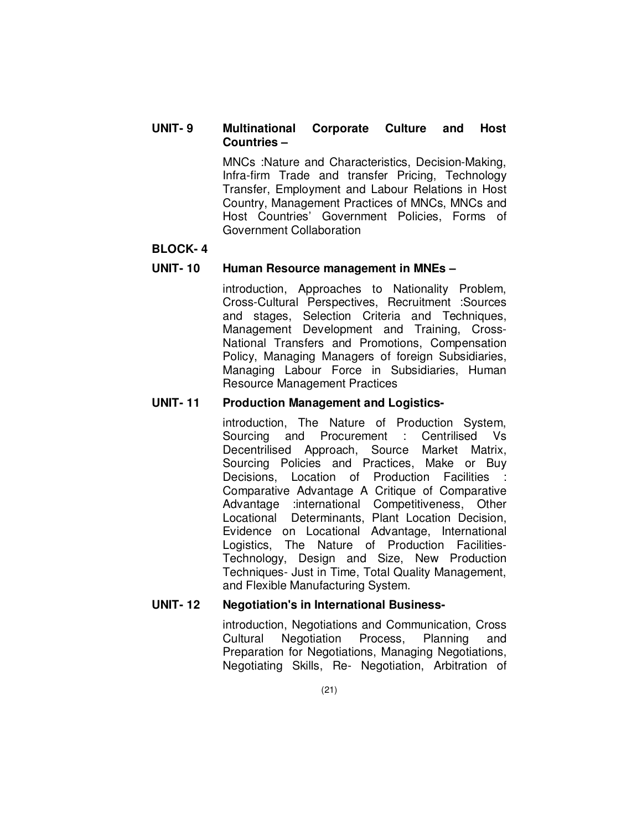### **UNIT- 9 Multinational Corporate Culture and Host Countries –**

MNCs :Nature and Characteristics, Decision-Making, Infra-firm Trade and transfer Pricing, Technology Transfer, Employment and Labour Relations in Host Country, Management Practices of MNCs, MNCs and Host Countries' Government Policies, Forms of Government Collaboration

#### **BLOCK- 4**

#### **UNIT- 10 Human Resource management in MNEs –**

introduction, Approaches to Nationality Problem, Cross-Cultural Perspectives, Recruitment :Sources and stages, Selection Criteria and Techniques, Management Development and Training, Cross-National Transfers and Promotions, Compensation Policy, Managing Managers of foreign Subsidiaries, Managing Labour Force in Subsidiaries, Human Resource Management Practices

#### **UNIT- 11 Production Management and Logistics-**

introduction, The Nature of Production System, Sourcing and Procurement : Centrilised Vs Decentrilised Approach, Source Market Matrix, Sourcing Policies and Practices, Make or Buy Decisions, Location of Production Facilities Comparative Advantage A Critique of Comparative Advantage :international Competitiveness, Other Locational Determinants, Plant Location Decision, Evidence on Locational Advantage, International Logistics, The Nature of Production Facilities-Technology, Design and Size, New Production Techniques- Just in Time, Total Quality Management, and Flexible Manufacturing System.

#### **UNIT- 12 Negotiation's in International Business-**

introduction, Negotiations and Communication, Cross Cultural Negotiation Process, Planning and Preparation for Negotiations, Managing Negotiations, Negotiating Skills, Re- Negotiation, Arbitration of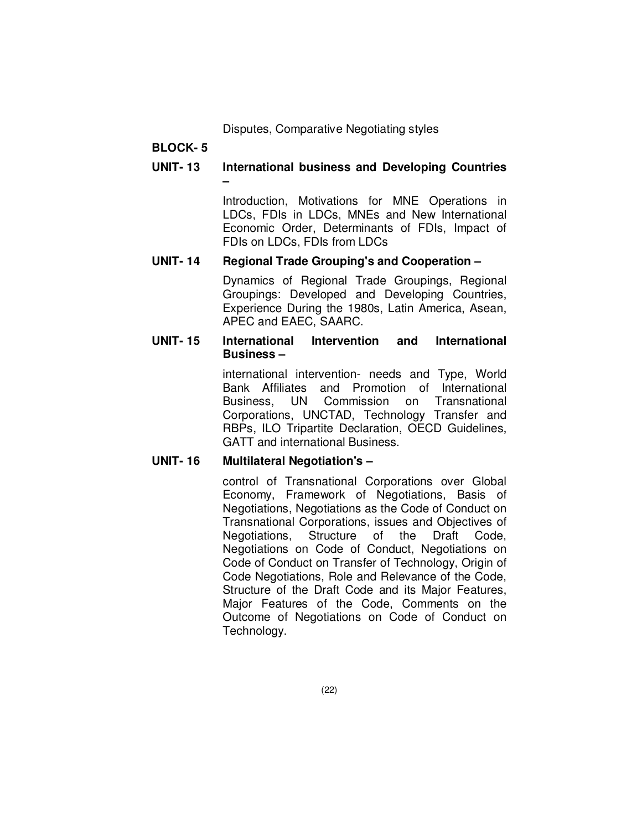Disputes, Comparative Negotiating styles

## **BLOCK- 5**

## **UNIT- 13 International business and Developing Countries –**

Introduction, Motivations for MNE Operations in LDCs, FDIs in LDCs, MNEs and New International Economic Order, Determinants of FDIs, Impact of FDIs on LDCs, FDIs from LDCs

### **UNIT- 14 Regional Trade Grouping's and Cooperation –**

Dynamics of Regional Trade Groupings, Regional Groupings: Developed and Developing Countries, Experience During the 1980s, Latin America, Asean, APEC and EAEC, SAARC.

#### **UNIT- 15 International Intervention and International Business –**

international intervention- needs and Type, World Bank Affiliates and Promotion of International Business, UN Commission on Transnational Corporations, UNCTAD, Technology Transfer and RBPs, ILO Tripartite Declaration, OECD Guidelines, GATT and international Business.

### **UNIT- 16 Multilateral Negotiation's –**

control of Transnational Corporations over Global Economy, Framework of Negotiations, Basis of Negotiations, Negotiations as the Code of Conduct on Transnational Corporations, issues and Objectives of Negotiations, Structure of the Draft Code, Negotiations on Code of Conduct, Negotiations on Code of Conduct on Transfer of Technology, Origin of Code Negotiations, Role and Relevance of the Code, Structure of the Draft Code and its Major Features, Major Features of the Code, Comments on the Outcome of Negotiations on Code of Conduct on Technology.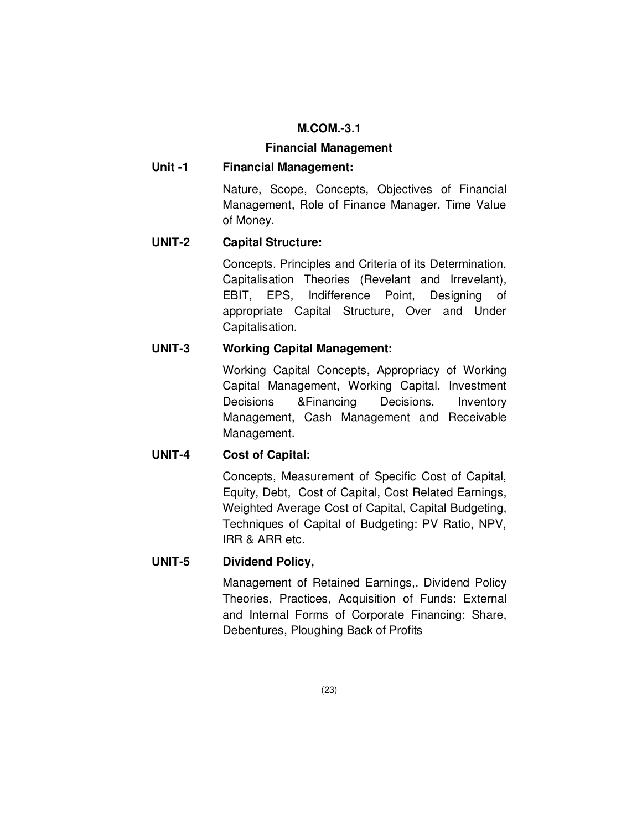### **M.COM.-3.1**

#### **Financial Management**

## **Unit -1 Financial Management:**

Nature, Scope, Concepts, Objectives of Financial Management, Role of Finance Manager, Time Value of Money.

## **UNIT-2 Capital Structure:**

Concepts, Principles and Criteria of its Determination, Capitalisation Theories (Revelant and Irrevelant), EBIT, EPS, Indifference Point, Designing of appropriate Capital Structure, Over and Under Capitalisation.

## **UNIT-3 Working Capital Management:**

Working Capital Concepts, Appropriacy of Working Capital Management, Working Capital, Investment Decisions &Financing Decisions, Inventory Management, Cash Management and Receivable Management.

## **UNIT-4 Cost of Capital:**

Concepts, Measurement of Specific Cost of Capital, Equity, Debt, Cost of Capital, Cost Related Earnings, Weighted Average Cost of Capital, Capital Budgeting, Techniques of Capital of Budgeting: PV Ratio, NPV, IRR & ARR etc.

## **UNIT-5 Dividend Policy,**

Management of Retained Earnings,. Dividend Policy Theories, Practices, Acquisition of Funds: External and Internal Forms of Corporate Financing: Share, Debentures, Ploughing Back of Profits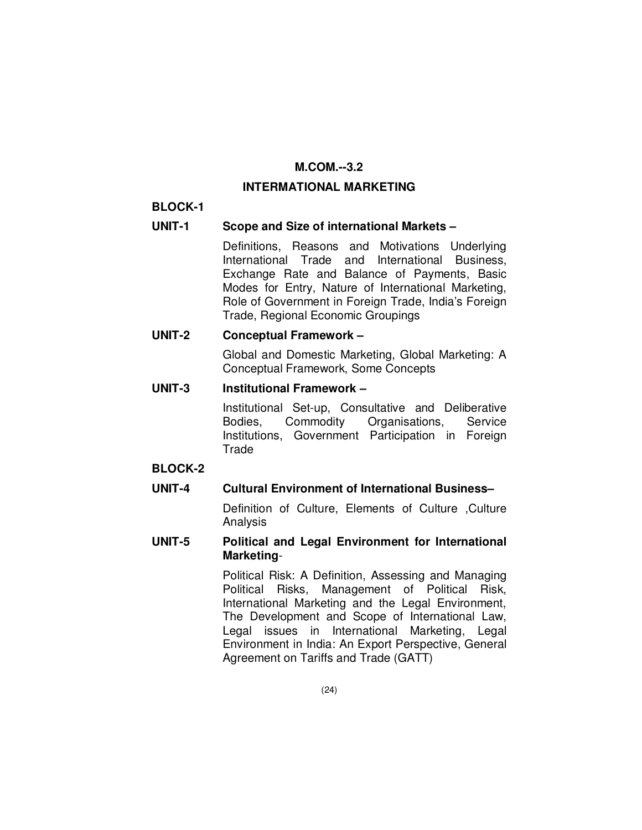## **M.COM.--3.2**

#### **INTERMATIONAL MARKETING**

#### **BLOCK-1**

#### **UNIT-1 Scope and Size of international Markets –**

 Definitions, Reasons and Motivations Underlying International Trade and International Business, Exchange Rate and Balance of Payments, Basic Modes for Entry, Nature of International Marketing, Role of Government in Foreign Trade, India's Foreign Trade, Regional Economic Groupings

#### **UNIT-2 Conceptual Framework –**

 Global and Domestic Marketing, Global Marketing: A Conceptual Framework, Some Concepts

#### **UNIT-3 Institutional Framework –**

 Institutional Set-up, Consultative and Deliberative Bodies, Commodity Organisations, Service Institutions, Government Participation in Foreign **Trade** 

### **BLOCK-2**

### **UNIT-4 Cultural Environment of International Business–**

Definition of Culture, Elements of Culture , Culture Analysis

#### **UNIT-5 Political and Legal Environment for International Marketing**-

 Political Risk: A Definition, Assessing and Managing Political Risks, Management of Political Risk, International Marketing and the Legal Environment, The Development and Scope of International Law, Legal issues in International Marketing, Legal Environment in India: An Export Perspective, General Agreement on Tariffs and Trade (GATT)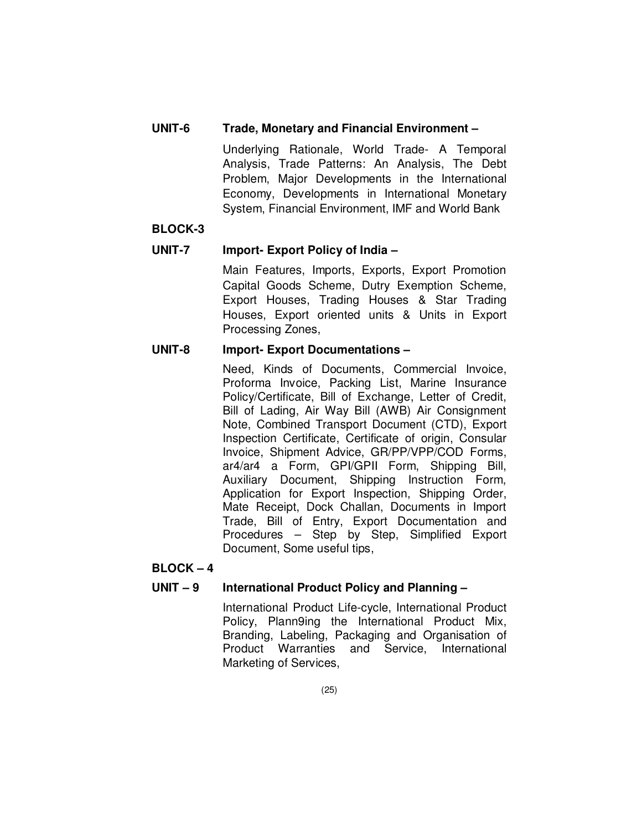## **UNIT-6 Trade, Monetary and Financial Environment –**

 Underlying Rationale, World Trade- A Temporal Analysis, Trade Patterns: An Analysis, The Debt Problem, Major Developments in the International Economy, Developments in International Monetary System, Financial Environment, IMF and World Bank

## **BLOCK-3**

## **UNIT-7 Import- Export Policy of India –**

Main Features, Imports, Exports, Export Promotion Capital Goods Scheme, Dutry Exemption Scheme, Export Houses, Trading Houses & Star Trading Houses, Export oriented units & Units in Export Processing Zones,

## **UNIT-8 Import- Export Documentations –**

 Need, Kinds of Documents, Commercial Invoice, Proforma Invoice, Packing List, Marine Insurance Policy/Certificate, Bill of Exchange, Letter of Credit, Bill of Lading, Air Way Bill (AWB) Air Consignment Note, Combined Transport Document (CTD), Export Inspection Certificate, Certificate of origin, Consular Invoice, Shipment Advice, GR/PP/VPP/COD Forms, ar4/ar4 a Form, GPI/GPII Form, Shipping Bill, Auxiliary Document, Shipping Instruction Form, Application for Export Inspection, Shipping Order, Mate Receipt, Dock Challan, Documents in Import Trade, Bill of Entry, Export Documentation and Procedures – Step by Step, Simplified Export Document, Some useful tips,

## **BLOCK – 4**

## **UNIT – 9 International Product Policy and Planning –**

 International Product Life-cycle, International Product Policy, Plann9ing the International Product Mix, Branding, Labeling, Packaging and Organisation of Product Warranties and Service, International Marketing of Services,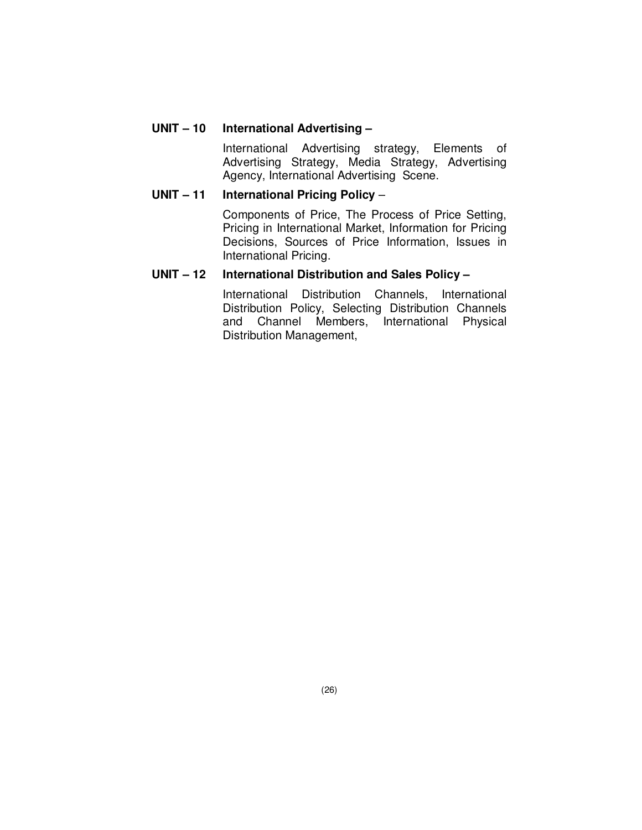## **UNIT – 10 International Advertising –**

 International Advertising strategy, Elements of Advertising Strategy, Media Strategy, Advertising Agency, International Advertising Scene.

#### **UNIT – 11 International Pricing Policy** –

 Components of Price, The Process of Price Setting, Pricing in International Market, Information for Pricing Decisions, Sources of Price Information, Issues in International Pricing.

#### **UNIT – 12 International Distribution and Sales Policy –**

 International Distribution Channels, International Distribution Policy, Selecting Distribution Channels and Channel Members, International Physical Distribution Management,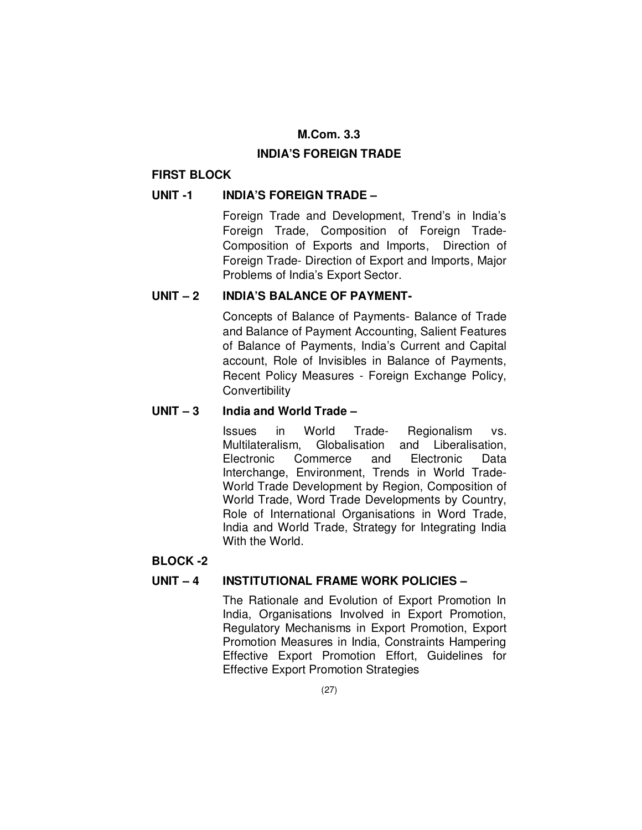## **M.Com. 3.3**

## **INDIA'S FOREIGN TRADE**

## **FIRST BLOCK**

## **UNIT -1 INDIA'S FOREIGN TRADE –**

 Foreign Trade and Development, Trend's in India's Foreign Trade, Composition of Foreign Trade-Composition of Exports and Imports, Direction of Foreign Trade- Direction of Export and Imports, Major Problems of India's Export Sector.

## **UNIT – 2 INDIA'S BALANCE OF PAYMENT-**

 Concepts of Balance of Payments- Balance of Trade and Balance of Payment Accounting, Salient Features of Balance of Payments, India's Current and Capital account, Role of Invisibles in Balance of Payments, Recent Policy Measures - Foreign Exchange Policy, **Convertibility** 

## **UNIT – 3 India and World Trade –**

 Issues in World Trade- Regionalism vs. Multilateralism, Globalisation and Liberalisation, Electronic Commerce and Electronic Data Interchange, Environment, Trends in World Trade-World Trade Development by Region, Composition of World Trade, Word Trade Developments by Country, Role of International Organisations in Word Trade, India and World Trade, Strategy for Integrating India With the World.

### **BLOCK -2**

## **UNIT – 4 INSTITUTIONAL FRAME WORK POLICIES –**

 The Rationale and Evolution of Export Promotion In India, Organisations Involved in Export Promotion, Regulatory Mechanisms in Export Promotion, Export Promotion Measures in India, Constraints Hampering Effective Export Promotion Effort, Guidelines for Effective Export Promotion Strategies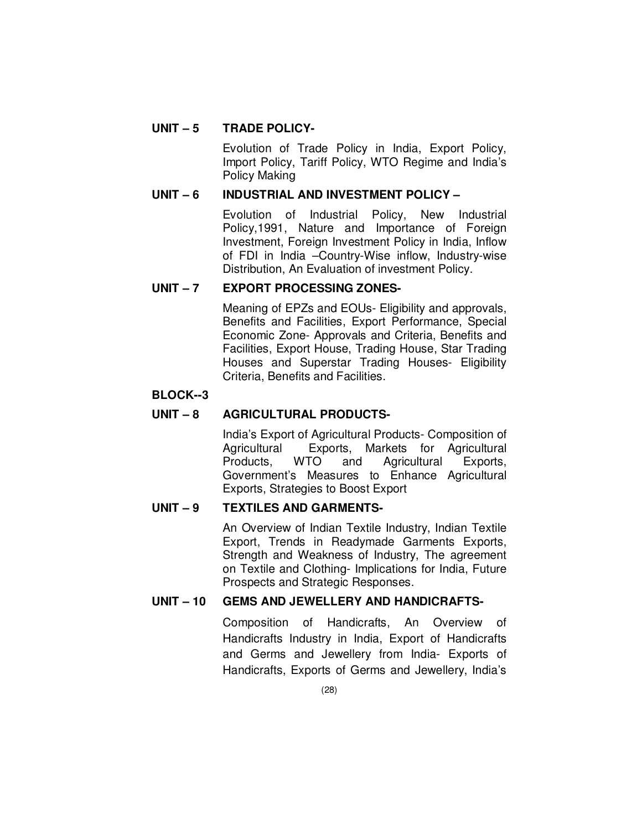## **UNIT – 5 TRADE POLICY-**

 Evolution of Trade Policy in India, Export Policy, Import Policy, Tariff Policy, WTO Regime and India's Policy Making

## **UNIT – 6 INDUSTRIAL AND INVESTMENT POLICY –**

 Evolution of Industrial Policy, New Industrial Policy,1991, Nature and Importance of Foreign Investment, Foreign Investment Policy in India, Inflow of FDI in India –Country-Wise inflow, Industry-wise Distribution, An Evaluation of investment Policy.

### **UNIT – 7 EXPORT PROCESSING ZONES-**

 Meaning of EPZs and EOUs- Eligibility and approvals, Benefits and Facilities, Export Performance, Special Economic Zone- Approvals and Criteria, Benefits and Facilities, Export House, Trading House, Star Trading Houses and Superstar Trading Houses- Eligibility Criteria, Benefits and Facilities.

## **BLOCK--3**

## **UNIT – 8 AGRICULTURAL PRODUCTS-**

 India's Export of Agricultural Products- Composition of Agricultural Exports, Markets for Agricultural Products, WTO and Agricultural Exports, Government's Measures to Enhance Agricultural Exports, Strategies to Boost Export

### **UNIT – 9 TEXTILES AND GARMENTS-**

 An Overview of Indian Textile Industry, Indian Textile Export, Trends in Readymade Garments Exports, Strength and Weakness of Industry, The agreement on Textile and Clothing- Implications for India, Future Prospects and Strategic Responses.

## **UNIT – 10 GEMS AND JEWELLERY AND HANDICRAFTS-**

 Composition of Handicrafts, An Overview of Handicrafts Industry in India, Export of Handicrafts and Germs and Jewellery from India- Exports of Handicrafts, Exports of Germs and Jewellery, India's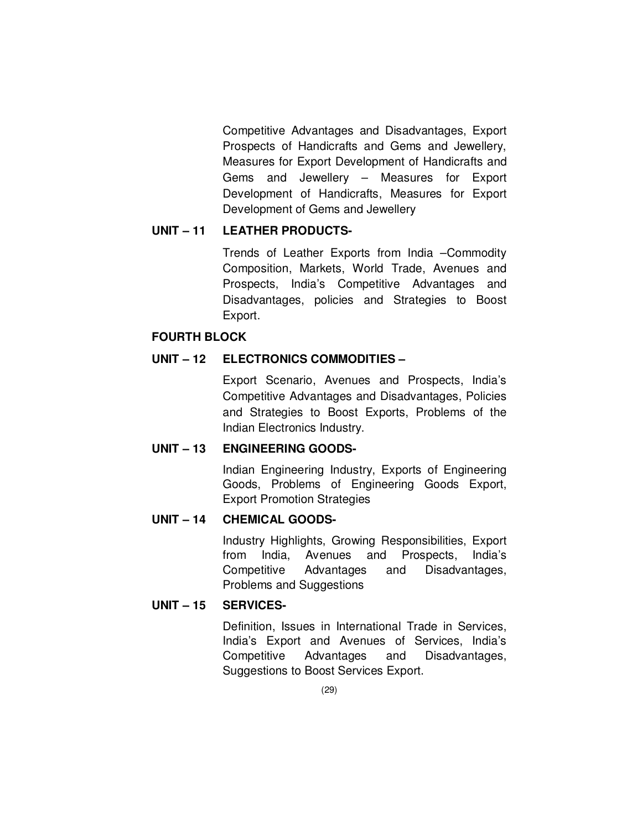Competitive Advantages and Disadvantages, Export Prospects of Handicrafts and Gems and Jewellery, Measures for Export Development of Handicrafts and Gems and Jewellery – Measures for Export Development of Handicrafts, Measures for Export Development of Gems and Jewellery

### **UNIT – 11 LEATHER PRODUCTS-**

 Trends of Leather Exports from India –Commodity Composition, Markets, World Trade, Avenues and Prospects, India's Competitive Advantages and Disadvantages, policies and Strategies to Boost Export.

#### **FOURTH BLOCK**

#### **UNIT – 12 ELECTRONICS COMMODITIES –**

 Export Scenario, Avenues and Prospects, India's Competitive Advantages and Disadvantages, Policies and Strategies to Boost Exports, Problems of the Indian Electronics Industry.

### **UNIT – 13 ENGINEERING GOODS-**

 Indian Engineering Industry, Exports of Engineering Goods, Problems of Engineering Goods Export, Export Promotion Strategies

#### **UNIT – 14 CHEMICAL GOODS-**

 Industry Highlights, Growing Responsibilities, Export from India, Avenues and Prospects, India's Competitive Advantages and Disadvantages, Problems and Suggestions

#### **UNIT – 15 SERVICES-**

 Definition, Issues in International Trade in Services, India's Export and Avenues of Services, India's Competitive Advantages and Disadvantages, Suggestions to Boost Services Export.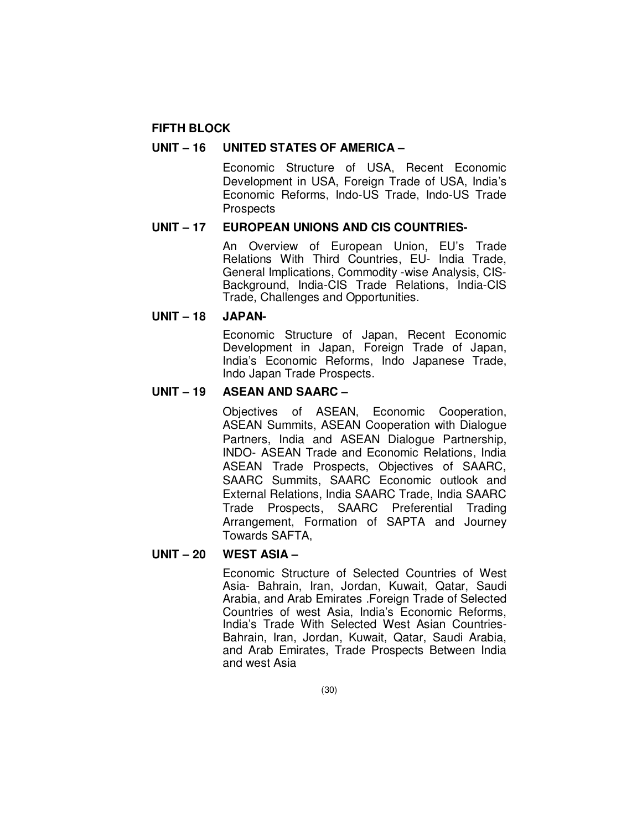#### **FIFTH BLOCK**

#### **UNIT – 16 UNITED STATES OF AMERICA –**

 Economic Structure of USA, Recent Economic Development in USA, Foreign Trade of USA, India's Economic Reforms, Indo-US Trade, Indo-US Trade **Prospects** 

#### **UNIT – 17 EUROPEAN UNIONS AND CIS COUNTRIES-**

 An Overview of European Union, EU's Trade Relations With Third Countries, EU- India Trade, General Implications, Commodity -wise Analysis, CIS-Background, India-CIS Trade Relations, India-CIS Trade, Challenges and Opportunities.

#### **UNIT – 18 JAPAN-**

 Economic Structure of Japan, Recent Economic Development in Japan, Foreign Trade of Japan, India's Economic Reforms, Indo Japanese Trade, Indo Japan Trade Prospects.

#### **UNIT – 19 ASEAN AND SAARC –**

 Objectives of ASEAN, Economic Cooperation, ASEAN Summits, ASEAN Cooperation with Dialogue Partners, India and ASEAN Dialogue Partnership, INDO- ASEAN Trade and Economic Relations, India ASEAN Trade Prospects, Objectives of SAARC, SAARC Summits, SAARC Economic outlook and External Relations, India SAARC Trade, India SAARC Trade Prospects, SAARC Preferential Trading Arrangement, Formation of SAPTA and Journey Towards SAFTA,

#### **UNIT – 20 WEST ASIA –**

 Economic Structure of Selected Countries of West Asia- Bahrain, Iran, Jordan, Kuwait, Qatar, Saudi Arabia, and Arab Emirates .Foreign Trade of Selected Countries of west Asia, India's Economic Reforms, India's Trade With Selected West Asian Countries-Bahrain, Iran, Jordan, Kuwait, Qatar, Saudi Arabia, and Arab Emirates, Trade Prospects Between India and west Asia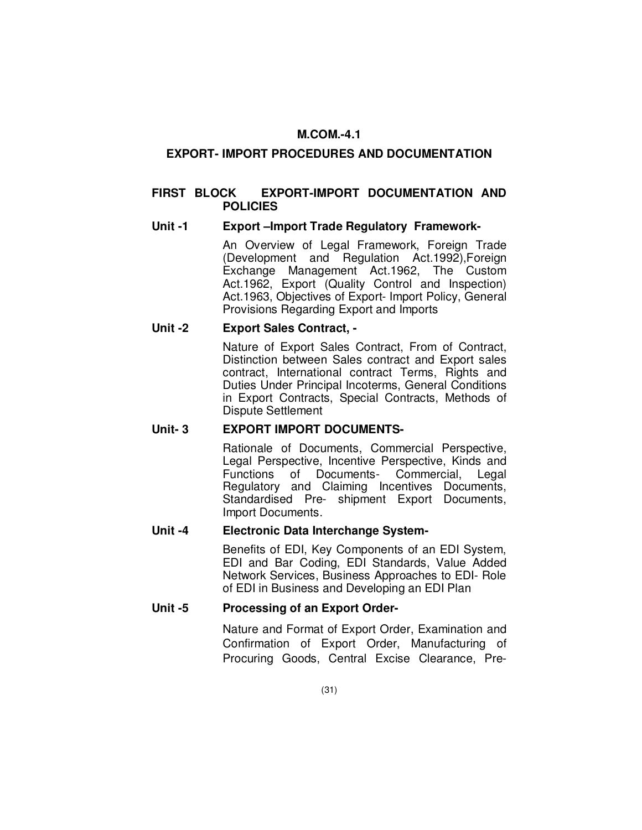# **M.COM.-4.1**

# **EXPORT- IMPORT PROCEDURES AND DOCUMENTATION**

## **FIRST BLOCK EXPORT-IMPORT DOCUMENTATION AND POLICIES**

## **Unit -1 Export –Import Trade Regulatory Framework-**

An Overview of Legal Framework, Foreign Trade (Development and Regulation Act.1992),Foreign Exchange Management Act.1962, The Custom Act.1962, Export (Quality Control and Inspection) Act.1963, Objectives of Export- Import Policy, General Provisions Regarding Export and Imports

## **Unit -2 Export Sales Contract, -**

 Nature of Export Sales Contract, From of Contract, Distinction between Sales contract and Export sales contract, International contract Terms, Rights and Duties Under Principal Incoterms, General Conditions in Export Contracts, Special Contracts, Methods of Dispute Settlement

# **Unit- 3 EXPORT IMPORT DOCUMENTS-**

 Rationale of Documents, Commercial Perspective, Legal Perspective, Incentive Perspective, Kinds and Functions of Documents- Commercial, Legal Regulatory and Claiming Incentives Documents, Standardised Pre- shipment Export Documents, Import Documents.

# **Unit -4 Electronic Data Interchange System-**

 Benefits of EDI, Key Components of an EDI System, EDI and Bar Coding, EDI Standards, Value Added Network Services, Business Approaches to EDI- Role of EDI in Business and Developing an EDI Plan

# **Unit -5 Processing of an Export Order-**

 Nature and Format of Export Order, Examination and Confirmation of Export Order, Manufacturing of Procuring Goods, Central Excise Clearance, Pre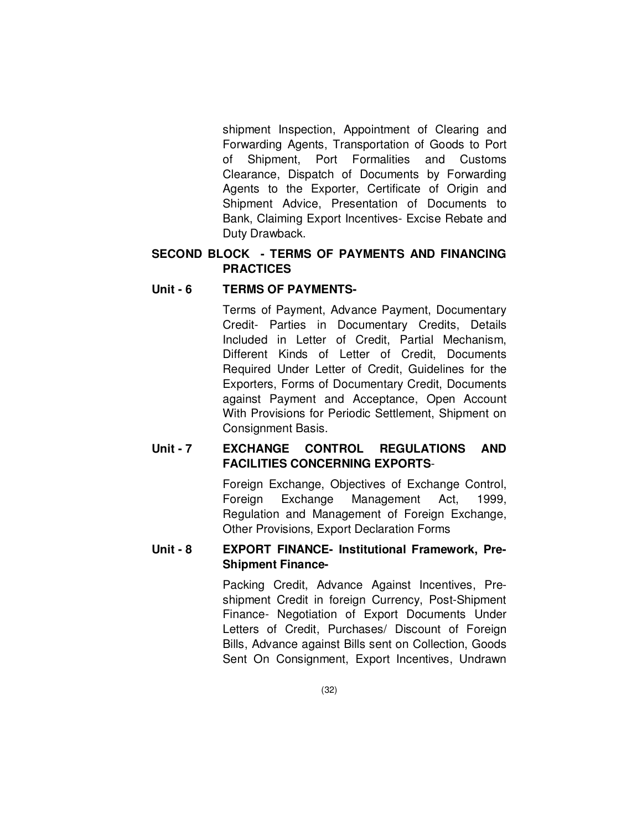shipment Inspection, Appointment of Clearing and Forwarding Agents, Transportation of Goods to Port of Shipment, Port Formalities and Customs Clearance, Dispatch of Documents by Forwarding Agents to the Exporter, Certificate of Origin and Shipment Advice, Presentation of Documents to Bank, Claiming Export Incentives- Excise Rebate and Duty Drawback.

# **SECOND BLOCK - TERMS OF PAYMENTS AND FINANCING PRACTICES**

# Unit - 6 TERMS OF PAYMENTS-

 Terms of Payment, Advance Payment, Documentary Credit- Parties in Documentary Credits, Details Included in Letter of Credit, Partial Mechanism, Different Kinds of Letter of Credit, Documents Required Under Letter of Credit, Guidelines for the Exporters, Forms of Documentary Credit, Documents against Payment and Acceptance, Open Account With Provisions for Periodic Settlement, Shipment on Consignment Basis.

# **Unit - 7 EXCHANGE CONTROL REGULATIONS AND FACILITIES CONCERNING EXPORTS**-

 Foreign Exchange, Objectives of Exchange Control, Foreign Exchange Management Act, 1999, Regulation and Management of Foreign Exchange, Other Provisions, Export Declaration Forms

# **Unit - 8 EXPORT FINANCE- Institutional Framework, Pre-Shipment Finance-**

 Packing Credit, Advance Against Incentives, Preshipment Credit in foreign Currency, Post-Shipment Finance- Negotiation of Export Documents Under Letters of Credit, Purchases/ Discount of Foreign Bills, Advance against Bills sent on Collection, Goods Sent On Consignment, Export Incentives, Undrawn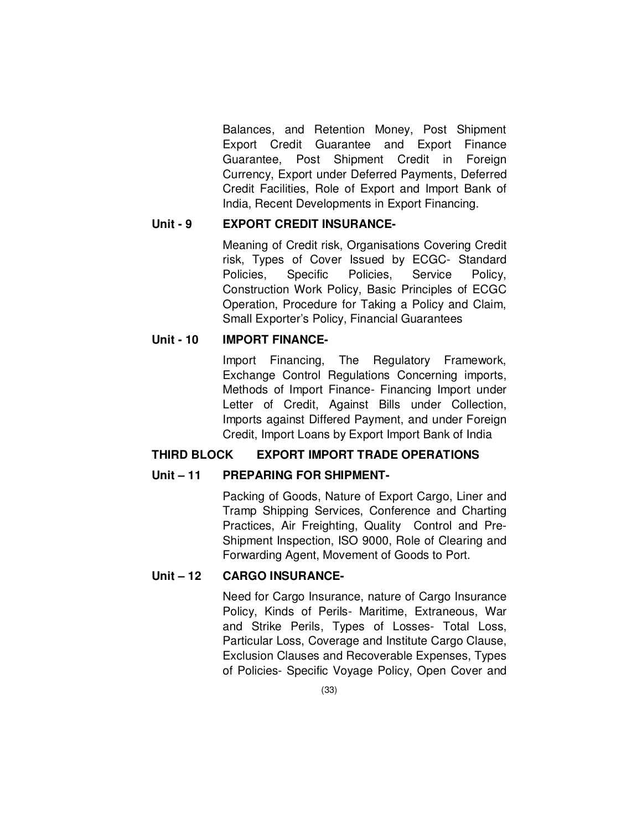Balances, and Retention Money, Post Shipment Export Credit Guarantee and Export Finance Guarantee, Post Shipment Credit in Foreign Currency, Export under Deferred Payments, Deferred Credit Facilities, Role of Export and Import Bank of India, Recent Developments in Export Financing.

# **Unit - 9 EXPORT CREDIT INSURANCE-**

 Meaning of Credit risk, Organisations Covering Credit risk, Types of Cover Issued by ECGC- Standard Policies, Specific Policies, Service Policy, Construction Work Policy, Basic Principles of ECGC Operation, Procedure for Taking a Policy and Claim, Small Exporter's Policy, Financial Guarantees

# **Unit - 10 IMPORT FINANCE-**

 Import Financing, The Regulatory Framework, Exchange Control Regulations Concerning imports, Methods of Import Finance- Financing Import under Letter of Credit, Against Bills under Collection, Imports against Differed Payment, and under Foreign Credit, Import Loans by Export Import Bank of India

# **THIRD BLOCK EXPORT IMPORT TRADE OPERATIONS**

# **Unit – 11 PREPARING FOR SHIPMENT-**

 Packing of Goods, Nature of Export Cargo, Liner and Tramp Shipping Services, Conference and Charting Practices, Air Freighting, Quality Control and Pre-Shipment Inspection, ISO 9000, Role of Clearing and Forwarding Agent, Movement of Goods to Port.

# **Unit – 12 CARGO INSURANCE-**

 Need for Cargo Insurance, nature of Cargo Insurance Policy, Kinds of Perils- Maritime, Extraneous, War and Strike Perils, Types of Losses- Total Loss, Particular Loss, Coverage and Institute Cargo Clause, Exclusion Clauses and Recoverable Expenses, Types of Policies- Specific Voyage Policy, Open Cover and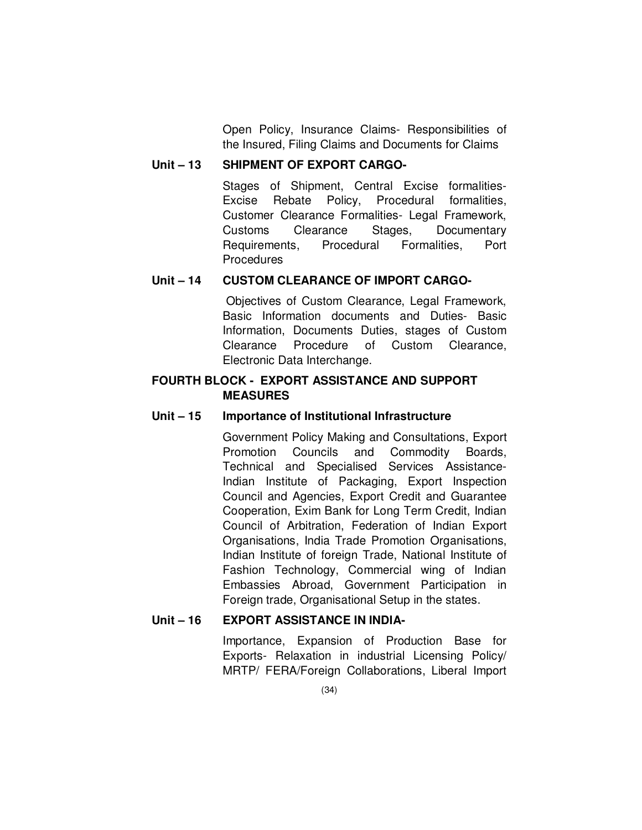Open Policy, Insurance Claims- Responsibilities of the Insured, Filing Claims and Documents for Claims

# **Unit – 13 SHIPMENT OF EXPORT CARGO-**

 Stages of Shipment, Central Excise formalities-Excise Rebate Policy, Procedural formalities, Customer Clearance Formalities- Legal Framework, Customs Clearance Stages, Documentary Requirements, Procedural Formalities, Port **Procedures** 

# **Unit – 14 CUSTOM CLEARANCE OF IMPORT CARGO-**

Objectives of Custom Clearance, Legal Framework, Basic Information documents and Duties- Basic Information, Documents Duties, stages of Custom Clearance Procedure of Custom Clearance, Electronic Data Interchange.

# **FOURTH BLOCK - EXPORT ASSISTANCE AND SUPPORT MEASURES**

# **Unit – 15 Importance of Institutional Infrastructure**

 Government Policy Making and Consultations, Export Promotion Councils and Commodity Boards, Technical and Specialised Services Assistance-Indian Institute of Packaging, Export Inspection Council and Agencies, Export Credit and Guarantee Cooperation, Exim Bank for Long Term Credit, Indian Council of Arbitration, Federation of Indian Export Organisations, India Trade Promotion Organisations, Indian Institute of foreign Trade, National Institute of Fashion Technology, Commercial wing of Indian Embassies Abroad, Government Participation in Foreign trade, Organisational Setup in the states.

# **Unit – 16 EXPORT ASSISTANCE IN INDIA-**

 Importance, Expansion of Production Base for Exports- Relaxation in industrial Licensing Policy/ MRTP/ FERA/Foreign Collaborations, Liberal Import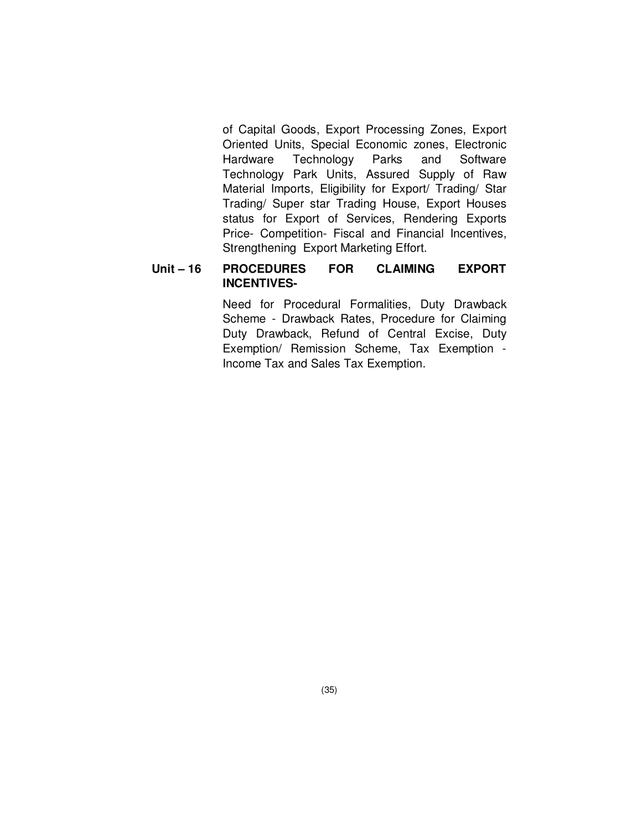of Capital Goods, Export Processing Zones, Export Oriented Units, Special Economic zones, Electronic Hardware Technology Parks and Software Technology Park Units, Assured Supply of Raw Material Imports, Eligibility for Export/ Trading/ Star Trading/ Super star Trading House, Export Houses status for Export of Services, Rendering Exports Price- Competition- Fiscal and Financial Incentives, Strengthening Export Marketing Effort.

# **Unit – 16 PROCEDURES FOR CLAIMING EXPORT INCENTIVES-**

 Need for Procedural Formalities, Duty Drawback Scheme - Drawback Rates, Procedure for Claiming Duty Drawback, Refund of Central Excise, Duty Exemption/ Remission Scheme, Tax Exemption - Income Tax and Sales Tax Exemption.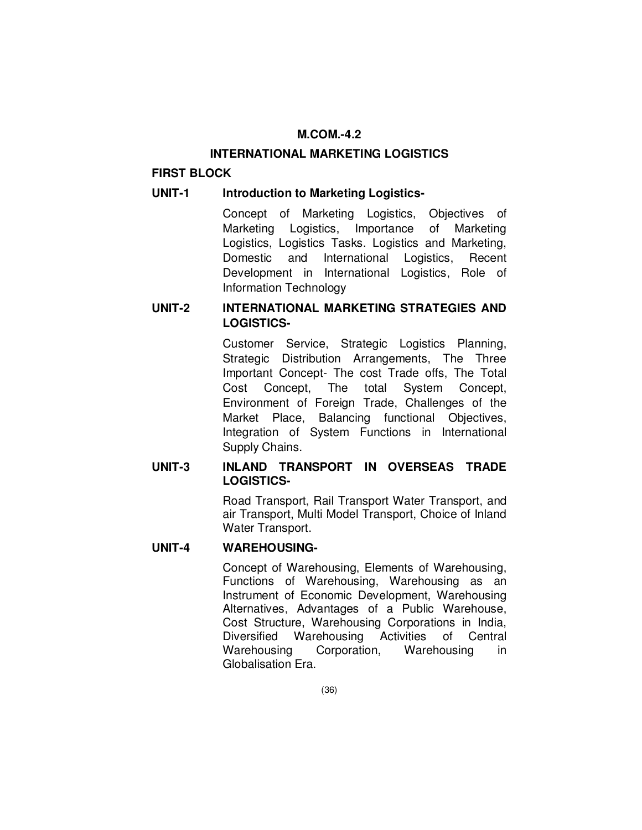# **M.COM.-4.2**

## **INTERNATIONAL MARKETING LOGISTICS**

# **FIRST BLOCK**

# **UNIT-1 Introduction to Marketing Logistics-**

 Concept of Marketing Logistics, Objectives of Marketing Logistics, Importance of Marketing Logistics, Logistics Tasks. Logistics and Marketing, Domestic and International Logistics, Recent Development in International Logistics, Role of Information Technology

# **UNIT-2 INTERNATIONAL MARKETING STRATEGIES AND LOGISTICS-**

 Customer Service, Strategic Logistics Planning, Strategic Distribution Arrangements, The Three Important Concept- The cost Trade offs, The Total Cost Concept, The total System Concept, Environment of Foreign Trade, Challenges of the Market Place, Balancing functional Objectives, Integration of System Functions in International Supply Chains.

# **UNIT-3 INLAND TRANSPORT IN OVERSEAS TRADE LOGISTICS-**

 Road Transport, Rail Transport Water Transport, and air Transport, Multi Model Transport, Choice of Inland Water Transport.

# **UNIT-4 WAREHOUSING-**

 Concept of Warehousing, Elements of Warehousing, Functions of Warehousing, Warehousing as an Instrument of Economic Development, Warehousing Alternatives, Advantages of a Public Warehouse, Cost Structure, Warehousing Corporations in India, Diversified Warehousing Activities of Central Warehousing Corporation, Warehousing in Globalisation Era.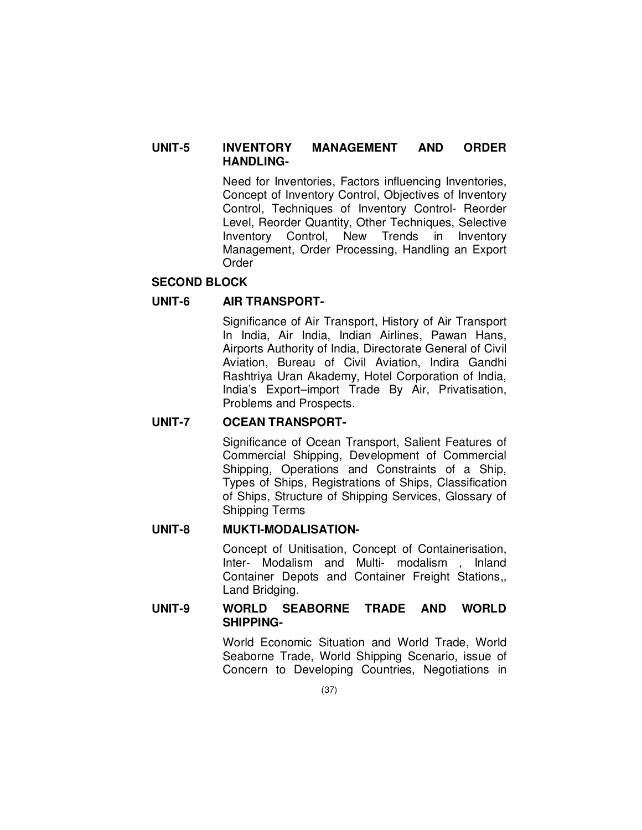## **UNIT-5 INVENTORY MANAGEMENT AND ORDER HANDLING-**

 Need for Inventories, Factors influencing Inventories, Concept of Inventory Control, Objectives of Inventory Control, Techniques of Inventory Control- Reorder Level, Reorder Quantity, Other Techniques, Selective Inventory Control, New Trends in Inventory Management, Order Processing, Handling an Export Order

# **SECOND BLOCK**

# **UNIT-6 AIR TRANSPORT-**

 Significance of Air Transport, History of Air Transport In India, Air India, Indian Airlines, Pawan Hans, Airports Authority of India, Directorate General of Civil Aviation, Bureau of Civil Aviation, Indira Gandhi Rashtriya Uran Akademy, Hotel Corporation of India, India's Export–import Trade By Air, Privatisation, Problems and Prospects.

# **UNIT-7 OCEAN TRANSPORT-**

 Significance of Ocean Transport, Salient Features of Commercial Shipping, Development of Commercial Shipping, Operations and Constraints of a Ship, Types of Ships, Registrations of Ships, Classification of Ships, Structure of Shipping Services, Glossary of Shipping Terms

# **UNIT-8 MUKTI-MODALISATION-**

 Concept of Unitisation, Concept of Containerisation, Inter- Modalism and Multi- modalism , Inland Container Depots and Container Freight Stations,, Land Bridging.

## **UNIT-9 WORLD SEABORNE TRADE AND WORLD SHIPPING-**

 World Economic Situation and World Trade, World Seaborne Trade, World Shipping Scenario, issue of Concern to Developing Countries, Negotiations in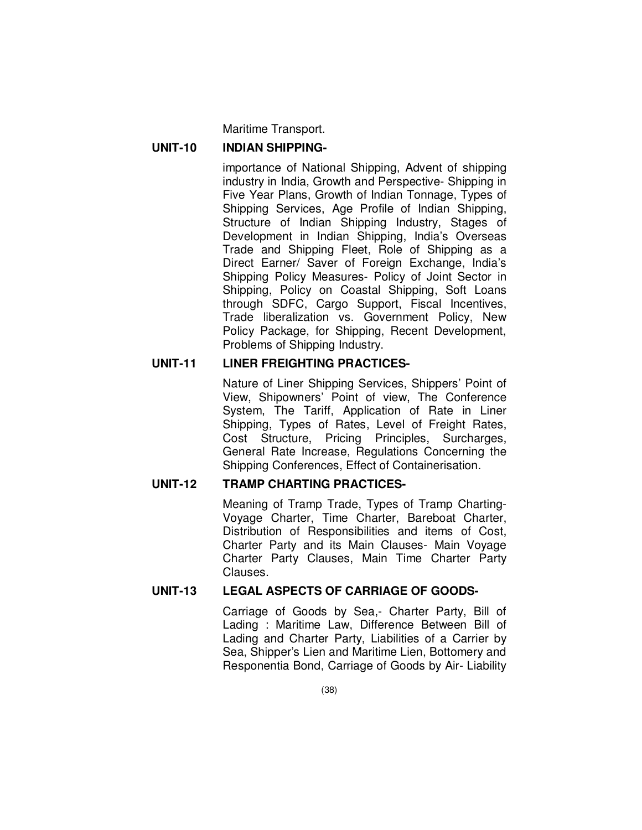Maritime Transport.

### **UNIT-10 INDIAN SHIPPING-**

 importance of National Shipping, Advent of shipping industry in India, Growth and Perspective- Shipping in Five Year Plans, Growth of Indian Tonnage, Types of Shipping Services, Age Profile of Indian Shipping, Structure of Indian Shipping Industry, Stages of Development in Indian Shipping, India's Overseas Trade and Shipping Fleet, Role of Shipping as a Direct Earner/ Saver of Foreign Exchange, India's Shipping Policy Measures- Policy of Joint Sector in Shipping, Policy on Coastal Shipping, Soft Loans through SDFC, Cargo Support, Fiscal Incentives, Trade liberalization vs. Government Policy, New Policy Package, for Shipping, Recent Development, Problems of Shipping Industry.

# **UNIT-11 LINER FREIGHTING PRACTICES-**

 Nature of Liner Shipping Services, Shippers' Point of View, Shipowners' Point of view, The Conference System, The Tariff, Application of Rate in Liner Shipping, Types of Rates, Level of Freight Rates, Cost Structure, Pricing Principles, Surcharges, General Rate Increase, Regulations Concerning the Shipping Conferences, Effect of Containerisation.

# **UNIT-12 TRAMP CHARTING PRACTICES-**

 Meaning of Tramp Trade, Types of Tramp Charting-Voyage Charter, Time Charter, Bareboat Charter, Distribution of Responsibilities and items of Cost, Charter Party and its Main Clauses- Main Voyage Charter Party Clauses, Main Time Charter Party Clauses.

# **UNIT-13 LEGAL ASPECTS OF CARRIAGE OF GOODS-**

 Carriage of Goods by Sea,- Charter Party, Bill of Lading : Maritime Law, Difference Between Bill of Lading and Charter Party, Liabilities of a Carrier by Sea, Shipper's Lien and Maritime Lien, Bottomery and Responentia Bond, Carriage of Goods by Air- Liability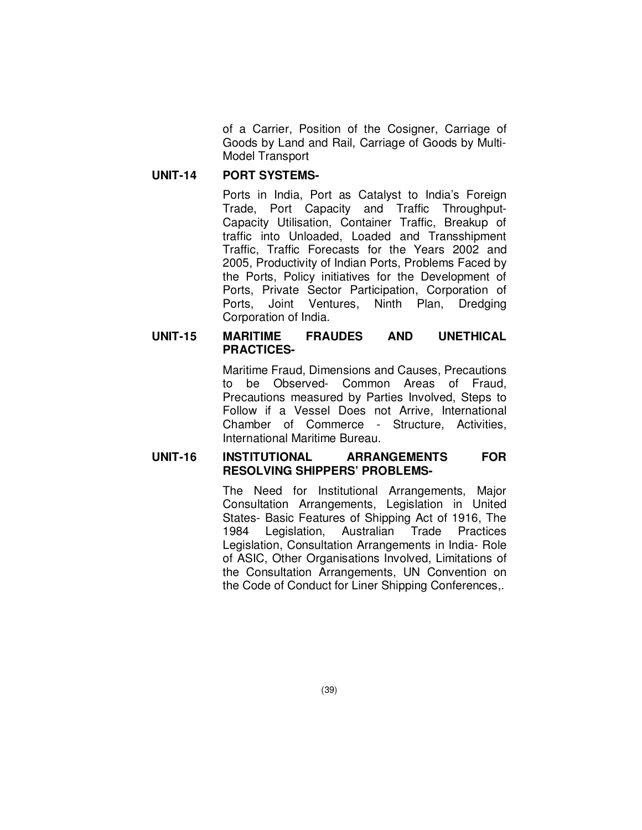of a Carrier, Position of the Cosigner, Carriage of Goods by Land and Rail, Carriage of Goods by Multi-Model Transport

### **UNIT-14 PORT SYSTEMS-**

 Ports in India, Port as Catalyst to India's Foreign Trade, Port Capacity and Traffic Throughput-Capacity Utilisation, Container Traffic, Breakup of traffic into Unloaded, Loaded and Transshipment Traffic, Traffic Forecasts for the Years 2002 and 2005, Productivity of Indian Ports, Problems Faced by the Ports, Policy initiatives for the Development of Ports, Private Sector Participation, Corporation of Ports, Joint Ventures, Ninth Plan, Dredging Corporation of India.

## **UNIT-15 MARITIME FRAUDES AND UNETHICAL PRACTICES-**

 Maritime Fraud, Dimensions and Causes, Precautions to be Observed- Common Areas of Fraud, Precautions measured by Parties Involved, Steps to Follow if a Vessel Does not Arrive, International Chamber of Commerce - Structure, Activities, International Maritime Bureau.

### **UNIT-16 INSTITUTIONAL ARRANGEMENTS FOR RESOLVING SHIPPERS' PROBLEMS-**

 The Need for Institutional Arrangements, Major Consultation Arrangements, Legislation in United States- Basic Features of Shipping Act of 1916, The 1984 Legislation, Australian Trade Practices Legislation, Consultation Arrangements in India- Role of ASIC, Other Organisations Involved, Limitations of the Consultation Arrangements, UN Convention on the Code of Conduct for Liner Shipping Conferences,.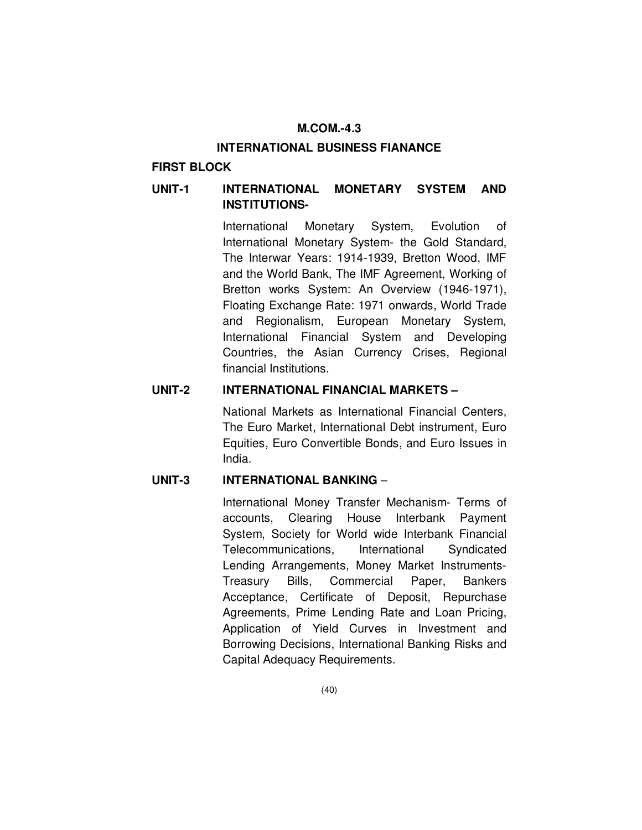### **M.COM.-4.3**

#### **INTERNATIONAL BUSINESS FIANANCE**

# **FIRST BLOCK**

# **UNIT-1 INTERNATIONAL MONETARY SYSTEM AND INSTITUTIONS-**

 International Monetary System, Evolution of International Monetary System- the Gold Standard, The Interwar Years: 1914-1939, Bretton Wood, IMF and the World Bank, The IMF Agreement, Working of Bretton works System: An Overview (1946-1971), Floating Exchange Rate: 1971 onwards, World Trade and Regionalism, European Monetary System, International Financial System and Developing Countries, the Asian Currency Crises, Regional financial Institutions.

## **UNIT-2 INTERNATIONAL FINANCIAL MARKETS –**

National Markets as International Financial Centers, The Euro Market, International Debt instrument, Euro Equities, Euro Convertible Bonds, and Euro Issues in India.

## **UNIT-3 INTERNATIONAL BANKING** –

International Money Transfer Mechanism- Terms of accounts, Clearing House Interbank Payment System, Society for World wide Interbank Financial Telecommunications, International Syndicated Lending Arrangements, Money Market Instruments-Treasury Bills, Commercial Paper, Bankers Acceptance, Certificate of Deposit, Repurchase Agreements, Prime Lending Rate and Loan Pricing, Application of Yield Curves in Investment and Borrowing Decisions, International Banking Risks and Capital Adequacy Requirements.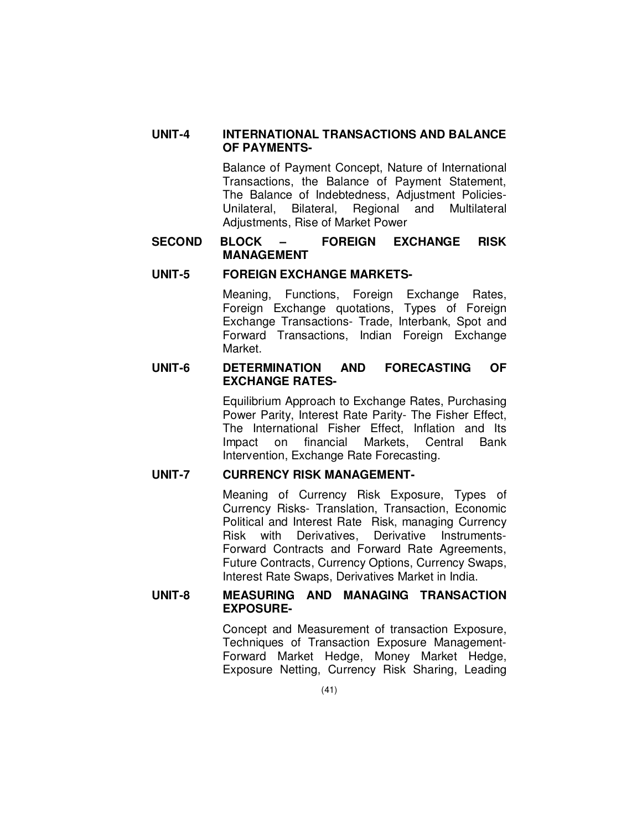# **UNIT-4 INTERNATIONAL TRANSACTIONS AND BALANCE OF PAYMENTS-**

 Balance of Payment Concept, Nature of International Transactions, the Balance of Payment Statement, The Balance of Indebtedness, Adjustment Policies-Unilateral, Bilateral, Regional and Multilateral Adjustments, Rise of Market Power

## **SECOND BLOCK – FOREIGN EXCHANGE RISK MANAGEMENT**

# **UNIT-5 FOREIGN EXCHANGE MARKETS-**

 Meaning, Functions, Foreign Exchange Rates, Foreign Exchange quotations, Types of Foreign Exchange Transactions- Trade, Interbank, Spot and Forward Transactions, Indian Foreign Exchange Market.

### **UNIT-6 DETERMINATION AND FORECASTING OF EXCHANGE RATES-**

 Equilibrium Approach to Exchange Rates, Purchasing Power Parity, Interest Rate Parity- The Fisher Effect, The International Fisher Effect, Inflation and Its Impact on financial Markets, Central Bank Intervention, Exchange Rate Forecasting.

# **UNIT-7 CURRENCY RISK MANAGEMENT-**

 Meaning of Currency Risk Exposure, Types of Currency Risks- Translation, Transaction, Economic Political and Interest Rate Risk, managing Currency Risk with Derivatives, Derivative Instruments-Forward Contracts and Forward Rate Agreements, Future Contracts, Currency Options, Currency Swaps, Interest Rate Swaps, Derivatives Market in India.

## **UNIT-8 MEASURING AND MANAGING TRANSACTION EXPOSURE-**

 Concept and Measurement of transaction Exposure, Techniques of Transaction Exposure Management-Forward Market Hedge, Money Market Hedge, Exposure Netting, Currency Risk Sharing, Leading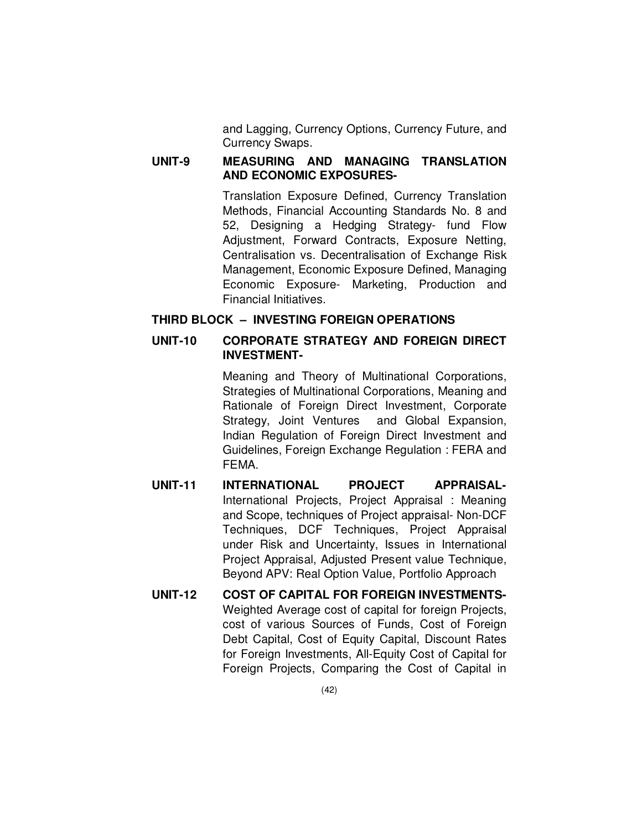and Lagging, Currency Options, Currency Future, and Currency Swaps.

## **UNIT-9 MEASURING AND MANAGING TRANSLATION AND ECONOMIC EXPOSURES-**

 Translation Exposure Defined, Currency Translation Methods, Financial Accounting Standards No. 8 and 52, Designing a Hedging Strategy- fund Flow Adjustment, Forward Contracts, Exposure Netting, Centralisation vs. Decentralisation of Exchange Risk Management, Economic Exposure Defined, Managing Economic Exposure- Marketing, Production and Financial Initiatives.

# **THIRD BLOCK – INVESTING FOREIGN OPERATIONS**

## **UNIT-10 CORPORATE STRATEGY AND FOREIGN DIRECT INVESTMENT-**

 Meaning and Theory of Multinational Corporations, Strategies of Multinational Corporations, Meaning and Rationale of Foreign Direct Investment, Corporate Strategy, Joint Ventures and Global Expansion, Indian Regulation of Foreign Direct Investment and Guidelines, Foreign Exchange Regulation : FERA and FEMA.

- **UNIT-11 INTERNATIONAL PROJECT APPRAISAL-**International Projects, Project Appraisal : Meaning and Scope, techniques of Project appraisal- Non-DCF Techniques, DCF Techniques, Project Appraisal under Risk and Uncertainty, Issues in International Project Appraisal, Adjusted Present value Technique, Beyond APV: Real Option Value, Portfolio Approach
- **UNIT-12 COST OF CAPITAL FOR FOREIGN INVESTMENTS-**Weighted Average cost of capital for foreign Projects, cost of various Sources of Funds, Cost of Foreign Debt Capital, Cost of Equity Capital, Discount Rates for Foreign Investments, All-Equity Cost of Capital for Foreign Projects, Comparing the Cost of Capital in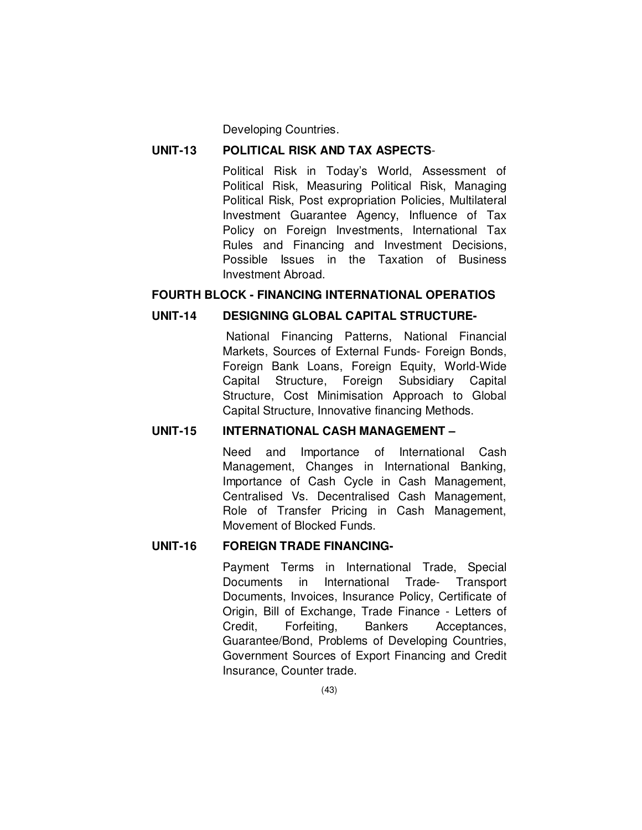Developing Countries.

### **UNIT-13 POLITICAL RISK AND TAX ASPECTS**-

Political Risk in Today's World, Assessment of Political Risk, Measuring Political Risk, Managing Political Risk, Post expropriation Policies, Multilateral Investment Guarantee Agency, Influence of Tax Policy on Foreign Investments, International Tax Rules and Financing and Investment Decisions, Possible Issues in the Taxation of Business Investment Abroad.

## **FOURTH BLOCK - FINANCING INTERNATIONAL OPERATIOS**

## **UNIT-14 DESIGNING GLOBAL CAPITAL STRUCTURE-**

 National Financing Patterns, National Financial Markets, Sources of External Funds- Foreign Bonds, Foreign Bank Loans, Foreign Equity, World-Wide Capital Structure, Foreign Subsidiary Capital Structure, Cost Minimisation Approach to Global Capital Structure, Innovative financing Methods.

### **UNIT-15 INTERNATIONAL CASH MANAGEMENT –**

 Need and Importance of International Cash Management, Changes in International Banking, Importance of Cash Cycle in Cash Management, Centralised Vs. Decentralised Cash Management, Role of Transfer Pricing in Cash Management, Movement of Blocked Funds.

### **UNIT-16 FOREIGN TRADE FINANCING-**

 Payment Terms in International Trade, Special Documents in International Trade- Transport Documents, Invoices, Insurance Policy, Certificate of Origin, Bill of Exchange, Trade Finance - Letters of Credit, Forfeiting, Bankers Acceptances, Guarantee/Bond, Problems of Developing Countries, Government Sources of Export Financing and Credit Insurance, Counter trade.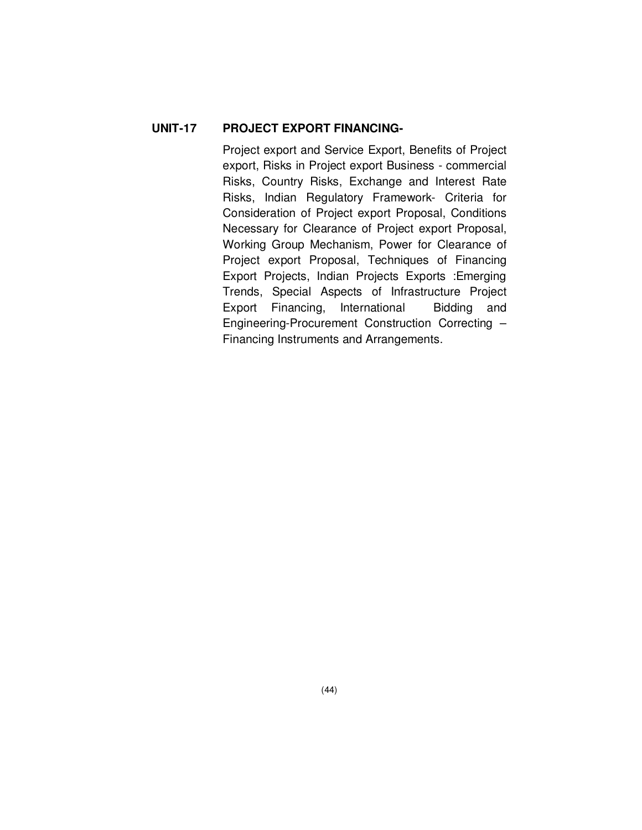# **UNIT-17 PROJECT EXPORT FINANCING-**

 Project export and Service Export, Benefits of Project export, Risks in Project export Business - commercial Risks, Country Risks, Exchange and Interest Rate Risks, Indian Regulatory Framework- Criteria for Consideration of Project export Proposal, Conditions Necessary for Clearance of Project export Proposal, Working Group Mechanism, Power for Clearance of Project export Proposal, Techniques of Financing Export Projects, Indian Projects Exports :Emerging Trends, Special Aspects of Infrastructure Project Export Financing, International Bidding and Engineering-Procurement Construction Correcting – Financing Instruments and Arrangements.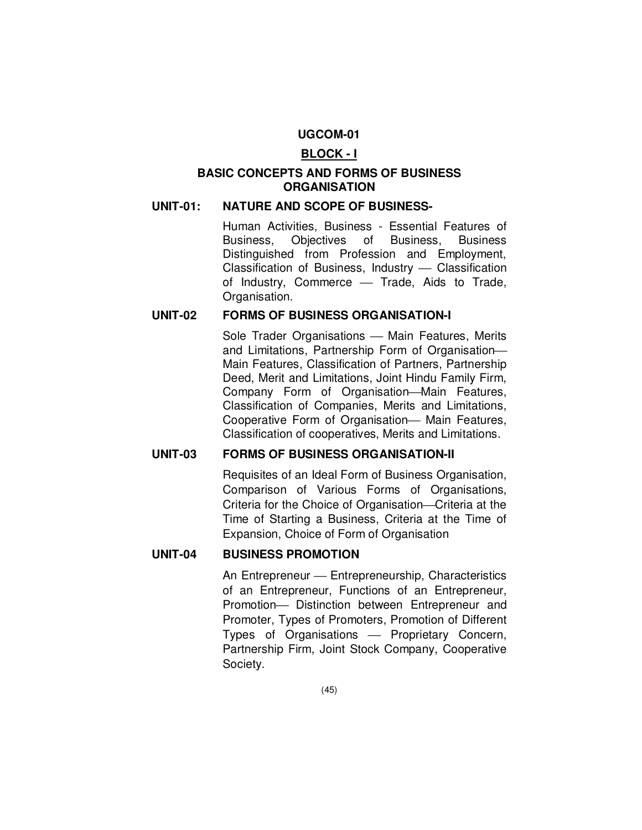## **UGCOM-01**

### **BLOCK - I**

# **BASIC CONCEPTS AND FORMS OF BUSINESS ORGANISATION**

#### **UNIT-01: NATURE AND SCOPE OF BUSINESS-**

 Human Activities, Business - Essential Features of Business, Objectives of Business, Business Distinguished from Profession and Employment, Classification of Business, Industry – Classification of Industry, Commerce - Trade, Aids to Trade. Organisation.

#### **UNIT-02 FORMS OF BUSINESS ORGANISATION-I**

Sole Trader Organisations - Main Features, Merits and Limitations, Partnership Form of Organisation Main Features, Classification of Partners, Partnership Deed, Merit and Limitations, Joint Hindu Family Firm, Company Form of Organisation-Main Features, Classification of Companies, Merits and Limitations, Cooperative Form of Organisation- Main Features, Classification of cooperatives, Merits and Limitations.

### **UNIT-03 FORMS OF BUSINESS ORGANISATION-II**

 Requisites of an Ideal Form of Business Organisation, Comparison of Various Forms of Organisations, Criteria for the Choice of Organisation—Criteria at the Time of Starting a Business, Criteria at the Time of Expansion, Choice of Form of Organisation

## **UNIT-04 BUSINESS PROMOTION**

An Entrepreneur — Entrepreneurship, Characteristics of an Entrepreneur, Functions of an Entrepreneur, Promotion- Distinction between Entrepreneur and Promoter, Types of Promoters, Promotion of Different Types of Organisations - Proprietary Concern, Partnership Firm, Joint Stock Company, Cooperative Society.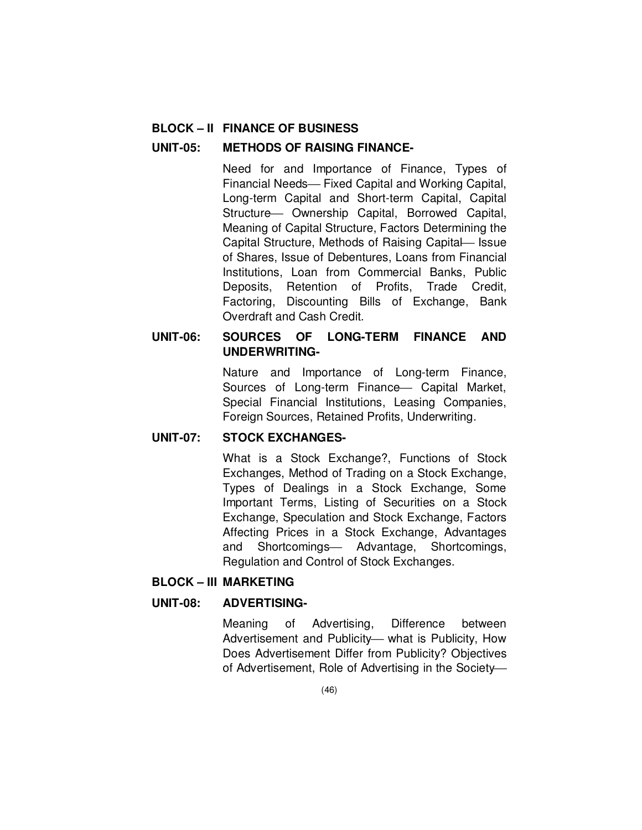## **BLOCK – II FINANCE OF BUSINESS**

### **UNIT-05: METHODS OF RAISING FINANCE-**

 Need for and Importance of Finance, Types of Financial Needs- Fixed Capital and Working Capital, Long-term Capital and Short-term Capital, Capital Structure- Ownership Capital, Borrowed Capital, Meaning of Capital Structure, Factors Determining the Capital Structure, Methods of Raising Capital Issue of Shares, Issue of Debentures, Loans from Financial Institutions, Loan from Commercial Banks, Public Deposits, Retention of Profits, Trade Credit, Factoring, Discounting Bills of Exchange, Bank Overdraft and Cash Credit.

# **UNIT-06: SOURCES OF LONG-TERM FINANCE AND UNDERWRITING-**

 Nature and Importance of Long-term Finance, Sources of Long-term Finance - Capital Market, Special Financial Institutions, Leasing Companies, Foreign Sources, Retained Profits, Underwriting.

### **UNIT-07: STOCK EXCHANGES-**

 What is a Stock Exchange?, Functions of Stock Exchanges, Method of Trading on a Stock Exchange, Types of Dealings in a Stock Exchange, Some Important Terms, Listing of Securities on a Stock Exchange, Speculation and Stock Exchange, Factors Affecting Prices in a Stock Exchange, Advantages and Shortcomings- Advantage, Shortcomings, Regulation and Control of Stock Exchanges.

# **BLOCK – III MARKETING**

### **UNIT-08: ADVERTISING-**

 Meaning of Advertising, Difference between Advertisement and Publicity- what is Publicity, How Does Advertisement Differ from Publicity? Objectives of Advertisement, Role of Advertising in the Society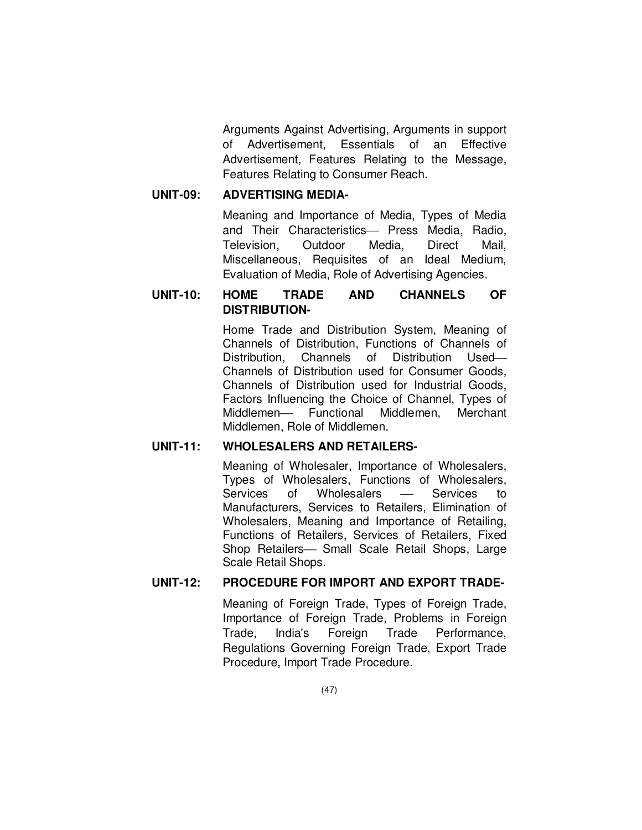Arguments Against Advertising, Arguments in support of Advertisement, Essentials of an Effective Advertisement, Features Relating to the Message, Features Relating to Consumer Reach.

## **UNIT-09: ADVERTISING MEDIA-**

 Meaning and Importance of Media, Types of Media and Their Characteristics- Press Media, Radio, Television, Outdoor Media, Direct Mail, Miscellaneous, Requisites of an Ideal Medium, Evaluation of Media, Role of Advertising Agencies.

# **UNIT-10: HOME TRADE AND CHANNELS OF DISTRIBUTION-**

 Home Trade and Distribution System, Meaning of Channels of Distribution, Functions of Channels of Distribution, Channels of Distribution Used Channels of Distribution used for Consumer Goods, Channels of Distribution used for Industrial Goods, Factors Influencing the Choice of Channel, Types of Middlemen- Functional Middlemen, Merchant Middlemen, Role of Middlemen.

## **UNIT-11: WHOLESALERS AND RETAILERS-**

 Meaning of Wholesaler, Importance of Wholesalers, Types of Wholesalers, Functions of Wholesalers, Services of Wholesalers — Services to Manufacturers, Services to Retailers, Elimination of Wholesalers, Meaning and Importance of Retailing, Functions of Retailers, Services of Retailers, Fixed Shop Retailers- Small Scale Retail Shops, Large Scale Retail Shops.

# **UNIT-12: PROCEDURE FOR IMPORT AND EXPORT TRADE-**

 Meaning of Foreign Trade, Types of Foreign Trade, Importance of Foreign Trade, Problems in Foreign Trade, India's Foreign Trade Performance, Regulations Governing Foreign Trade, Export Trade Procedure, Import Trade Procedure.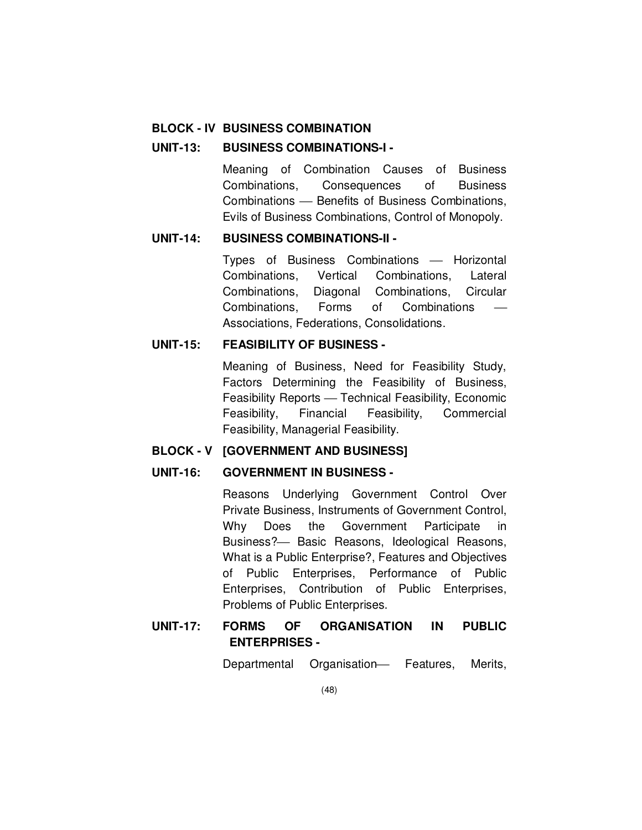### **BLOCK - IV BUSINESS COMBINATION**

#### **UNIT-13: BUSINESS COMBINATIONS-I -**

 Meaning of Combination Causes of Business Combinations, Consequences of Business Combinations – Benefits of Business Combinations, Evils of Business Combinations, Control of Monopoly.

## **UNIT-14: BUSINESS COMBINATIONS-II -**

Types of Business Combinations — Horizontal Combinations, Vertical Combinations, Lateral Combinations, Diagonal Combinations, Circular Combinations, Forms of Combinations Associations, Federations, Consolidations.

#### **UNIT-15: FEASIBILITY OF BUSINESS -**

 Meaning of Business, Need for Feasibility Study, Factors Determining the Feasibility of Business, Feasibility Reports - Technical Feasibility, Economic Feasibility, Financial Feasibility, Commercial Feasibility, Managerial Feasibility.

### **BLOCK - V [GOVERNMENT AND BUSINESS]**

# **UNIT-16: GOVERNMENT IN BUSINESS -**

 Reasons Underlying Government Control Over Private Business, Instruments of Government Control, Why Does the Government Participate in Business? - Basic Reasons, Ideological Reasons, What is a Public Enterprise?, Features and Objectives of Public Enterprises, Performance of Public Enterprises, Contribution of Public Enterprises, Problems of Public Enterprises.

# **UNIT-17: FORMS OF ORGANISATION IN PUBLIC ENTERPRISES -**

Departmental Organisation- Features, Merits,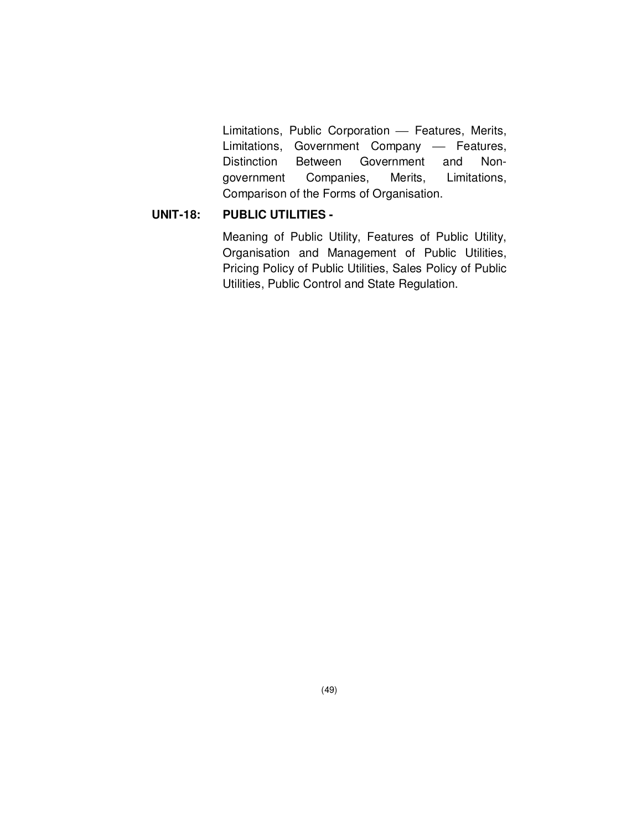Limitations, Public Corporation - Features, Merits, Limitations, Government Company - Features, Distinction Between Government and Nongovernment Companies, Merits, Limitations, Comparison of the Forms of Organisation.

# **UNIT-18: PUBLIC UTILITIES -**

 Meaning of Public Utility, Features of Public Utility, Organisation and Management of Public Utilities, Pricing Policy of Public Utilities, Sales Policy of Public Utilities, Public Control and State Regulation.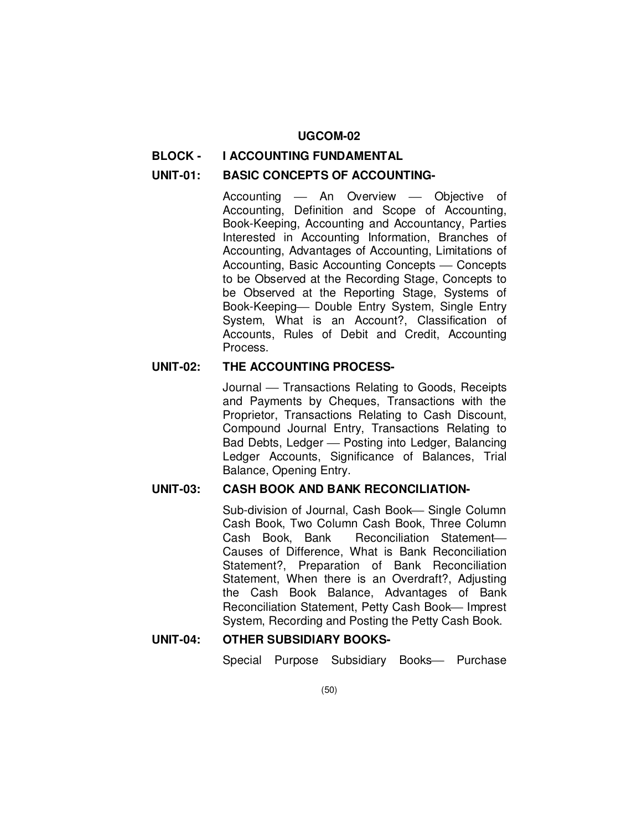#### **UGCOM-02**

### **BLOCK - I ACCOUNTING FUNDAMENTAL**

#### **UNIT-01: BASIC CONCEPTS OF ACCOUNTING-**

Accounting - An Overview - Objective of Accounting, Definition and Scope of Accounting, Book-Keeping, Accounting and Accountancy, Parties Interested in Accounting Information, Branches of Accounting, Advantages of Accounting, Limitations of Accounting, Basic Accounting Concepts - Concepts to be Observed at the Recording Stage, Concepts to be Observed at the Reporting Stage, Systems of Book-Keeping- Double Entry System, Single Entry System, What is an Account?, Classification of Accounts, Rules of Debit and Credit, Accounting Process.

#### **UNIT-02: THE ACCOUNTING PROCESS-**

Journal – Transactions Relating to Goods, Receipts and Payments by Cheques, Transactions with the Proprietor, Transactions Relating to Cash Discount, Compound Journal Entry, Transactions Relating to Bad Debts, Ledger – Posting into Ledger, Balancing Ledger Accounts, Significance of Balances, Trial Balance, Opening Entry.

### **UNIT-03: CASH BOOK AND BANK RECONCILIATION-**

Sub-division of Journal, Cash Book-Single Column Cash Book, Two Column Cash Book, Three Column Cash Book, Bank Reconciliation Statement Causes of Difference, What is Bank Reconciliation Statement?, Preparation of Bank Reconciliation Statement, When there is an Overdraft?, Adjusting the Cash Book Balance, Advantages of Bank Reconciliation Statement, Petty Cash Book-Imprest System, Recording and Posting the Petty Cash Book.

# **UNIT-04: OTHER SUBSIDIARY BOOKS-**

Special Purpose Subsidiary Books- Purchase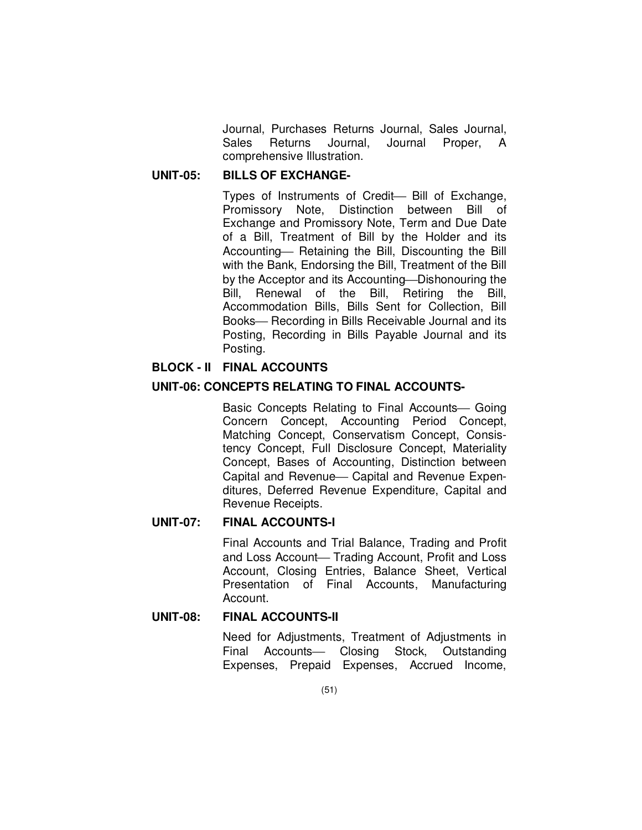Journal, Purchases Returns Journal, Sales Journal, Sales Returns Journal, Journal Proper, A comprehensive Illustration.

## **UNIT-05: BILLS OF EXCHANGE-**

Types of Instruments of Credit- Bill of Exchange, Promissory Note, Distinction between Bill of Exchange and Promissory Note, Term and Due Date of a Bill, Treatment of Bill by the Holder and its Accounting – Retaining the Bill, Discounting the Bill with the Bank, Endorsing the Bill, Treatment of the Bill by the Acceptor and its Accounting—Dishonouring the Bill, Renewal of the Bill, Retiring the Bill, Accommodation Bills, Bills Sent for Collection, Bill Books— Recording in Bills Receivable Journal and its Posting, Recording in Bills Payable Journal and its Posting.

## **BLOCK - II FINAL ACCOUNTS**

## **UNIT-06: CONCEPTS RELATING TO FINAL ACCOUNTS-**

Basic Concepts Relating to Final Accounts— Going Concern Concept, Accounting Period Concept, Matching Concept, Conservatism Concept, Consistency Concept, Full Disclosure Concept, Materiality Concept, Bases of Accounting, Distinction between Capital and Revenue - Capital and Revenue Expenditures, Deferred Revenue Expenditure, Capital and Revenue Receipts.

### **UNIT-07: FINAL ACCOUNTS-I**

Final Accounts and Trial Balance, Trading and Profit and Loss Account- Trading Account, Profit and Loss Account, Closing Entries, Balance Sheet, Vertical Presentation of Final Accounts, Manufacturing Account.

## **UNIT-08: FINAL ACCOUNTS-II**

 Need for Adjustments, Treatment of Adjustments in Final Accounts- Closing Stock, Outstanding Expenses, Prepaid Expenses, Accrued Income,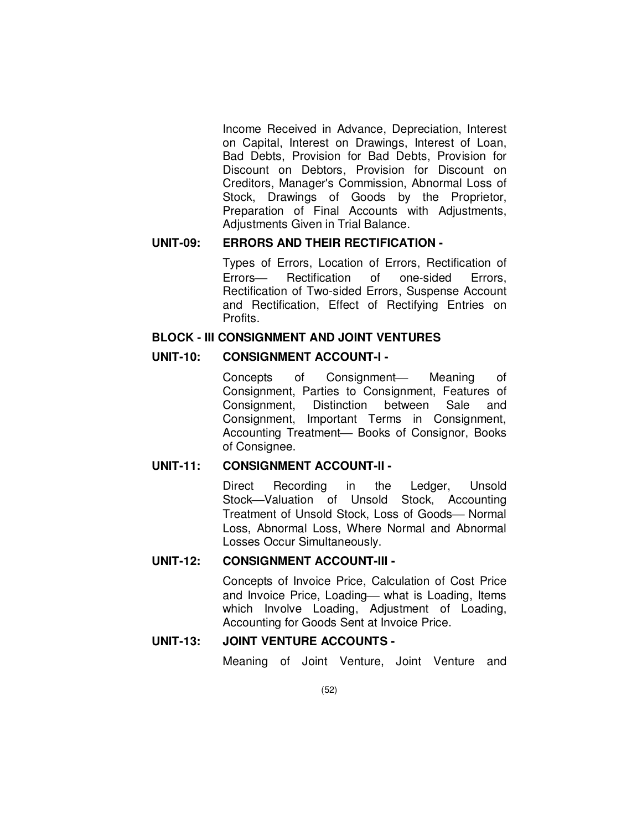Income Received in Advance, Depreciation, Interest on Capital, Interest on Drawings, Interest of Loan, Bad Debts, Provision for Bad Debts, Provision for Discount on Debtors, Provision for Discount on Creditors, Manager's Commission, Abnormal Loss of Stock, Drawings of Goods by the Proprietor, Preparation of Final Accounts with Adjustments, Adjustments Given in Trial Balance.

# **UNIT-09: ERRORS AND THEIR RECTIFICATION -**

 Types of Errors, Location of Errors, Rectification of Errors- Rectification of one-sided Errors, Rectification of Two-sided Errors, Suspense Account and Rectification, Effect of Rectifying Entries on Profits.

#### **BLOCK - III CONSIGNMENT AND JOINT VENTURES**

### **UNIT-10: CONSIGNMENT ACCOUNT-I -**

Concepts of Consignment— Meaning of Consignment, Parties to Consignment, Features of Consignment, Distinction between Sale and Consignment, Important Terms in Consignment, Accounting Treatment- Books of Consignor, Books of Consignee.

### **UNIT-11: CONSIGNMENT ACCOUNT-II -**

Direct Recording in the Ledger, Unsold Stock-Valuation of Unsold Stock, Accounting Treatment of Unsold Stock, Loss of Goods- Normal Loss, Abnormal Loss, Where Normal and Abnormal Losses Occur Simultaneously.

## **UNIT-12: CONSIGNMENT ACCOUNT-III -**

Concepts of Invoice Price, Calculation of Cost Price and Invoice Price, Loading— what is Loading, Items which Involve Loading, Adjustment of Loading, Accounting for Goods Sent at Invoice Price.

# **UNIT-13: JOINT VENTURE ACCOUNTS -**

Meaning of Joint Venture, Joint Venture and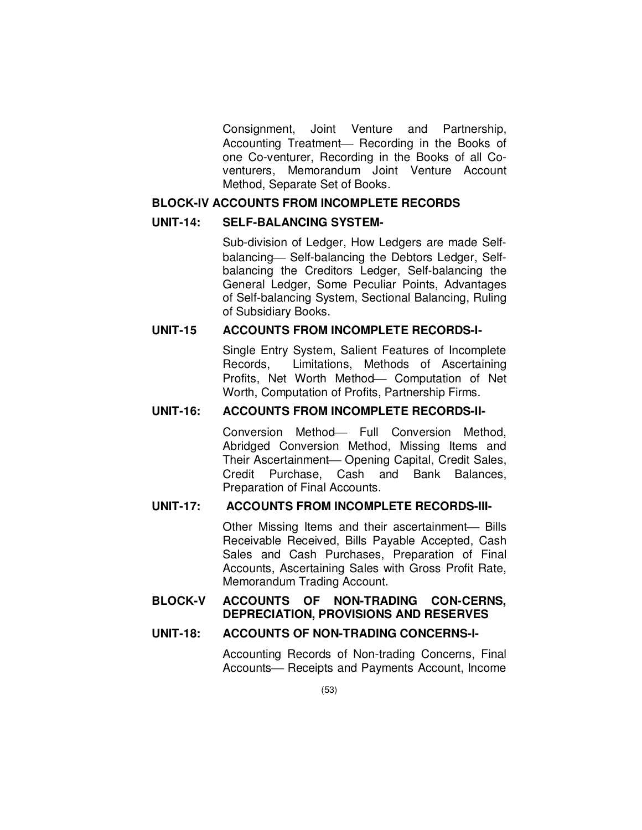Consignment, Joint Venture and Partnership, Accounting Treatment- Recording in the Books of one Co-venturer, Recording in the Books of all Coventurers, Memorandum Joint Venture Account Method, Separate Set of Books.

## **BLOCK-IV ACCOUNTS FROM INCOMPLETE RECORDS**

#### **UNIT-14: SELF-BALANCING SYSTEM-**

Sub-division of Ledger, How Ledgers are made Selfbalancing Self-balancing the Debtors Ledger, Selfbalancing the Creditors Ledger, Self-balancing the General Ledger, Some Peculiar Points, Advantages of Self-balancing System, Sectional Balancing, Ruling of Subsidiary Books.

### **UNIT-15 ACCOUNTS FROM INCOMPLETE RECORDS-I-**

Single Entry System, Salient Features of Incomplete Records, Limitations, Methods of Ascertaining Profits, Net Worth Method- Computation of Net Worth, Computation of Profits, Partnership Firms.

## **UNIT-16: ACCOUNTS FROM INCOMPLETE RECORDS-II-**

Conversion Method- Full Conversion Method, Abridged Conversion Method, Missing Items and Their Ascertainment— Opening Capital, Credit Sales, Credit Purchase, Cash and Bank Balances, Preparation of Final Accounts.

# **UNIT-17: ACCOUNTS FROM INCOMPLETE RECORDS-III-**

Other Missing Items and their ascertainment- Bills Receivable Received, Bills Payable Accepted, Cash Sales and Cash Purchases, Preparation of Final Accounts, Ascertaining Sales with Gross Profit Rate, Memorandum Trading Account.

## **BLOCK-V ACCOUNTS OF NON-TRADING CON-CERNS, DEPRECIATION, PROVISIONS AND RESERVES**

## **UNIT-18: ACCOUNTS OF NON-TRADING CONCERNS-I-**

Accounting Records of Non-trading Concerns, Final Accounts- Receipts and Payments Account, Income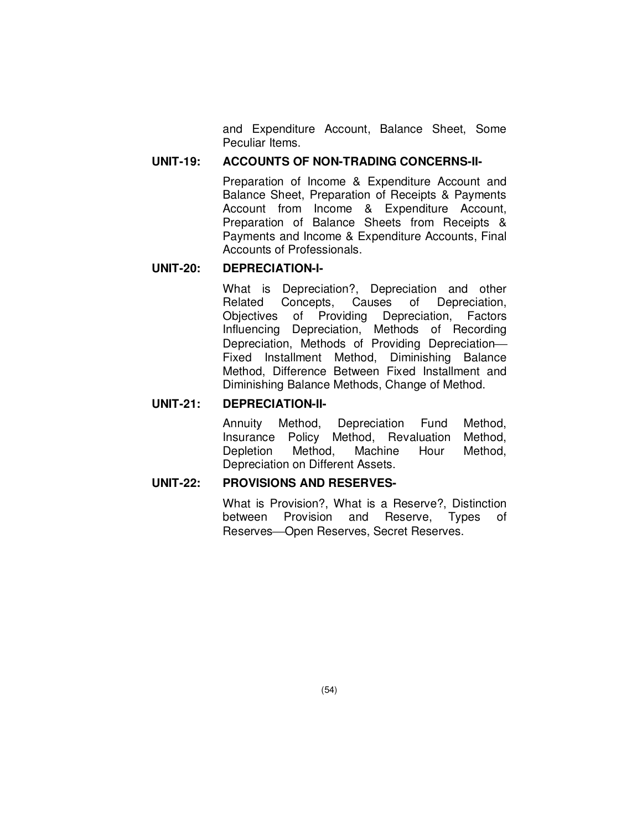and Expenditure Account, Balance Sheet, Some Peculiar Items.

## **UNIT-19: ACCOUNTS OF NON-TRADING CONCERNS-II-**

Preparation of Income & Expenditure Account and Balance Sheet, Preparation of Receipts & Payments Account from Income & Expenditure Account, Preparation of Balance Sheets from Receipts & Payments and Income & Expenditure Accounts, Final Accounts of Professionals.

### **UNIT-20: DEPRECIATION-I-**

What is Depreciation?, Depreciation and other Related Concepts, Causes of Depreciation, Objectives of Providing Depreciation, Factors Influencing Depreciation, Methods of Recording Depreciation, Methods of Providing Depreciation Fixed Installment Method, Diminishing Balance Method, Difference Between Fixed Installment and Diminishing Balance Methods, Change of Method.

### **UNIT-21: DEPRECIATION-II-**

Annuity Method, Depreciation Fund Method, Insurance Policy Method, Revaluation Method, Depletion Method, Machine Hour Method, Depreciation on Different Assets.

### **UNIT-22: PROVISIONS AND RESERVES-**

What is Provision?, What is a Reserve?, Distinction between Provision and Reserve, Types of Reserves-Open Reserves, Secret Reserves.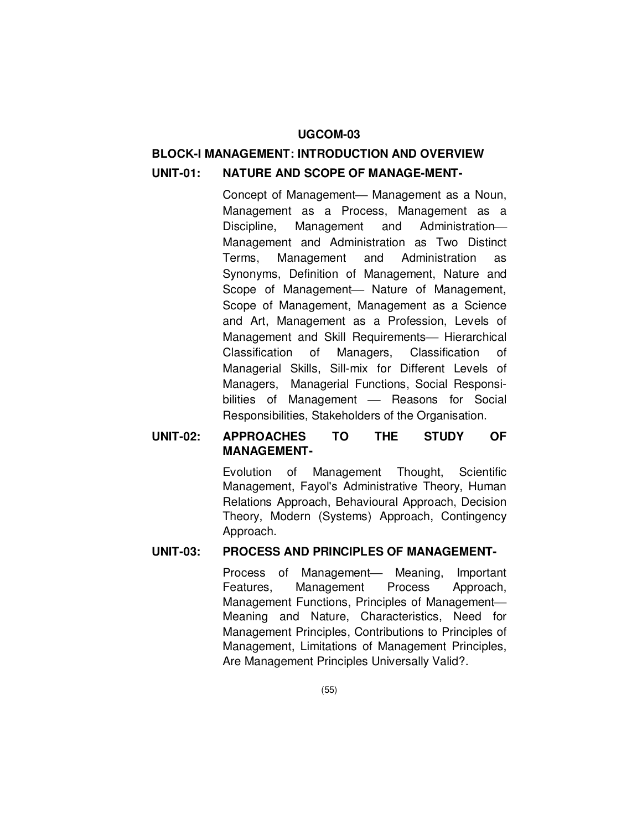### **UGCOM-03**

# **BLOCK-I MANAGEMENT: INTRODUCTION AND OVERVIEW UNIT-01: NATURE AND SCOPE OF MANAGE-MENT-**

Concept of Management- Management as a Noun, Management as a Process, Management as a Discipline, Management and Administration Management and Administration as Two Distinct Terms, Management and Administration as Synonyms, Definition of Management, Nature and Scope of Management- Nature of Management, Scope of Management, Management as a Science and Art, Management as a Profession, Levels of Management and Skill Requirements- Hierarchical Classification of Managers, Classification of Managerial Skills, Sill-mix for Different Levels of Managers, Managerial Functions, Social Responsibilities of Management - Reasons for Social Responsibilities, Stakeholders of the Organisation.

# **UNIT-02: APPROACHES TO THE STUDY OF MANAGEMENT-**

Evolution of Management Thought, Scientific Management, Fayol's Administrative Theory, Human Relations Approach, Behavioural Approach, Decision Theory, Modern (Systems) Approach, Contingency Approach.

### **UNIT-03: PROCESS AND PRINCIPLES OF MANAGEMENT-**

Process of Management— Meaning, Important Features, Management Process Approach, Management Functions, Principles of Management Meaning and Nature, Characteristics, Need for Management Principles, Contributions to Principles of Management, Limitations of Management Principles, Are Management Principles Universally Valid?.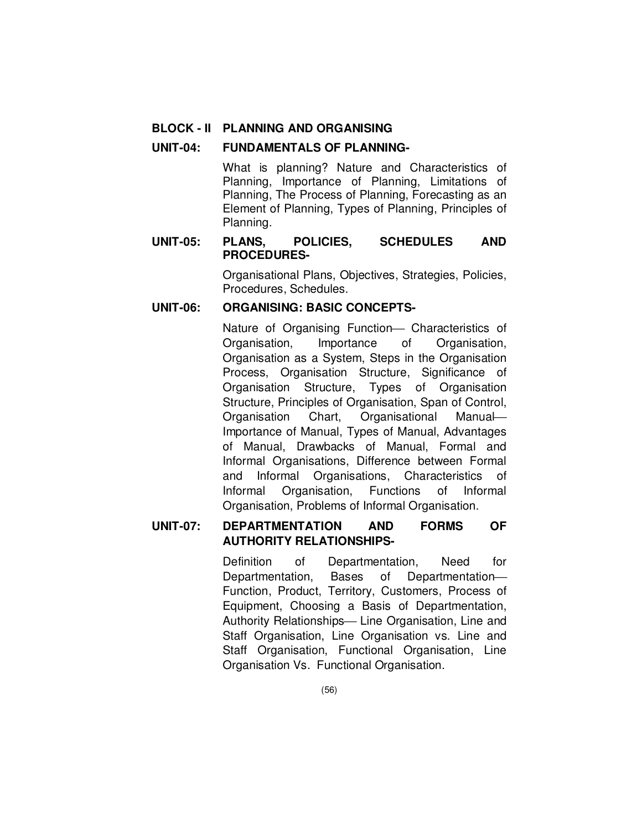### **BLOCK - II PLANNING AND ORGANISING**

#### **UNIT-04: FUNDAMENTALS OF PLANNING-**

What is planning? Nature and Characteristics of Planning, Importance of Planning, Limitations of Planning, The Process of Planning, Forecasting as an Element of Planning, Types of Planning, Principles of Planning.

## **UNIT-05: PLANS, POLICIES, SCHEDULES AND PROCEDURES-**

Organisational Plans, Objectives, Strategies, Policies, Procedures, Schedules.

## **UNIT-06: ORGANISING: BASIC CONCEPTS-**

Nature of Organising Function- Characteristics of Organisation, Importance of Organisation, Organisation as a System, Steps in the Organisation Process, Organisation Structure, Significance of Organisation Structure, Types of Organisation Structure, Principles of Organisation, Span of Control, Organisation Chart, Organisational Manual Importance of Manual, Types of Manual, Advantages of Manual, Drawbacks of Manual, Formal and Informal Organisations, Difference between Formal and Informal Organisations, Characteristics of Informal Organisation, Functions of Informal Organisation, Problems of Informal Organisation.

# **UNIT-07: DEPARTMENTATION AND FORMS OF AUTHORITY RELATIONSHIPS-**

Definition of Departmentation, Need for Departmentation, Bases of Departmentation Function, Product, Territory, Customers, Process of Equipment, Choosing a Basis of Departmentation, Authority Relationships— Line Organisation, Line and Staff Organisation, Line Organisation vs. Line and Staff Organisation, Functional Organisation, Line Organisation Vs. Functional Organisation.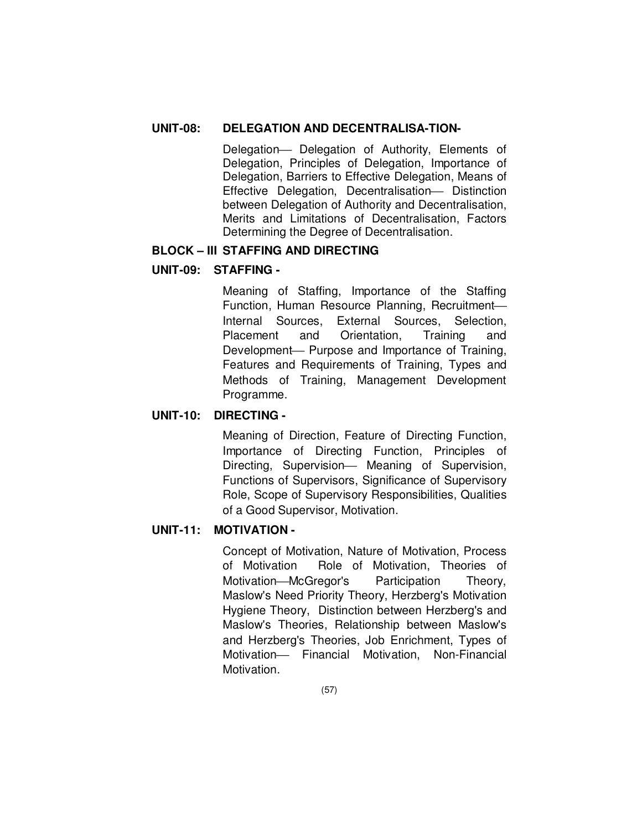# **UNIT-08: DELEGATION AND DECENTRALISA-TION-**

Delegation- Delegation of Authority, Elements of Delegation, Principles of Delegation, Importance of Delegation, Barriers to Effective Delegation, Means of Effective Delegation, Decentralisation- Distinction between Delegation of Authority and Decentralisation, Merits and Limitations of Decentralisation, Factors Determining the Degree of Decentralisation.

## **BLOCK – III STAFFING AND DIRECTING**

# **UNIT-09: STAFFING -**

Meaning of Staffing, Importance of the Staffing Function, Human Resource Planning, Recruitment Internal Sources, External Sources, Selection, Placement and Orientation, Training and Development- Purpose and Importance of Training, Features and Requirements of Training, Types and Methods of Training, Management Development Programme.

## **UNIT-10: DIRECTING -**

Meaning of Direction, Feature of Directing Function, Importance of Directing Function, Principles of Directing, Supervision- Meaning of Supervision, Functions of Supervisors, Significance of Supervisory Role, Scope of Supervisory Responsibilities, Qualities of a Good Supervisor, Motivation.

### **UNIT-11: MOTIVATION -**

Concept of Motivation, Nature of Motivation, Process of Motivation Role of Motivation, Theories of Motivation–McGregor's Participation Theory, Maslow's Need Priority Theory, Herzberg's Motivation Hygiene Theory, Distinction between Herzberg's and Maslow's Theories, Relationship between Maslow's and Herzberg's Theories, Job Enrichment, Types of Motivation- Financial Motivation, Non-Financial Motivation.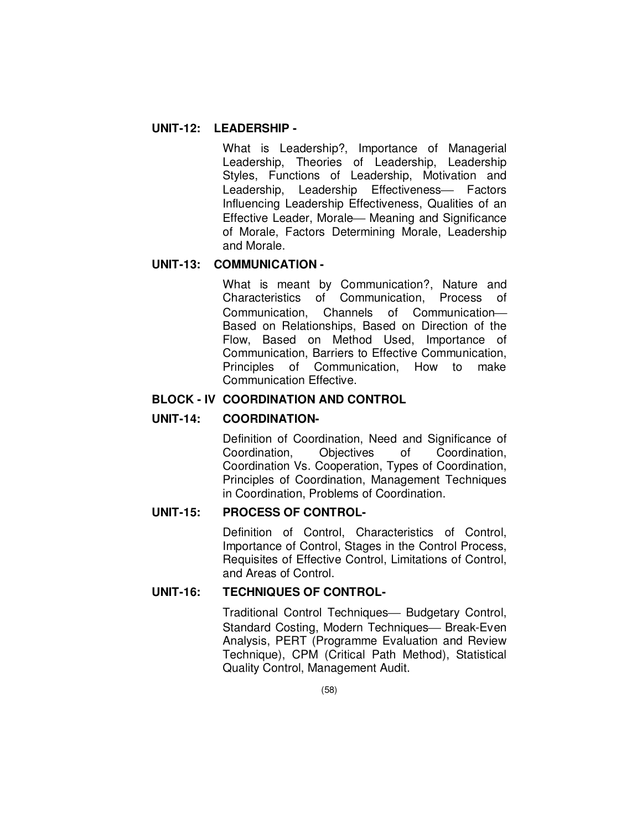## **UNIT-12: LEADERSHIP -**

What is Leadership?, Importance of Managerial Leadership, Theories of Leadership, Leadership Styles, Functions of Leadership, Motivation and Leadership, Leadership Effectiveness- Factors Influencing Leadership Effectiveness, Qualities of an Effective Leader, Morale – Meaning and Significance of Morale, Factors Determining Morale, Leadership and Morale.

### **UNIT-13: COMMUNICATION -**

What is meant by Communication?, Nature and Characteristics of Communication, Process of Communication, Channels of Communication Based on Relationships, Based on Direction of the Flow, Based on Method Used, Importance of Communication, Barriers to Effective Communication, Principles of Communication, How to make Communication Effective.

## **BLOCK - IV COORDINATION AND CONTROL**

### **UNIT-14: COORDINATION-**

Definition of Coordination, Need and Significance of Coordination, Objectives of Coordination, Coordination Vs. Cooperation, Types of Coordination, Principles of Coordination, Management Techniques in Coordination, Problems of Coordination.

### **UNIT-15: PROCESS OF CONTROL-**

Definition of Control, Characteristics of Control, Importance of Control, Stages in the Control Process, Requisites of Effective Control, Limitations of Control, and Areas of Control.

# **UNIT-16: TECHNIQUES OF CONTROL-**

Traditional Control Techniques - Budgetary Control, Standard Costing, Modern Techniques— Break-Even Analysis, PERT (Programme Evaluation and Review Technique), CPM (Critical Path Method), Statistical Quality Control, Management Audit.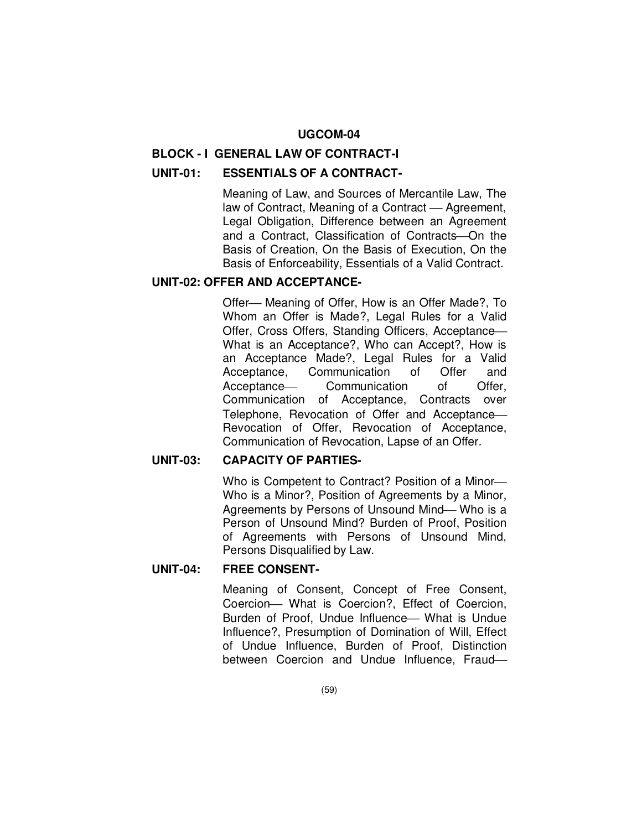### **UGCOM-04**

#### **BLOCK - I GENERAL LAW OF CONTRACT-I**

# **UNIT-01: ESSENTIALS OF A CONTRACT-**

Meaning of Law, and Sources of Mercantile Law, The law of Contract, Meaning of a Contract — Agreement, Legal Obligation, Difference between an Agreement and a Contract, Classification of Contracts-On the Basis of Creation, On the Basis of Execution, On the Basis of Enforceability, Essentials of a Valid Contract.

### **UNIT-02: OFFER AND ACCEPTANCE-**

Offer – Meaning of Offer, How is an Offer Made?, To Whom an Offer is Made?, Legal Rules for a Valid Offer, Cross Offers, Standing Officers, Acceptance What is an Acceptance?, Who can Accept?, How is an Acceptance Made?, Legal Rules for a Valid Acceptance, Communication of Offer and Acceptance- Communication of Offer, Communication of Acceptance, Contracts over Telephone, Revocation of Offer and Acceptance Revocation of Offer, Revocation of Acceptance, Communication of Revocation, Lapse of an Offer.

#### **UNIT-03: CAPACITY OF PARTIES-**

Who is Competent to Contract? Position of a Minor Who is a Minor?, Position of Agreements by a Minor, Agreements by Persons of Unsound Mind-Who is a Person of Unsound Mind? Burden of Proof, Position of Agreements with Persons of Unsound Mind, Persons Disqualified by Law.

#### **UNIT-04: FREE CONSENT-**

Meaning of Consent, Concept of Free Consent, Coercion- What is Coercion?, Effect of Coercion, Burden of Proof, Undue Influence - What is Undue Influence?, Presumption of Domination of Will, Effect of Undue Influence, Burden of Proof, Distinction between Coercion and Undue Influence, Fraud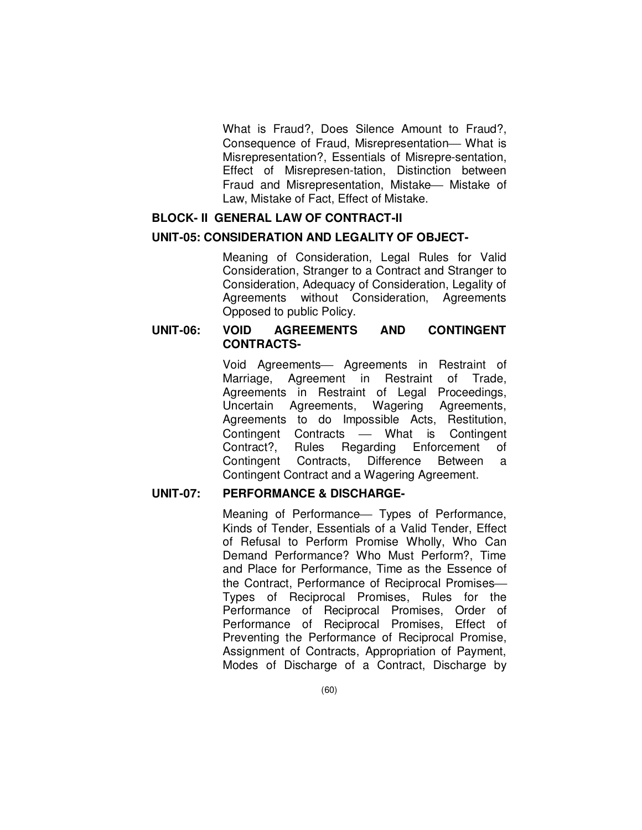What is Fraud?, Does Silence Amount to Fraud?, Consequence of Fraud, Misrepresentation-What is Misrepresentation?, Essentials of Misrepre-sentation, Effect of Misrepresen-tation, Distinction between Fraud and Misrepresentation, Mistake Mistake of Law, Mistake of Fact, Effect of Mistake.

### **BLOCK- II GENERAL LAW OF CONTRACT-II**

### **UNIT-05: CONSIDERATION AND LEGALITY OF OBJECT-**

Meaning of Consideration, Legal Rules for Valid Consideration, Stranger to a Contract and Stranger to Consideration, Adequacy of Consideration, Legality of Agreements without Consideration, Agreements Opposed to public Policy.

### **UNIT-06: VOID AGREEMENTS AND CONTINGENT CONTRACTS-**

Void Agreements- Agreements in Restraint of Marriage, Agreement in Restraint of Trade, Agreements in Restraint of Legal Proceedings, Uncertain Agreements, Wagering Agreements, Agreements to do Impossible Acts, Restitution, Contingent Contracts What is Contingent Contract?, Rules Regarding Enforcement of Contingent Contracts, Difference Between a Contingent Contract and a Wagering Agreement.

#### **UNIT-07: PERFORMANCE & DISCHARGE-**

Meaning of Performance - Types of Performance, Kinds of Tender, Essentials of a Valid Tender, Effect of Refusal to Perform Promise Wholly, Who Can Demand Performance? Who Must Perform?, Time and Place for Performance, Time as the Essence of the Contract, Performance of Reciprocal Promises Types of Reciprocal Promises, Rules for the Performance of Reciprocal Promises, Order of Performance of Reciprocal Promises, Effect of Preventing the Performance of Reciprocal Promise, Assignment of Contracts, Appropriation of Payment, Modes of Discharge of a Contract, Discharge by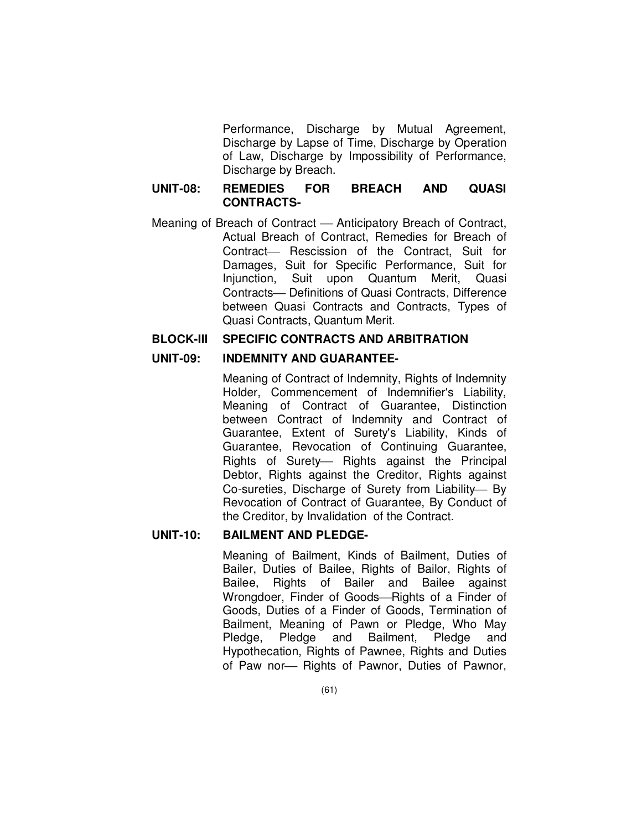Performance, Discharge by Mutual Agreement, Discharge by Lapse of Time, Discharge by Operation of Law, Discharge by Impossibility of Performance, Discharge by Breach.

## **UNIT-08: REMEDIES FOR BREACH AND QUASI CONTRACTS-**

Meaning of Breach of Contract — Anticipatory Breach of Contract, Actual Breach of Contract, Remedies for Breach of Contract- Rescission of the Contract. Suit for Damages, Suit for Specific Performance, Suit for Injunction, Suit upon Quantum Merit, Quasi Contracts- Definitions of Quasi Contracts, Difference between Quasi Contracts and Contracts, Types of Quasi Contracts, Quantum Merit.

#### **BLOCK-III SPECIFIC CONTRACTS AND ARBITRATION**

## **UNIT-09: INDEMNITY AND GUARANTEE-**

Meaning of Contract of Indemnity, Rights of Indemnity Holder, Commencement of Indemnifier's Liability, Meaning of Contract of Guarantee, Distinction between Contract of Indemnity and Contract of Guarantee, Extent of Surety's Liability, Kinds of Guarantee, Revocation of Continuing Guarantee, Rights of Surety- Rights against the Principal Debtor, Rights against the Creditor, Rights against Co-sureties, Discharge of Surety from Liability- By Revocation of Contract of Guarantee, By Conduct of the Creditor, by Invalidation of the Contract.

### **UNIT-10: BAILMENT AND PLEDGE-**

Meaning of Bailment, Kinds of Bailment, Duties of Bailer, Duties of Bailee, Rights of Bailor, Rights of Bailee, Rights of Bailer and Bailee against Wrongdoer, Finder of Goods-Rights of a Finder of Goods, Duties of a Finder of Goods, Termination of Bailment, Meaning of Pawn or Pledge, Who May Pledge, Pledge and Bailment, Pledge and Hypothecation, Rights of Pawnee, Rights and Duties of Paw nor- Rights of Pawnor, Duties of Pawnor,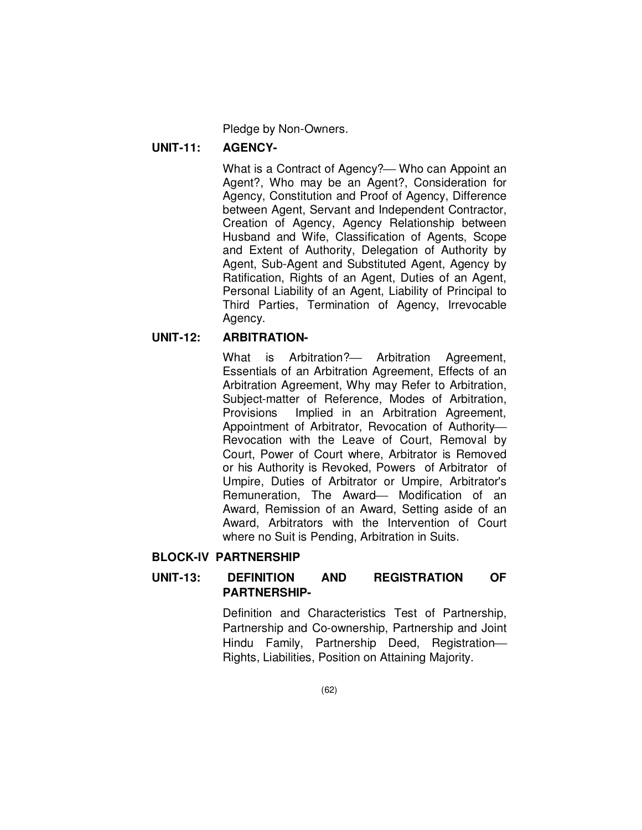Pledge by Non-Owners.

### **UNIT-11: AGENCY-**

What is a Contract of Agency?— Who can Appoint an Agent?, Who may be an Agent?, Consideration for Agency, Constitution and Proof of Agency, Difference between Agent, Servant and Independent Contractor, Creation of Agency, Agency Relationship between Husband and Wife, Classification of Agents, Scope and Extent of Authority, Delegation of Authority by Agent, Sub-Agent and Substituted Agent, Agency by Ratification, Rights of an Agent, Duties of an Agent, Personal Liability of an Agent, Liability of Principal to Third Parties, Termination of Agency, Irrevocable Agency.

### **UNIT-12: ARBITRATION-**

What is Arbitration?- Arbitration Agreement, Essentials of an Arbitration Agreement, Effects of an Arbitration Agreement, Why may Refer to Arbitration, Subject-matter of Reference, Modes of Arbitration, Provisions Implied in an Arbitration Agreement, Appointment of Arbitrator, Revocation of Authority Revocation with the Leave of Court, Removal by Court, Power of Court where, Arbitrator is Removed or his Authority is Revoked, Powers of Arbitrator of Umpire, Duties of Arbitrator or Umpire, Arbitrator's Remuneration, The Award- Modification of an Award, Remission of an Award, Setting aside of an Award, Arbitrators with the Intervention of Court where no Suit is Pending, Arbitration in Suits.

# **BLOCK-IV PARTNERSHIP**

# **UNIT-13: DEFINITION AND REGISTRATION OF PARTNERSHIP-**

Definition and Characteristics Test of Partnership, Partnership and Co-ownership, Partnership and Joint Hindu Family, Partnership Deed, Registration Rights, Liabilities, Position on Attaining Majority.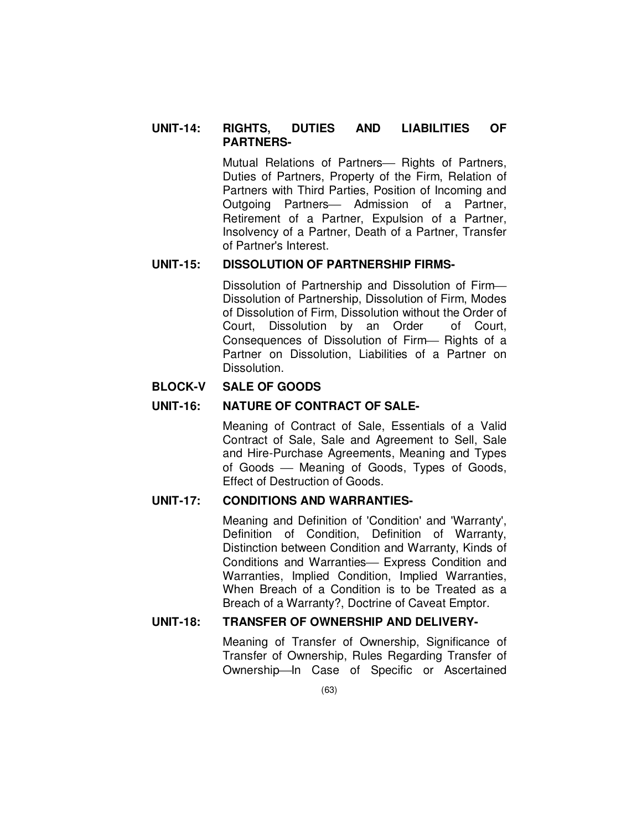## **UNIT-14: RIGHTS, DUTIES AND LIABILITIES OF PARTNERS-**

Mutual Relations of Partners- Rights of Partners. Duties of Partners, Property of the Firm, Relation of Partners with Third Parties, Position of Incoming and Outgoing Partners- Admission of a Partner, Retirement of a Partner, Expulsion of a Partner, Insolvency of a Partner, Death of a Partner, Transfer of Partner's Interest.

## **UNIT-15: DISSOLUTION OF PARTNERSHIP FIRMS-**

Dissolution of Partnership and Dissolution of Firm Dissolution of Partnership, Dissolution of Firm, Modes of Dissolution of Firm, Dissolution without the Order of Court, Dissolution by an Order of Court, Consequences of Dissolution of Firm- Rights of a Partner on Dissolution, Liabilities of a Partner on Dissolution.

# **BLOCK-V SALE OF GOODS**

# **UNIT-16: NATURE OF CONTRACT OF SALE-**

Meaning of Contract of Sale, Essentials of a Valid Contract of Sale, Sale and Agreement to Sell, Sale and Hire-Purchase Agreements, Meaning and Types of Goods Meaning of Goods, Types of Goods, Effect of Destruction of Goods.

### **UNIT-17: CONDITIONS AND WARRANTIES-**

Meaning and Definition of 'Condition' and 'Warranty', Definition of Condition, Definition of Warranty, Distinction between Condition and Warranty, Kinds of Conditions and Warranties- Express Condition and Warranties, Implied Condition, Implied Warranties, When Breach of a Condition is to be Treated as a Breach of a Warranty?, Doctrine of Caveat Emptor.

## **UNIT-18: TRANSFER OF OWNERSHIP AND DELIVERY-**

Meaning of Transfer of Ownership, Significance of Transfer of Ownership, Rules Regarding Transfer of Ownership-In Case of Specific or Ascertained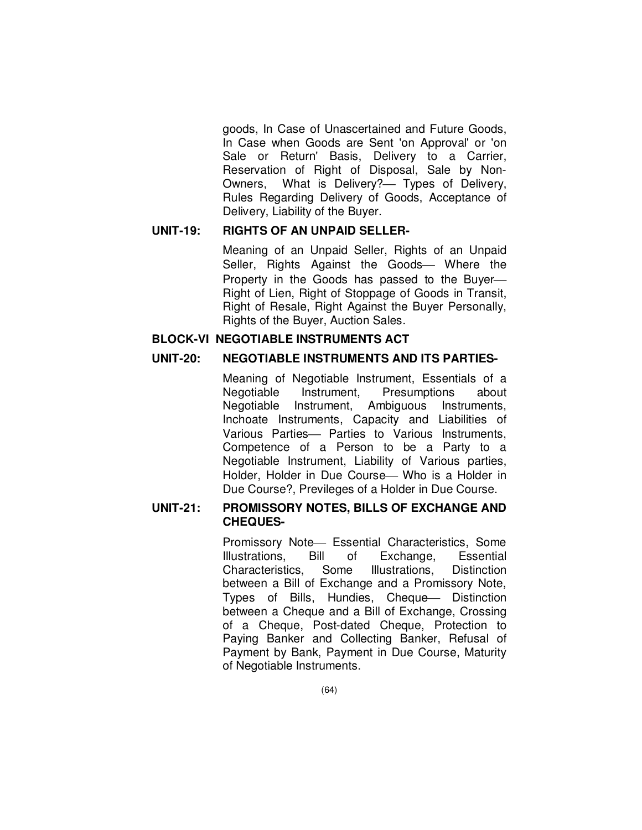goods, In Case of Unascertained and Future Goods, In Case when Goods are Sent 'on Approval' or 'on Sale or Return' Basis, Delivery to a Carrier, Reservation of Right of Disposal, Sale by Non-Owners, What is Delivery?— Types of Delivery, Rules Regarding Delivery of Goods, Acceptance of Delivery, Liability of the Buyer.

## **UNIT-19: RIGHTS OF AN UNPAID SELLER-**

Meaning of an Unpaid Seller, Rights of an Unpaid Seller, Rights Against the Goods- Where the Property in the Goods has passed to the Buyer Right of Lien, Right of Stoppage of Goods in Transit, Right of Resale, Right Against the Buyer Personally, Rights of the Buyer, Auction Sales.

### **BLOCK-VI NEGOTIABLE INSTRUMENTS ACT**

## **UNIT-20: NEGOTIABLE INSTRUMENTS AND ITS PARTIES-**

Meaning of Negotiable Instrument, Essentials of a Negotiable Instrument, Presumptions about Negotiable Instrument, Ambiguous Instruments, Inchoate Instruments, Capacity and Liabilities of Various Parties- Parties to Various Instruments, Competence of a Person to be a Party to a Negotiable Instrument, Liability of Various parties, Holder, Holder in Due Course - Who is a Holder in Due Course?, Previleges of a Holder in Due Course.

## **UNIT-21: PROMISSORY NOTES, BILLS OF EXCHANGE AND CHEQUES-**

Promissory Note - Essential Characteristics, Some Illustrations, Bill of Exchange, Essential Characteristics, Some Illustrations, Distinction between a Bill of Exchange and a Promissory Note, Types of Bills, Hundies, Cheque - Distinction between a Cheque and a Bill of Exchange, Crossing of a Cheque, Post-dated Cheque, Protection to Paying Banker and Collecting Banker, Refusal of Payment by Bank, Payment in Due Course, Maturity of Negotiable Instruments.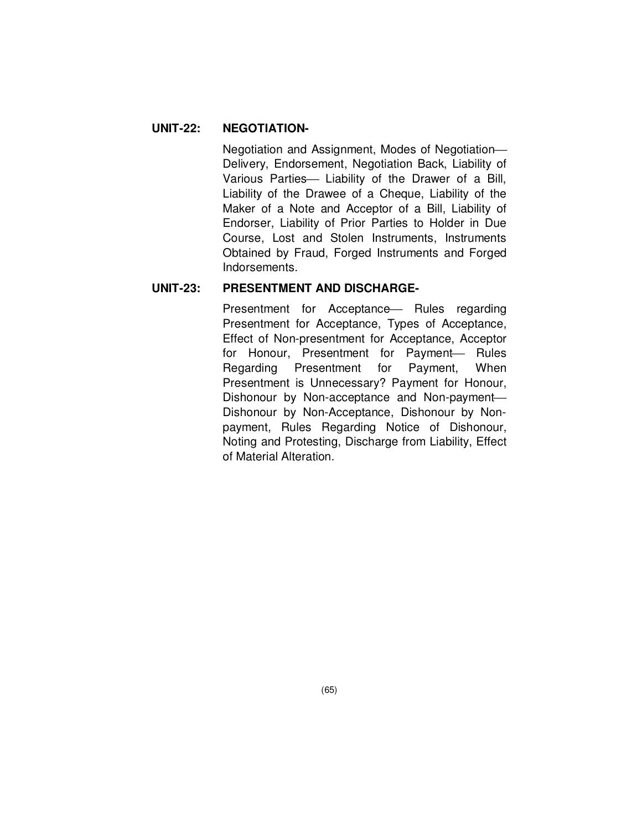# **UNIT-22: NEGOTIATION-**

Negotiation and Assignment, Modes of Negotiation Delivery, Endorsement, Negotiation Back, Liability of Various Parties- Liability of the Drawer of a Bill. Liability of the Drawee of a Cheque, Liability of the Maker of a Note and Acceptor of a Bill, Liability of Endorser, Liability of Prior Parties to Holder in Due Course, Lost and Stolen Instruments, Instruments Obtained by Fraud, Forged Instruments and Forged Indorsements.

## **UNIT-23: PRESENTMENT AND DISCHARGE-**

Presentment for Acceptance – Rules regarding Presentment for Acceptance, Types of Acceptance, Effect of Non-presentment for Acceptance, Acceptor for Honour, Presentment for Payment- Rules Regarding Presentment for Payment, When Presentment is Unnecessary? Payment for Honour, Dishonour by Non-acceptance and Non-payment Dishonour by Non-Acceptance, Dishonour by Nonpayment, Rules Regarding Notice of Dishonour, Noting and Protesting, Discharge from Liability, Effect of Material Alteration.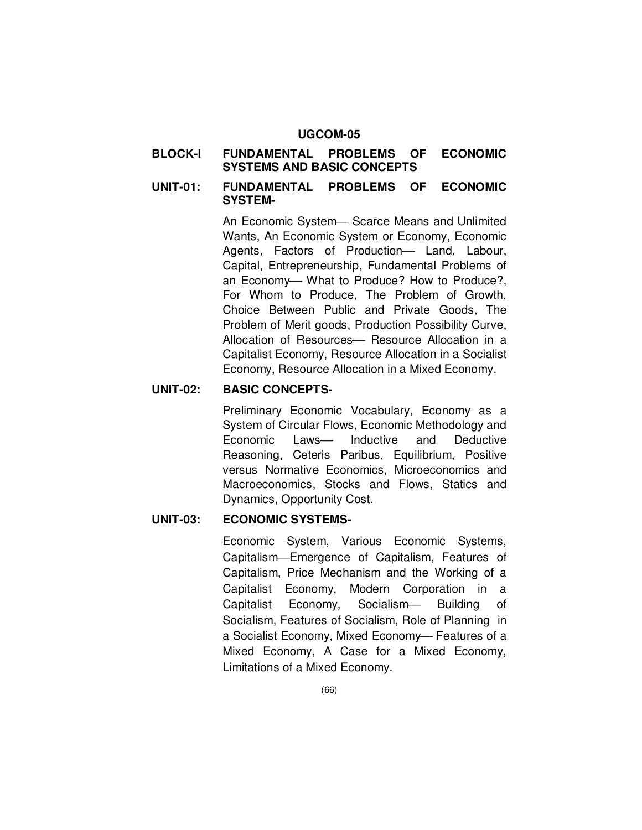#### **UGCOM-05**

### **BLOCK-I FUNDAMENTAL PROBLEMS OF ECONOMIC SYSTEMS AND BASIC CONCEPTS**

### **UNIT-01: FUNDAMENTAL PROBLEMS OF ECONOMIC SYSTEM-**

An Economic System-Scarce Means and Unlimited Wants, An Economic System or Economy, Economic Agents, Factors of Production- Land, Labour, Capital, Entrepreneurship, Fundamental Problems of an Economy- What to Produce? How to Produce?, For Whom to Produce, The Problem of Growth, Choice Between Public and Private Goods, The Problem of Merit goods, Production Possibility Curve, Allocation of Resources- Resource Allocation in a Capitalist Economy, Resource Allocation in a Socialist Economy, Resource Allocation in a Mixed Economy.

### **UNIT-02: BASIC CONCEPTS-**

Preliminary Economic Vocabulary, Economy as a System of Circular Flows, Economic Methodology and Economic Laws— Inductive and Deductive Reasoning, Ceteris Paribus, Equilibrium, Positive versus Normative Economics, Microeconomics and Macroeconomics, Stocks and Flows, Statics and Dynamics, Opportunity Cost.

## **UNIT-03: ECONOMIC SYSTEMS-**

Economic System, Various Economic Systems, CapitalismEmergence of Capitalism, Features of Capitalism, Price Mechanism and the Working of a Capitalist Economy, Modern Corporation in a Capitalist Economy, Socialism Building of Socialism, Features of Socialism, Role of Planning in a Socialist Economy, Mixed Economy- Features of a Mixed Economy, A Case for a Mixed Economy, Limitations of a Mixed Economy.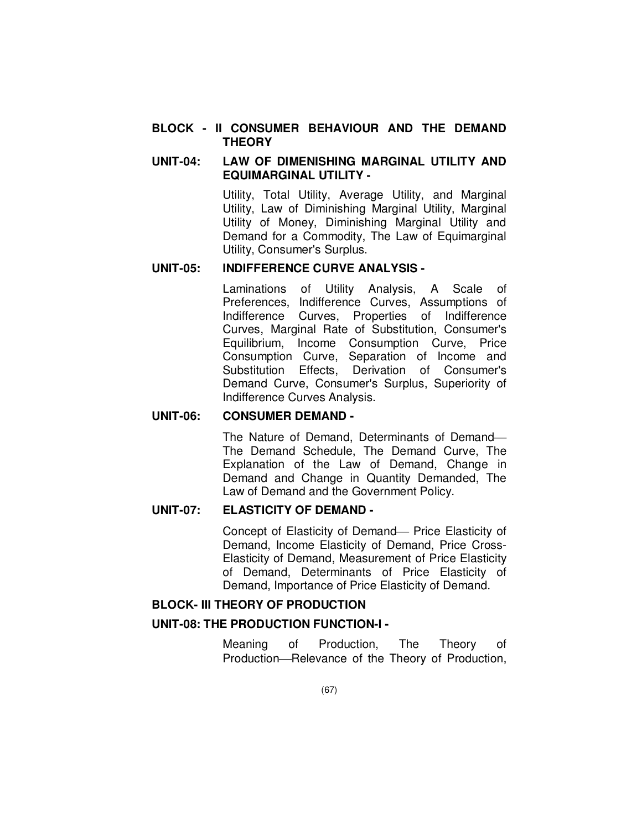### **BLOCK - II CONSUMER BEHAVIOUR AND THE DEMAND THEORY**

## **UNIT-04: LAW OF DIMENISHING MARGINAL UTILITY AND EQUIMARGINAL UTILITY -**

Utility, Total Utility, Average Utility, and Marginal Utility, Law of Diminishing Marginal Utility, Marginal Utility of Money, Diminishing Marginal Utility and Demand for a Commodity, The Law of Equimarginal Utility, Consumer's Surplus.

## **UNIT-05: INDIFFERENCE CURVE ANALYSIS -**

Laminations of Utility Analysis, A Scale of Preferences, Indifference Curves, Assumptions of Indifference Curves, Properties of Indifference Curves, Marginal Rate of Substitution, Consumer's Equilibrium, Income Consumption Curve, Price Consumption Curve, Separation of Income and Substitution Effects, Derivation of Consumer's Demand Curve, Consumer's Surplus, Superiority of Indifference Curves Analysis.

## **UNIT-06: CONSUMER DEMAND -**

The Nature of Demand, Determinants of Demand The Demand Schedule, The Demand Curve, The Explanation of the Law of Demand, Change in Demand and Change in Quantity Demanded, The Law of Demand and the Government Policy.

#### **UNIT-07: ELASTICITY OF DEMAND -**

Concept of Elasticity of Demand- Price Elasticity of Demand, Income Elasticity of Demand, Price Cross-Elasticity of Demand, Measurement of Price Elasticity of Demand, Determinants of Price Elasticity of Demand, Importance of Price Elasticity of Demand.

## **BLOCK- III THEORY OF PRODUCTION**

### **UNIT-08: THE PRODUCTION FUNCTION-I -**

Meaning of Production, The Theory of Production-Relevance of the Theory of Production,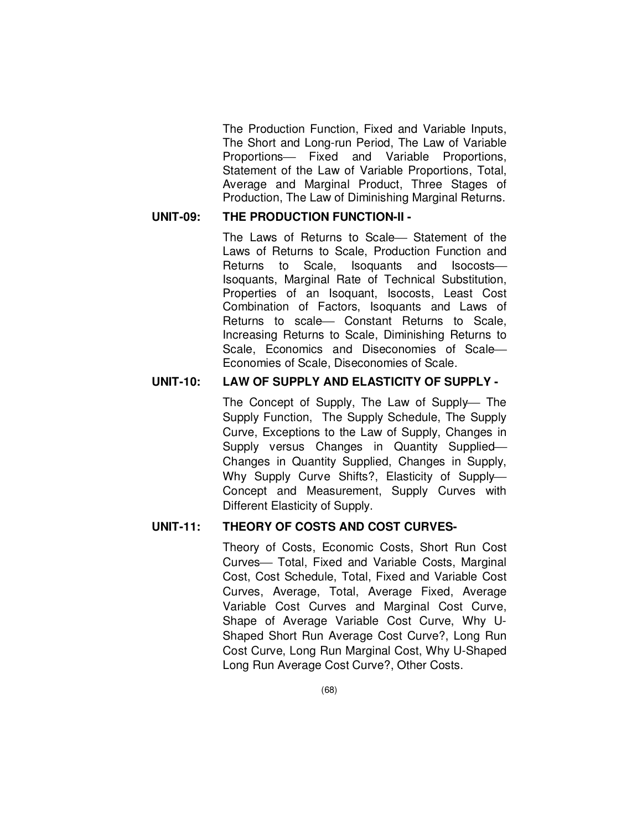The Production Function, Fixed and Variable Inputs, The Short and Long-run Period, The Law of Variable Proportions- Fixed and Variable Proportions, Statement of the Law of Variable Proportions, Total, Average and Marginal Product, Three Stages of Production, The Law of Diminishing Marginal Returns.

## **UNIT-09: THE PRODUCTION FUNCTION-II -**

The Laws of Returns to Scale - Statement of the Laws of Returns to Scale, Production Function and Returns to Scale, Isoquants and Isocosts Isoquants, Marginal Rate of Technical Substitution, Properties of an Isoquant, Isocosts, Least Cost Combination of Factors, Isoquants and Laws of Returns to scale - Constant Returns to Scale, Increasing Returns to Scale, Diminishing Returns to Scale, Economics and Diseconomies of Scale Economies of Scale, Diseconomies of Scale.

## **UNIT-10: LAW OF SUPPLY AND ELASTICITY OF SUPPLY -**

The Concept of Supply, The Law of Supply- The Supply Function, The Supply Schedule, The Supply Curve, Exceptions to the Law of Supply, Changes in Supply versus Changes in Quantity Supplied Changes in Quantity Supplied, Changes in Supply, Why Supply Curve Shifts?, Elasticity of Supply Concept and Measurement, Supply Curves with Different Elasticity of Supply.

## **UNIT-11: THEORY OF COSTS AND COST CURVES-**

Theory of Costs, Economic Costs, Short Run Cost Curves- Total, Fixed and Variable Costs, Marginal Cost, Cost Schedule, Total, Fixed and Variable Cost Curves, Average, Total, Average Fixed, Average Variable Cost Curves and Marginal Cost Curve, Shape of Average Variable Cost Curve, Why U-Shaped Short Run Average Cost Curve?, Long Run Cost Curve, Long Run Marginal Cost, Why U-Shaped Long Run Average Cost Curve?, Other Costs.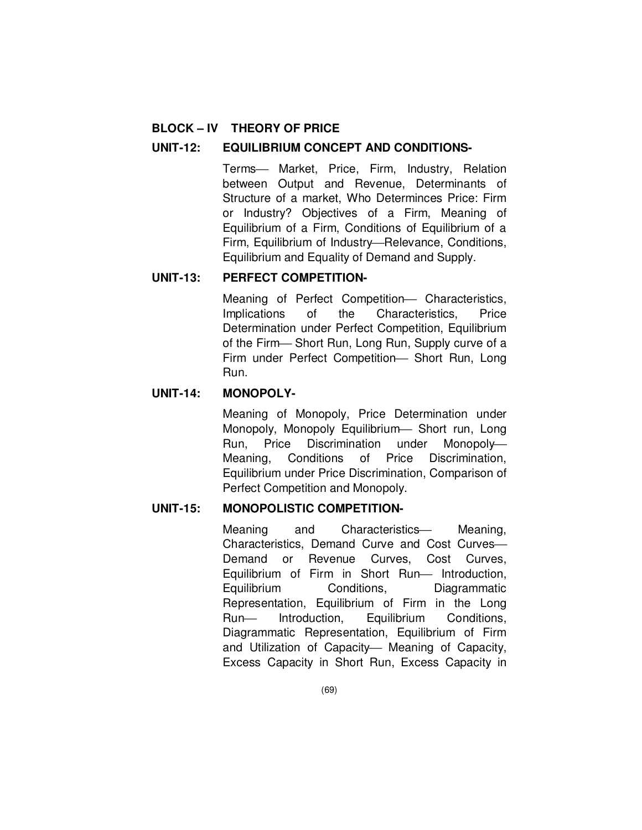# **BLOCK – IV THEORY OF PRICE**

## **UNIT-12: EQUILIBRIUM CONCEPT AND CONDITIONS-**

Terms- Market, Price, Firm, Industry, Relation between Output and Revenue, Determinants of Structure of a market, Who Determinces Price: Firm or Industry? Objectives of a Firm, Meaning of Equilibrium of a Firm, Conditions of Equilibrium of a Firm, Equilibrium of Industry-Relevance, Conditions, Equilibrium and Equality of Demand and Supply.

## **UNIT-13: PERFECT COMPETITION-**

Meaning of Perfect Competition- Characteristics, Implications of the Characteristics, Price Determination under Perfect Competition, Equilibrium of the Firm-Short Run, Long Run, Supply curve of a Firm under Perfect Competition- Short Run, Long Run.

## **UNIT-14: MONOPOLY-**

Meaning of Monopoly, Price Determination under Monopoly, Monopoly Equilibrium - Short run, Long Run, Price Discrimination under Monopoly Meaning, Conditions of Price Discrimination, Equilibrium under Price Discrimination, Comparison of Perfect Competition and Monopoly.

# **UNIT-15: MONOPOLISTIC COMPETITION-**

Meaning and Characteristics Meaning, Characteristics, Demand Curve and Cost Curves Demand or Revenue Curves, Cost Curves, Equilibrium of Firm in Short Run- Introduction, Equilibrium Conditions, Diagrammatic Representation, Equilibrium of Firm in the Long Run- Introduction, Equilibrium Conditions, Diagrammatic Representation, Equilibrium of Firm and Utilization of Capacity- Meaning of Capacity, Excess Capacity in Short Run, Excess Capacity in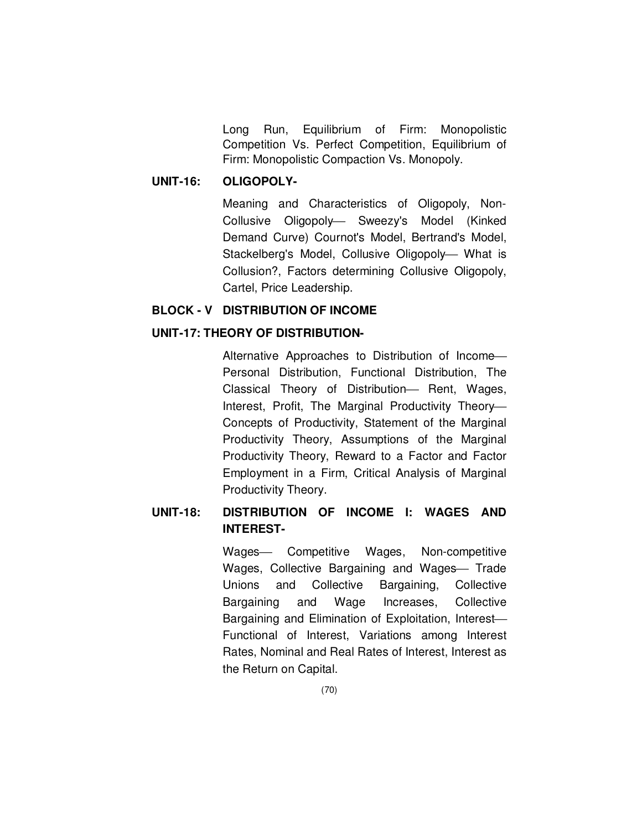Long Run, Equilibrium of Firm: Monopolistic Competition Vs. Perfect Competition, Equilibrium of Firm: Monopolistic Compaction Vs. Monopoly.

## **UNIT-16: OLIGOPOLY-**

Meaning and Characteristics of Oligopoly, Non-Collusive Oligopoly- Sweezy's Model (Kinked Demand Curve) Cournot's Model, Bertrand's Model, Stackelberg's Model, Collusive Oligopoly- What is Collusion?, Factors determining Collusive Oligopoly, Cartel, Price Leadership.

#### **BLOCK - V DISTRIBUTION OF INCOME**

### **UNIT-17: THEORY OF DISTRIBUTION-**

Alternative Approaches to Distribution of Income Personal Distribution, Functional Distribution, The Classical Theory of Distribution- Rent, Wages, Interest, Profit, The Marginal Productivity Theory Concepts of Productivity, Statement of the Marginal Productivity Theory, Assumptions of the Marginal Productivity Theory, Reward to a Factor and Factor Employment in a Firm, Critical Analysis of Marginal Productivity Theory.

# **UNIT-18: DISTRIBUTION OF INCOME I: WAGES AND INTEREST-**

Wages- Competitive Wages, Non-competitive Wages, Collective Bargaining and Wages Trade Unions and Collective Bargaining, Collective Bargaining and Wage Increases, Collective Bargaining and Elimination of Exploitation, Interest Functional of Interest, Variations among Interest Rates, Nominal and Real Rates of Interest, Interest as the Return on Capital.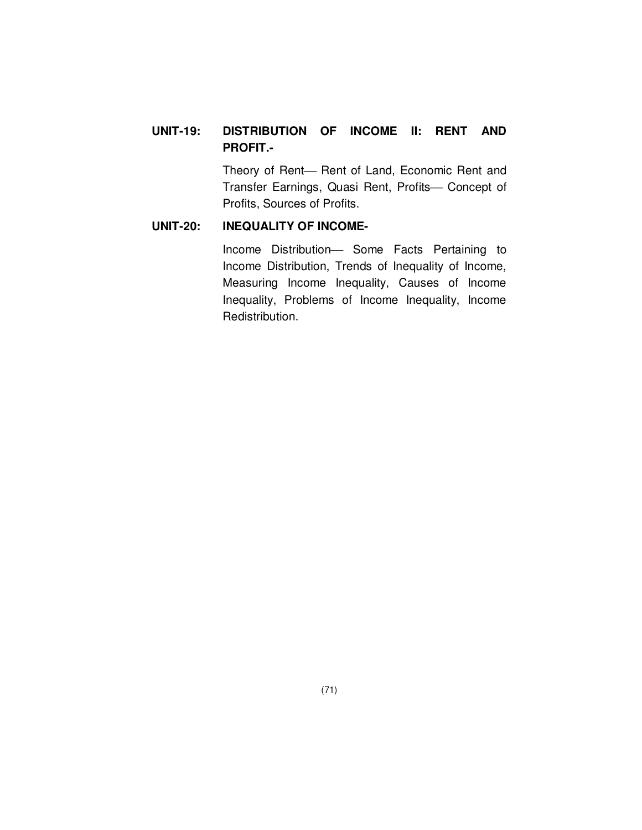# **UNIT-19: DISTRIBUTION OF INCOME II: RENT AND PROFIT.-**

Theory of Rent- Rent of Land, Economic Rent and Transfer Earnings, Quasi Rent, Profits- Concept of Profits, Sources of Profits.

# **UNIT-20: INEQUALITY OF INCOME-**

Income Distribution- Some Facts Pertaining to Income Distribution, Trends of Inequality of Income, Measuring Income Inequality, Causes of Income Inequality, Problems of Income Inequality, Income Redistribution.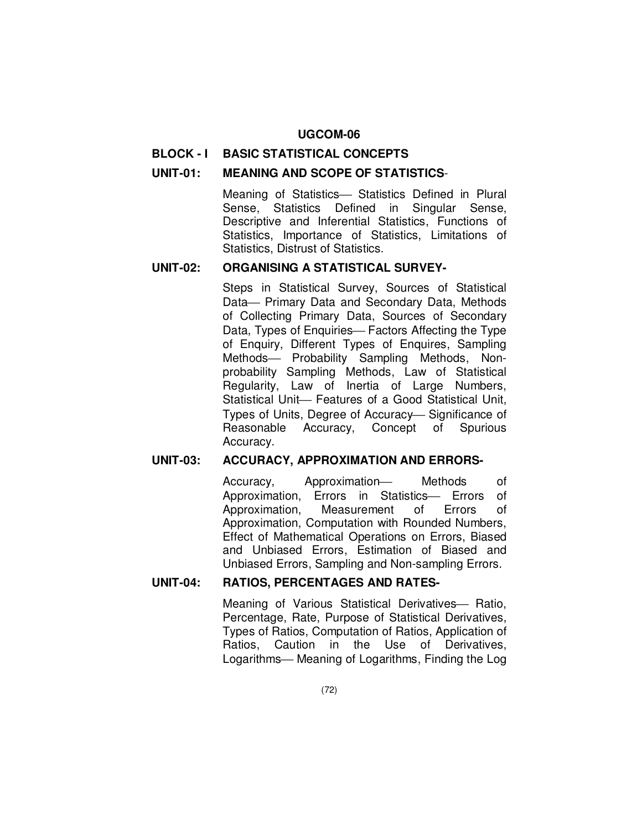#### **BLOCK - I BASIC STATISTICAL CONCEPTS**

### **UNIT-01: MEANING AND SCOPE OF STATISTICS**-

Meaning of Statistics Statistics Defined in Plural Sense, Statistics Defined in Singular Sense, Descriptive and Inferential Statistics, Functions of Statistics, Importance of Statistics, Limitations of Statistics, Distrust of Statistics.

## **UNIT-02: ORGANISING A STATISTICAL SURVEY-**

Steps in Statistical Survey, Sources of Statistical Data – Primary Data and Secondary Data, Methods of Collecting Primary Data, Sources of Secondary Data, Types of Enquiries— Factors Affecting the Type of Enquiry, Different Types of Enquires, Sampling Methods- Probability Sampling Methods, Nonprobability Sampling Methods, Law of Statistical Regularity, Law of Inertia of Large Numbers, Statistical Unit- Features of a Good Statistical Unit. Types of Units, Degree of Accuracy-Significance of Reasonable Accuracy, Concept of Spurious Accuracy.

#### **UNIT-03: ACCURACY, APPROXIMATION AND ERRORS-**

Accuracy, Approximation Methods of Approximation, Errors in Statistics- Errors of Approximation, Measurement of Errors of Approximation, Computation with Rounded Numbers, Effect of Mathematical Operations on Errors, Biased and Unbiased Errors, Estimation of Biased and Unbiased Errors, Sampling and Non-sampling Errors.

## **UNIT-04: RATIOS, PERCENTAGES AND RATES-**

Meaning of Various Statistical Derivatives – Ratio, Percentage, Rate, Purpose of Statistical Derivatives, Types of Ratios, Computation of Ratios, Application of Ratios, Caution in the Use of Derivatives, Logarithms – Meaning of Logarithms, Finding the Log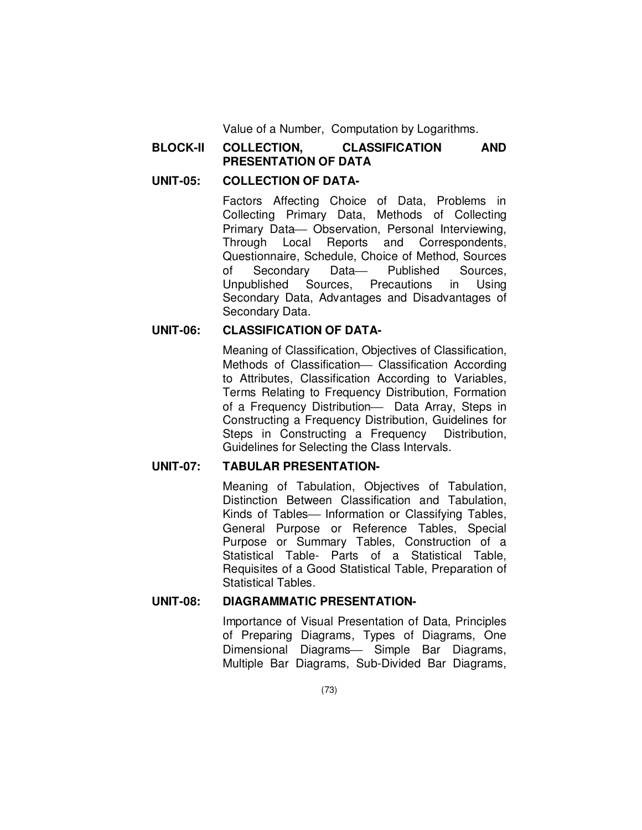Value of a Number, Computation by Logarithms.

## **BLOCK-II COLLECTION, CLASSIFICATION AND PRESENTATION OF DATA**

### **UNIT-05: COLLECTION OF DATA-**

Factors Affecting Choice of Data, Problems in Collecting Primary Data, Methods of Collecting Primary Data - Observation, Personal Interviewing, Through Local Reports and Correspondents, Questionnaire, Schedule, Choice of Method, Sources of Secondary Data- Published Sources, Unpublished Sources, Precautions in Using Secondary Data, Advantages and Disadvantages of Secondary Data.

## **UNIT-06: CLASSIFICATION OF DATA-**

Meaning of Classification, Objectives of Classification, Methods of Classification- Classification According to Attributes, Classification According to Variables, Terms Relating to Frequency Distribution, Formation of a Frequency Distribution- Data Array, Steps in Constructing a Frequency Distribution, Guidelines for Steps in Constructing a Frequency Distribution, Guidelines for Selecting the Class Intervals.

## **UNIT-07: TABULAR PRESENTATION-**

Meaning of Tabulation, Objectives of Tabulation, Distinction Between Classification and Tabulation, Kinds of Tables- Information or Classifying Tables, General Purpose or Reference Tables, Special Purpose or Summary Tables, Construction of a Statistical Table- Parts of a Statistical Table, Requisites of a Good Statistical Table, Preparation of Statistical Tables.

### **UNIT-08: DIAGRAMMATIC PRESENTATION-**

Importance of Visual Presentation of Data, Principles of Preparing Diagrams, Types of Diagrams, One Dimensional Diagrams— Simple Bar Diagrams, Multiple Bar Diagrams, Sub-Divided Bar Diagrams,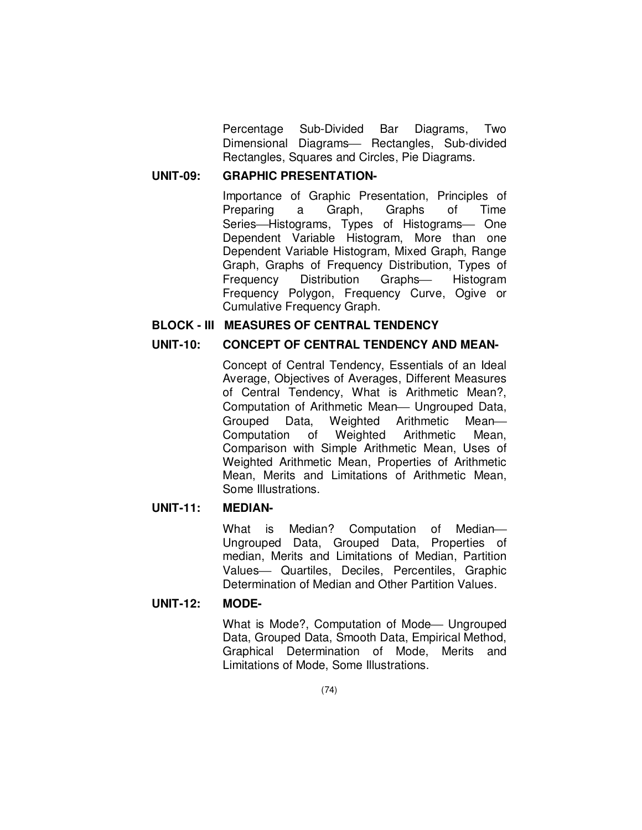Percentage Sub-Divided Bar Diagrams, Two Dimensional Diagrams- Rectangles, Sub-divided Rectangles, Squares and Circles, Pie Diagrams.

# **UNIT-09: GRAPHIC PRESENTATION-**

Importance of Graphic Presentation, Principles of Preparing a Graph, Graphs of Time Series-Histograms, Types of Histograms- One Dependent Variable Histogram, More than one Dependent Variable Histogram, Mixed Graph, Range Graph, Graphs of Frequency Distribution, Types of Frequency Distribution Graphs- Histogram Frequency Polygon, Frequency Curve, Ogive or Cumulative Frequency Graph.

## **BLOCK - III MEASURES OF CENTRAL TENDENCY**

#### **UNIT-10: CONCEPT OF CENTRAL TENDENCY AND MEAN-**

Concept of Central Tendency, Essentials of an Ideal Average, Objectives of Averages, Different Measures of Central Tendency, What is Arithmetic Mean?, Computation of Arithmetic Mean— Ungrouped Data, Grouped Data, Weighted Arithmetic Mean Computation of Weighted Arithmetic Mean, Comparison with Simple Arithmetic Mean, Uses of Weighted Arithmetic Mean, Properties of Arithmetic Mean, Merits and Limitations of Arithmetic Mean, Some Illustrations.

#### **UNIT-11: MEDIAN-**

What is Median? Computation of Median Ungrouped Data, Grouped Data, Properties of median, Merits and Limitations of Median, Partition Values- Quartiles, Deciles, Percentiles, Graphic Determination of Median and Other Partition Values.

#### **UNIT-12: MODE-**

What is Mode?, Computation of Mode - Ungrouped Data, Grouped Data, Smooth Data, Empirical Method, Graphical Determination of Mode, Merits and Limitations of Mode, Some Illustrations.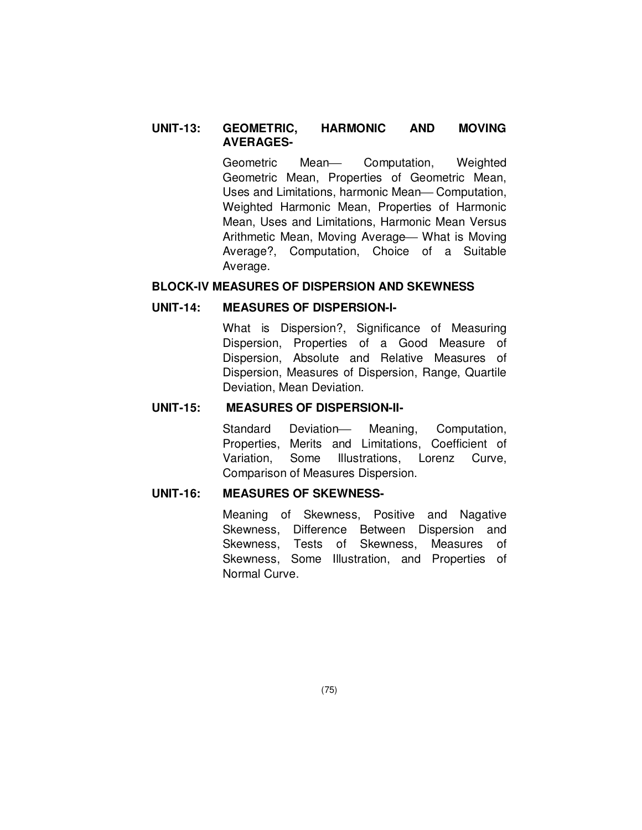### **UNIT-13: GEOMETRIC, HARMONIC AND MOVING AVERAGES-**

Geometric Mean- Computation, Weighted Geometric Mean, Properties of Geometric Mean, Uses and Limitations, harmonic Mean-Computation, Weighted Harmonic Mean, Properties of Harmonic Mean, Uses and Limitations, Harmonic Mean Versus Arithmetic Mean, Moving Average – What is Moving Average?, Computation, Choice of a Suitable Average.

#### **BLOCK-IV MEASURES OF DISPERSION AND SKEWNESS**

#### **UNIT-14: MEASURES OF DISPERSION-I-**

What is Dispersion?, Significance of Measuring Dispersion, Properties of a Good Measure of Dispersion, Absolute and Relative Measures of Dispersion, Measures of Dispersion, Range, Quartile Deviation, Mean Deviation.

#### **UNIT-15: MEASURES OF DISPERSION-II-**

Standard Deviation Meaning, Computation, Properties, Merits and Limitations, Coefficient of Variation, Some Illustrations, Lorenz Curve, Comparison of Measures Dispersion.

### **UNIT-16: MEASURES OF SKEWNESS-**

Meaning of Skewness, Positive and Nagative Skewness, Difference Between Dispersion and Skewness, Tests of Skewness, Measures of Skewness, Some Illustration, and Properties of Normal Curve.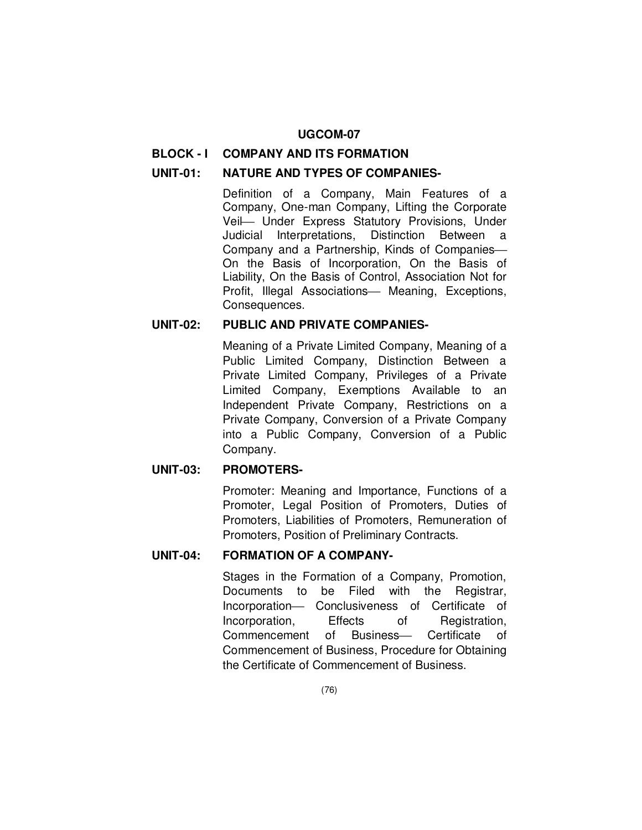#### **BLOCK - I COMPANY AND ITS FORMATION**

### **UNIT-01: NATURE AND TYPES OF COMPANIES-**

Definition of a Company, Main Features of a Company, One-man Company, Lifting the Corporate Veil Under Express Statutory Provisions, Under Judicial Interpretations, Distinction Between a Company and a Partnership, Kinds of Companies On the Basis of Incorporation, On the Basis of Liability, On the Basis of Control, Association Not for Profit, Illegal Associations - Meaning, Exceptions, Consequences.

## **UNIT-02: PUBLIC AND PRIVATE COMPANIES-**

Meaning of a Private Limited Company, Meaning of a Public Limited Company, Distinction Between a Private Limited Company, Privileges of a Private Limited Company, Exemptions Available to an Independent Private Company, Restrictions on a Private Company, Conversion of a Private Company into a Public Company, Conversion of a Public Company.

#### **UNIT-03: PROMOTERS-**

Promoter: Meaning and Importance, Functions of a Promoter, Legal Position of Promoters, Duties of Promoters, Liabilities of Promoters, Remuneration of Promoters, Position of Preliminary Contracts.

## **UNIT-04: FORMATION OF A COMPANY-**

Stages in the Formation of a Company, Promotion, Documents to be Filed with the Registrar, Incorporation- Conclusiveness of Certificate of Incorporation, Effects of Registration, Commencement of Business- Certificate of Commencement of Business, Procedure for Obtaining the Certificate of Commencement of Business.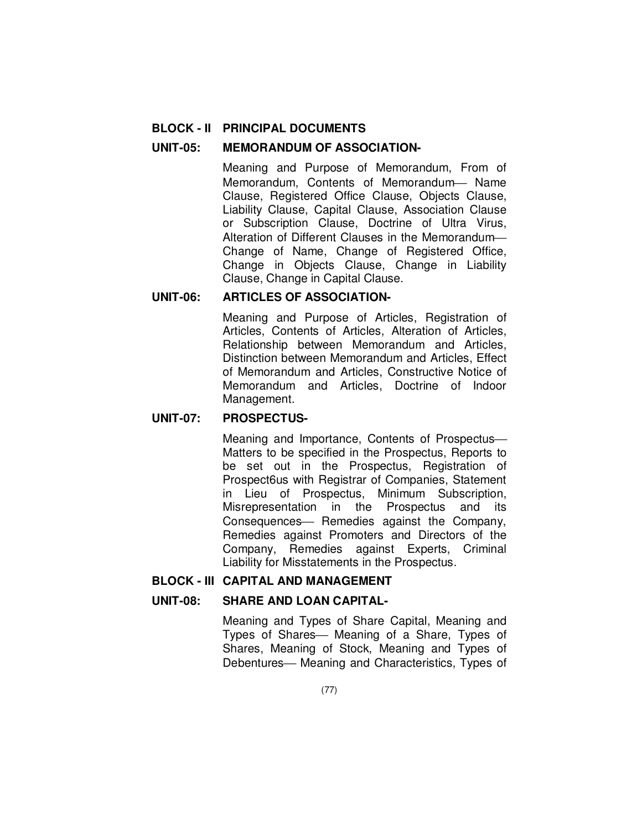### **BLOCK - II PRINCIPAL DOCUMENTS**

#### **UNIT-05: MEMORANDUM OF ASSOCIATION-**

Meaning and Purpose of Memorandum, From of Memorandum, Contents of Memorandum- Name Clause, Registered Office Clause, Objects Clause, Liability Clause, Capital Clause, Association Clause or Subscription Clause, Doctrine of Ultra Virus, Alteration of Different Clauses in the Memorandum Change of Name, Change of Registered Office, Change in Objects Clause, Change in Liability Clause, Change in Capital Clause.

#### **UNIT-06: ARTICLES OF ASSOCIATION-**

Meaning and Purpose of Articles, Registration of Articles, Contents of Articles, Alteration of Articles, Relationship between Memorandum and Articles, Distinction between Memorandum and Articles, Effect of Memorandum and Articles, Constructive Notice of Memorandum and Articles, Doctrine of Indoor Management.

## **UNIT-07: PROSPECTUS-**

Meaning and Importance, Contents of Prospectus Matters to be specified in the Prospectus, Reports to be set out in the Prospectus, Registration of Prospect6us with Registrar of Companies, Statement in Lieu of Prospectus, Minimum Subscription, Misrepresentation in the Prospectus and its Consequences- Remedies against the Company, Remedies against Promoters and Directors of the Company, Remedies against Experts, Criminal Liability for Misstatements in the Prospectus.

## **BLOCK - III CAPITAL AND MANAGEMENT**

### **UNIT-08: SHARE AND LOAN CAPITAL-**

Meaning and Types of Share Capital, Meaning and Types of Shares— Meaning of a Share, Types of Shares, Meaning of Stock, Meaning and Types of Debentures— Meaning and Characteristics, Types of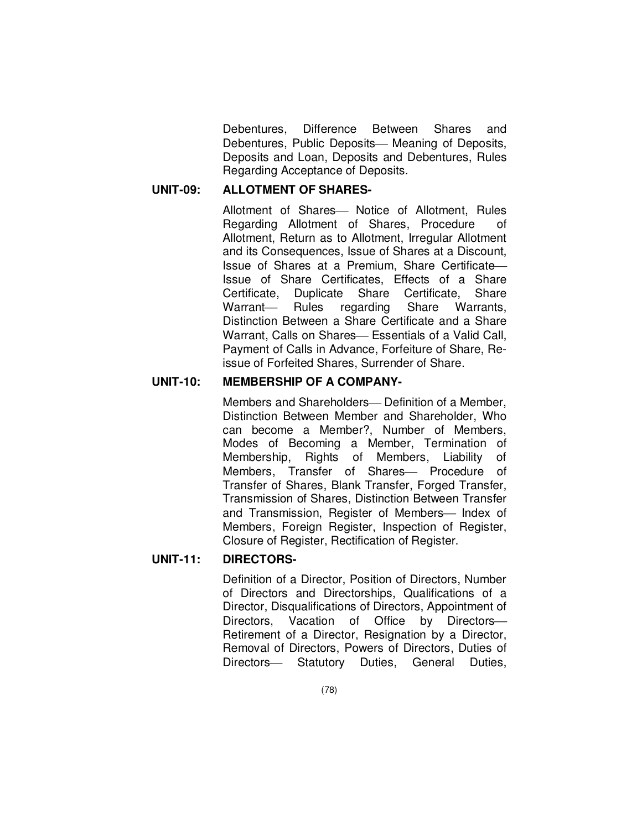Debentures, Difference Between Shares and Debentures, Public Deposits— Meaning of Deposits, Deposits and Loan, Deposits and Debentures, Rules Regarding Acceptance of Deposits.

## **UNIT-09: ALLOTMENT OF SHARES-**

Allotment of Shares- Notice of Allotment, Rules Regarding Allotment of Shares, Procedure of Allotment, Return as to Allotment, Irregular Allotment and its Consequences, Issue of Shares at a Discount, Issue of Shares at a Premium, Share Certificate Issue of Share Certificates, Effects of a Share Certificate, Duplicate Share Certificate, Share Warrant- Rules regarding Share Warrants, Distinction Between a Share Certificate and a Share Warrant, Calls on Shares— Essentials of a Valid Call. Payment of Calls in Advance, Forfeiture of Share, Reissue of Forfeited Shares, Surrender of Share.

### **UNIT-10: MEMBERSHIP OF A COMPANY-**

Members and Shareholders— Definition of a Member. Distinction Between Member and Shareholder, Who can become a Member?, Number of Members, Modes of Becoming a Member, Termination of Membership, Rights of Members, Liability of Members, Transfer of Shares- Procedure of Transfer of Shares, Blank Transfer, Forged Transfer, Transmission of Shares, Distinction Between Transfer and Transmission, Register of Members- Index of Members, Foreign Register, Inspection of Register, Closure of Register, Rectification of Register.

## **UNIT-11: DIRECTORS-**

Definition of a Director, Position of Directors, Number of Directors and Directorships, Qualifications of a Director, Disqualifications of Directors, Appointment of Directors, Vacation of Office by Directors-Retirement of a Director, Resignation by a Director, Removal of Directors, Powers of Directors, Duties of Directors- Statutory Duties, General Duties,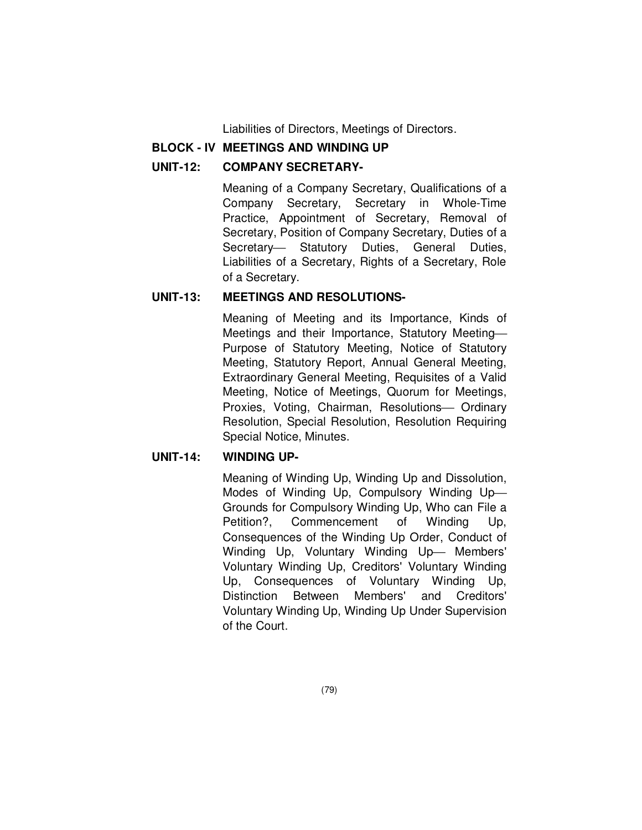Liabilities of Directors, Meetings of Directors.

## **BLOCK - IV MEETINGS AND WINDING UP**

### **UNIT-12: COMPANY SECRETARY-**

Meaning of a Company Secretary, Qualifications of a Company Secretary, Secretary in Whole-Time Practice, Appointment of Secretary, Removal of Secretary, Position of Company Secretary, Duties of a Secretary- Statutory Duties, General Duties, Liabilities of a Secretary, Rights of a Secretary, Role of a Secretary.

## **UNIT-13: MEETINGS AND RESOLUTIONS-**

Meaning of Meeting and its Importance, Kinds of Meetings and their Importance, Statutory Meeting Purpose of Statutory Meeting, Notice of Statutory Meeting, Statutory Report, Annual General Meeting, Extraordinary General Meeting, Requisites of a Valid Meeting, Notice of Meetings, Quorum for Meetings, Proxies, Voting, Chairman, Resolutions- Ordinary Resolution, Special Resolution, Resolution Requiring Special Notice, Minutes.

## **UNIT-14: WINDING UP-**

Meaning of Winding Up, Winding Up and Dissolution, Modes of Winding Up, Compulsory Winding Up Grounds for Compulsory Winding Up, Who can File a Petition?, Commencement of Winding Up, Consequences of the Winding Up Order, Conduct of Winding Up, Voluntary Winding Up- Members' Voluntary Winding Up, Creditors' Voluntary Winding Up, Consequences of Voluntary Winding Up, Distinction Between Members' and Creditors' Voluntary Winding Up, Winding Up Under Supervision of the Court.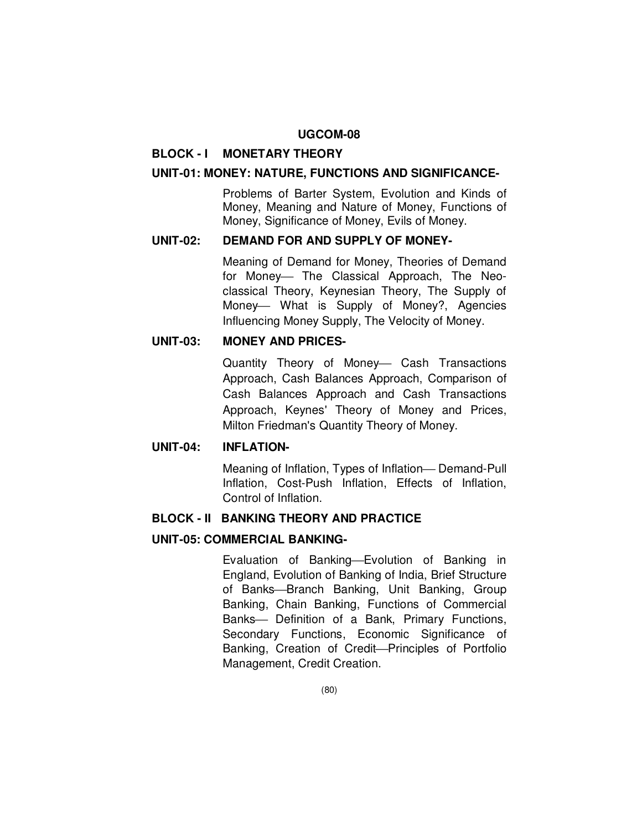#### **BLOCK - I MONETARY THEORY**

#### **UNIT-01: MONEY: NATURE, FUNCTIONS AND SIGNIFICANCE-**

Problems of Barter System, Evolution and Kinds of Money, Meaning and Nature of Money, Functions of Money, Significance of Money, Evils of Money.

#### **UNIT-02: DEMAND FOR AND SUPPLY OF MONEY-**

Meaning of Demand for Money, Theories of Demand for Money- The Classical Approach, The Neoclassical Theory, Keynesian Theory, The Supply of Money- What is Supply of Money?, Agencies Influencing Money Supply, The Velocity of Money.

#### **UNIT-03: MONEY AND PRICES-**

Quantity Theory of Money- Cash Transactions Approach, Cash Balances Approach, Comparison of Cash Balances Approach and Cash Transactions Approach, Keynes' Theory of Money and Prices, Milton Friedman's Quantity Theory of Money.

#### **UNIT-04: INFLATION-**

Meaning of Inflation, Types of Inflation- Demand-Pull Inflation, Cost-Push Inflation, Effects of Inflation, Control of Inflation.

## **BLOCK - II BANKING THEORY AND PRACTICE**

#### **UNIT-05: COMMERCIAL BANKING-**

Evaluation of Banking-Evolution of Banking in England, Evolution of Banking of India, Brief Structure of Banks-Branch Banking, Unit Banking, Group Banking, Chain Banking, Functions of Commercial Banks- Definition of a Bank, Primary Functions, Secondary Functions, Economic Significance of Banking, Creation of Credit-Principles of Portfolio Management, Credit Creation.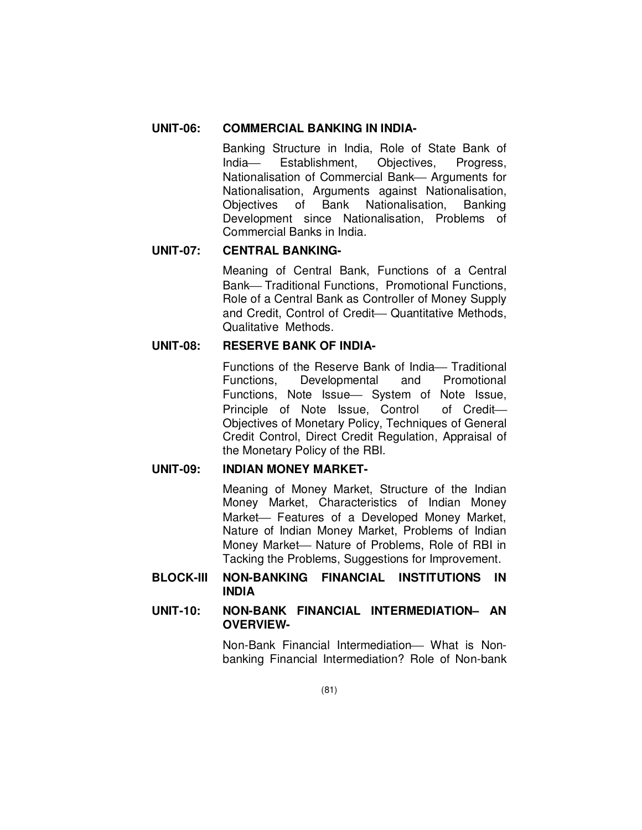## **UNIT-06: COMMERCIAL BANKING IN INDIA-**

Banking Structure in India, Role of State Bank of India Establishment, Objectives, Progress, Nationalisation of Commercial Bank— Arguments for Nationalisation, Arguments against Nationalisation, Objectives of Bank Nationalisation, Banking Development since Nationalisation, Problems of Commercial Banks in India.

## **UNIT-07: CENTRAL BANKING-**

Meaning of Central Bank, Functions of a Central Bank-Traditional Functions, Promotional Functions, Role of a Central Bank as Controller of Money Supply and Credit, Control of Credit- Quantitative Methods, Qualitative Methods.

# **UNIT-08: RESERVE BANK OF INDIA-**

Functions of the Reserve Bank of India – Traditional Functions, Developmental and Promotional Functions, Note Issue - System of Note Issue, Principle of Note Issue, Control of Credit Objectives of Monetary Policy, Techniques of General Credit Control, Direct Credit Regulation, Appraisal of the Monetary Policy of the RBI.

# **UNIT-09: INDIAN MONEY MARKET-**

Meaning of Money Market, Structure of the Indian Money Market, Characteristics of Indian Money Market – Features of a Developed Money Market, Nature of Indian Money Market, Problems of Indian Money Market— Nature of Problems, Role of RBI in Tacking the Problems, Suggestions for Improvement.

## **BLOCK-III NON-BANKING FINANCIAL INSTITUTIONS IN INDIA**

## **UNIT-10: NON-BANK FINANCIAL INTERMEDIATION– AN OVERVIEW-**

Non-Bank Financial Intermediation - What is Nonbanking Financial Intermediation? Role of Non-bank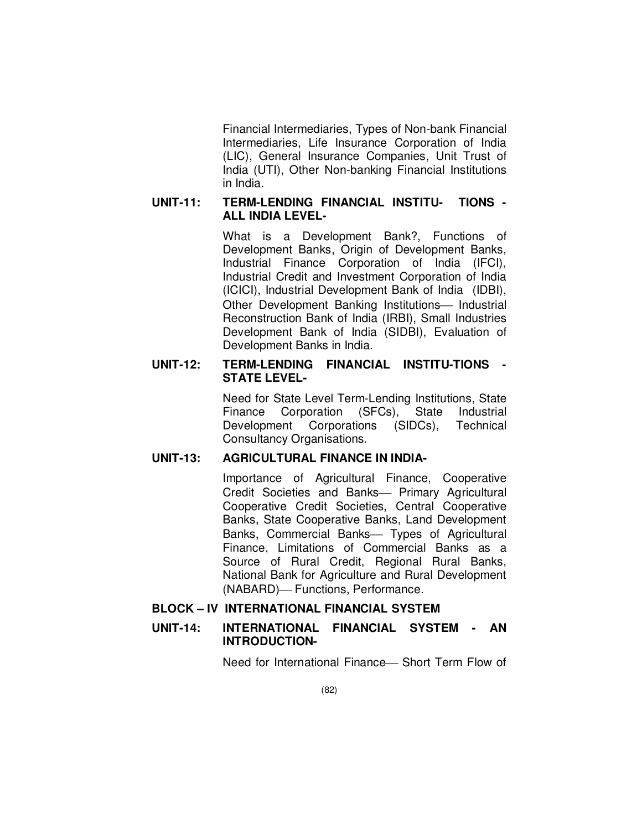Financial Intermediaries, Types of Non-bank Financial Intermediaries, Life Insurance Corporation of India (LIC), General Insurance Companies, Unit Trust of India (UTI), Other Non-banking Financial Institutions in India.

## **UNIT-11: TERM-LENDING FINANCIAL INSTITU- TIONS - ALL INDIA LEVEL-**

What is a Development Bank?, Functions of Development Banks, Origin of Development Banks, Industrial Finance Corporation of India (IFCI), Industrial Credit and Investment Corporation of India (ICICI), Industrial Development Bank of India (IDBI), Other Development Banking Institutions- Industrial Reconstruction Bank of India (IRBI), Small Industries Development Bank of India (SIDBI), Evaluation of Development Banks in India.

## **UNIT-12: TERM-LENDING FINANCIAL INSTITU-TIONS - STATE LEVEL-**

Need for State Level Term-Lending Institutions, State Finance Corporation (SFCs), State Industrial Development Corporations (SIDCs), Technical Consultancy Organisations.

### **UNIT-13: AGRICULTURAL FINANCE IN INDIA-**

Importance of Agricultural Finance, Cooperative Credit Societies and Banks- Primary Agricultural Cooperative Credit Societies, Central Cooperative Banks, State Cooperative Banks, Land Development Banks, Commercial Banks- Types of Agricultural Finance, Limitations of Commercial Banks as a Source of Rural Credit, Regional Rural Banks, National Bank for Agriculture and Rural Development (NABARD) - Functions, Performance.

## **BLOCK – IV INTERNATIONAL FINANCIAL SYSTEM**

## **UNIT-14: INTERNATIONAL FINANCIAL SYSTEM - AN INTRODUCTION-**

Need for International Finance - Short Term Flow of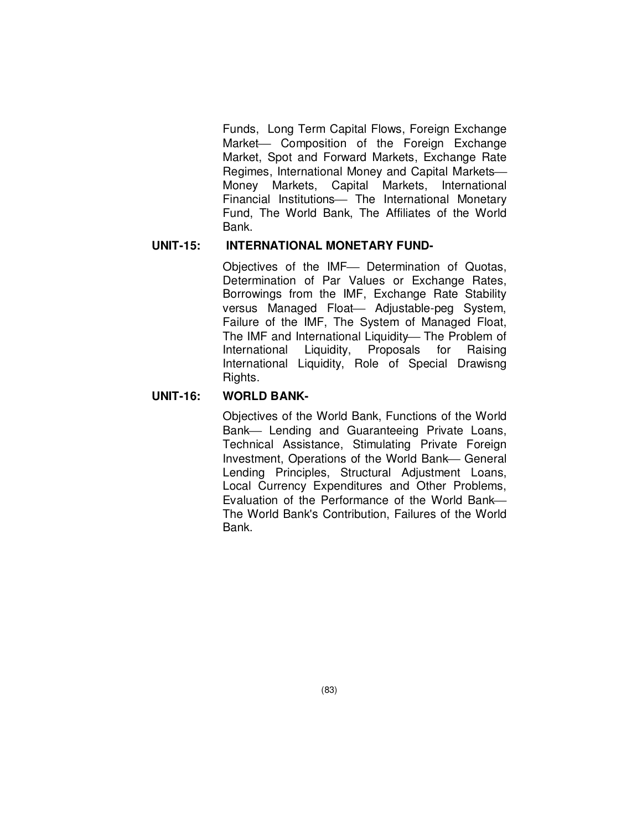Funds, Long Term Capital Flows, Foreign Exchange Market- Composition of the Foreign Exchange Market, Spot and Forward Markets, Exchange Rate Regimes, International Money and Capital Markets Money Markets, Capital Markets, International Financial Institutions- The International Monetary Fund, The World Bank, The Affiliates of the World Bank.

#### **UNIT-15: INTERNATIONAL MONETARY FUND-**

Objectives of the IMF- Determination of Quotas, Determination of Par Values or Exchange Rates, Borrowings from the IMF, Exchange Rate Stability versus Managed Float- Adjustable-peg System, Failure of the IMF, The System of Managed Float, The IMF and International Liquidity-The Problem of International Liquidity, Proposals for Raising International Liquidity, Role of Special Drawisng Rights.

## **UNIT-16: WORLD BANK-**

Objectives of the World Bank, Functions of the World Bank- Lending and Guaranteeing Private Loans, Technical Assistance, Stimulating Private Foreign Investment, Operations of the World Bank-General Lending Principles, Structural Adjustment Loans, Local Currency Expenditures and Other Problems, Evaluation of the Performance of the World Bank The World Bank's Contribution, Failures of the World Bank.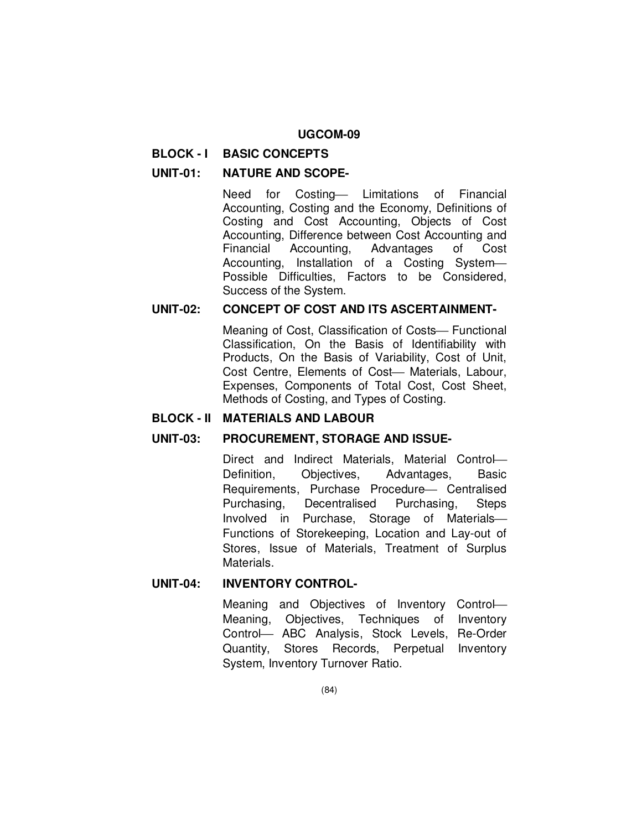#### **BLOCK - I BASIC CONCEPTS**

#### **UNIT-01: NATURE AND SCOPE-**

Need for Costing Limitations of Financial Accounting, Costing and the Economy, Definitions of Costing and Cost Accounting, Objects of Cost Accounting, Difference between Cost Accounting and Financial Accounting, Advantages of Cost Accounting, Installation of a Costing System Possible Difficulties, Factors to be Considered, Success of the System.

#### **UNIT-02: CONCEPT OF COST AND ITS ASCERTAINMENT-**

Meaning of Cost, Classification of Costs— Functional Classification, On the Basis of Identifiability with Products, On the Basis of Variability, Cost of Unit, Cost Centre, Elements of Cost- Materials, Labour, Expenses, Components of Total Cost, Cost Sheet, Methods of Costing, and Types of Costing.

#### **BLOCK - II MATERIALS AND LABOUR**

#### **UNIT-03: PROCUREMENT, STORAGE AND ISSUE-**

Direct and Indirect Materials, Material Control Definition, Objectives, Advantages, Basic Requirements, Purchase Procedure Centralised Purchasing, Decentralised Purchasing, Steps Involved in Purchase, Storage of Materials Functions of Storekeeping, Location and Lay-out of Stores, Issue of Materials, Treatment of Surplus **Materials** 

## **UNIT-04: INVENTORY CONTROL-**

Meaning and Objectives of Inventory Control Meaning, Objectives, Techniques of Inventory Control ABC Analysis, Stock Levels, Re-Order Quantity, Stores Records, Perpetual Inventory System, Inventory Turnover Ratio.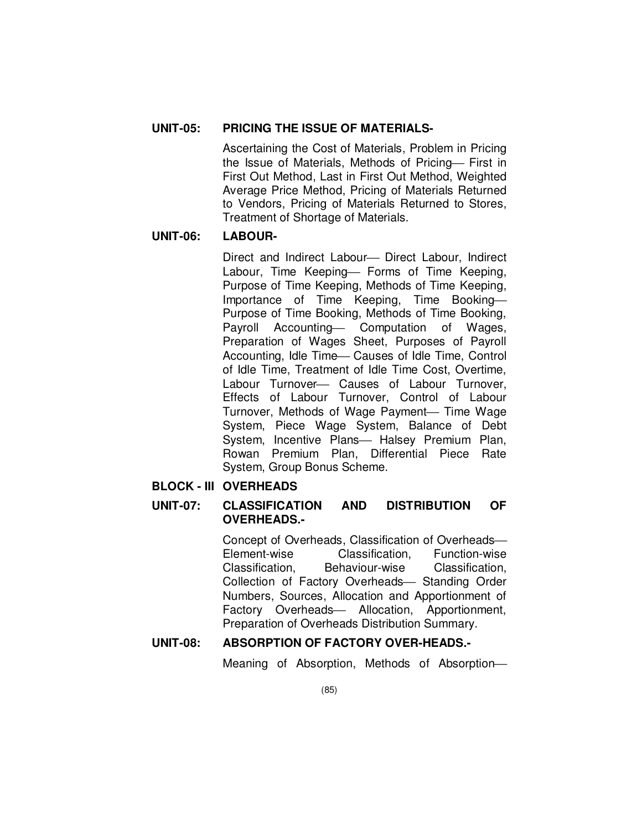# **UNIT-05: PRICING THE ISSUE OF MATERIALS-**

Ascertaining the Cost of Materials, Problem in Pricing the Issue of Materials, Methods of Pricing- First in First Out Method, Last in First Out Method, Weighted Average Price Method, Pricing of Materials Returned to Vendors, Pricing of Materials Returned to Stores, Treatment of Shortage of Materials.

## **UNIT-06: LABOUR-**

Direct and Indirect Labour— Direct Labour, Indirect Labour, Time Keeping- Forms of Time Keeping, Purpose of Time Keeping, Methods of Time Keeping, Importance of Time Keeping, Time Booking Purpose of Time Booking, Methods of Time Booking, Payroll Accounting- Computation of Wages, Preparation of Wages Sheet, Purposes of Payroll Accounting, Idle Time - Causes of Idle Time, Control of Idle Time, Treatment of Idle Time Cost, Overtime, Labour Turnover- Causes of Labour Turnover, Effects of Labour Turnover, Control of Labour Turnover, Methods of Wage Payment— Time Wage System, Piece Wage System, Balance of Debt System, Incentive Plans- Halsey Premium Plan, Rowan Premium Plan, Differential Piece Rate System, Group Bonus Scheme.

## **BLOCK - III OVERHEADS**

## **UNIT-07: CLASSIFICATION AND DISTRIBUTION OF OVERHEADS.-**

Concept of Overheads, Classification of Overheads Element-wise Classification, Function-wise Classification, Behaviour-wise Classification, Collection of Factory Overheads- Standing Order Numbers, Sources, Allocation and Apportionment of Factory Overheads- Allocation, Apportionment, Preparation of Overheads Distribution Summary.

# **UNIT-08: ABSORPTION OF FACTORY OVER-HEADS.-**

Meaning of Absorption, Methods of Absorption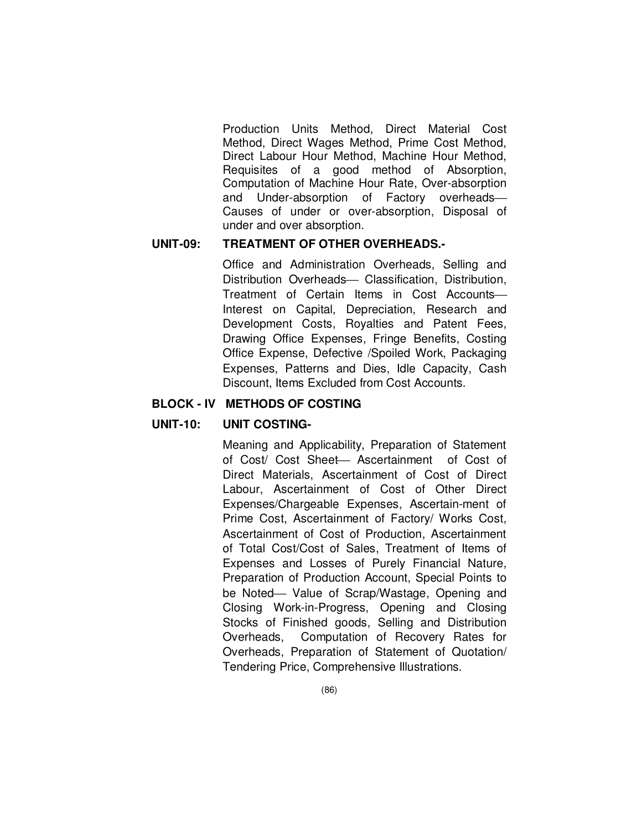Production Units Method, Direct Material Cost Method, Direct Wages Method, Prime Cost Method, Direct Labour Hour Method, Machine Hour Method, Requisites of a good method of Absorption, Computation of Machine Hour Rate, Over-absorption and Under-absorption of Factory overheads Causes of under or over-absorption, Disposal of under and over absorption.

#### **UNIT-09: TREATMENT OF OTHER OVERHEADS.-**

Office and Administration Overheads, Selling and Distribution Overheads- Classification, Distribution, Treatment of Certain Items in Cost Accounts Interest on Capital, Depreciation, Research and Development Costs, Royalties and Patent Fees, Drawing Office Expenses, Fringe Benefits, Costing Office Expense, Defective /Spoiled Work, Packaging Expenses, Patterns and Dies, Idle Capacity, Cash Discount, Items Excluded from Cost Accounts.

### **BLOCK - IV METHODS OF COSTING**

#### **UNIT-10: UNIT COSTING-**

Meaning and Applicability, Preparation of Statement of Cost/ Cost Sheet- Ascertainment of Cost of Direct Materials, Ascertainment of Cost of Direct Labour, Ascertainment of Cost of Other Direct Expenses/Chargeable Expenses, Ascertain-ment of Prime Cost, Ascertainment of Factory/ Works Cost, Ascertainment of Cost of Production, Ascertainment of Total Cost/Cost of Sales, Treatment of Items of Expenses and Losses of Purely Financial Nature, Preparation of Production Account, Special Points to be Noted Value of Scrap/Wastage, Opening and Closing Work-in-Progress, Opening and Closing Stocks of Finished goods, Selling and Distribution Overheads, Computation of Recovery Rates for Overheads, Preparation of Statement of Quotation/ Tendering Price, Comprehensive Illustrations.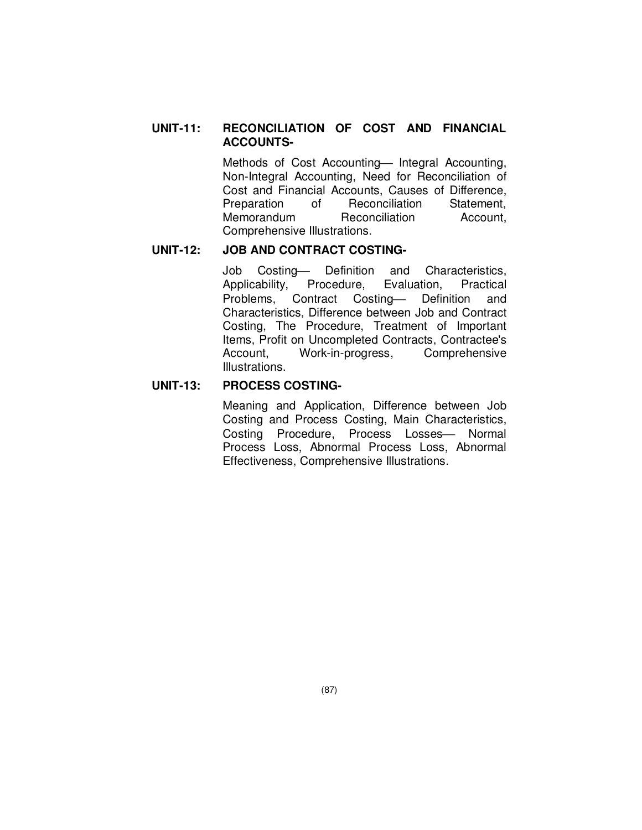## **UNIT-11: RECONCILIATION OF COST AND FINANCIAL ACCOUNTS-**

Methods of Cost Accounting - Integral Accounting, Non-Integral Accounting, Need for Reconciliation of Cost and Financial Accounts, Causes of Difference, Preparation of Reconciliation Statement, Memorandum Reconciliation Account, Comprehensive Illustrations.

## **UNIT-12: JOB AND CONTRACT COSTING-**

Job Costing-- Definition and Characteristics, Applicability, Procedure, Evaluation, Practical Problems, Contract Costing Definition and Characteristics, Difference between Job and Contract Costing, The Procedure, Treatment of Important Items, Profit on Uncompleted Contracts, Contractee's Account, Work-in-progress, Comprehensive Illustrations.

#### **UNIT-13: PROCESS COSTING-**

Meaning and Application, Difference between Job Costing and Process Costing, Main Characteristics, Costing Procedure, Process Losses- Normal Process Loss, Abnormal Process Loss, Abnormal Effectiveness, Comprehensive Illustrations.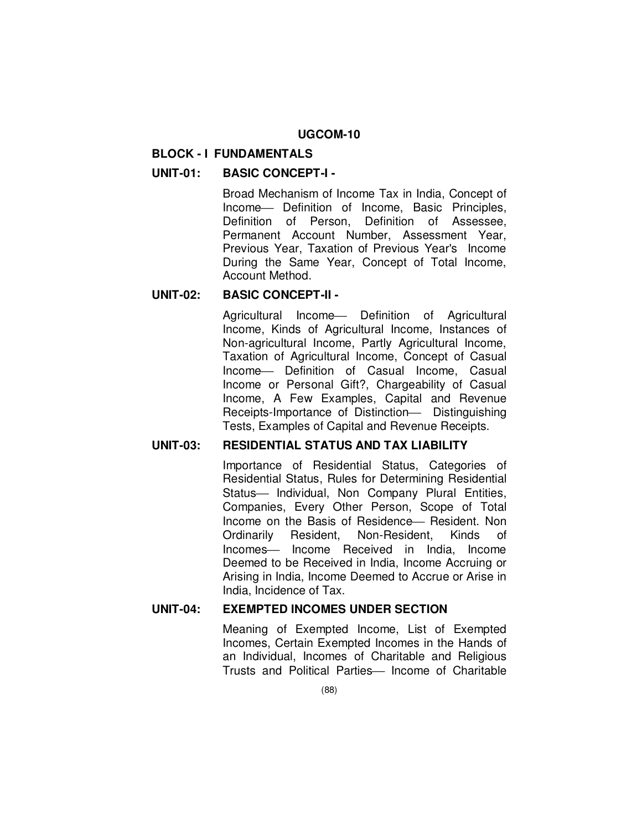#### **BLOCK - I FUNDAMENTALS**

### **UNIT-01: BASIC CONCEPT-I -**

Broad Mechanism of Income Tax in India, Concept of Income- Definition of Income, Basic Principles, Definition of Person, Definition of Assessee, Permanent Account Number, Assessment Year, Previous Year, Taxation of Previous Year's Income During the Same Year, Concept of Total Income, Account Method.

### **UNIT-02: BASIC CONCEPT-II -**

Agricultural Income Definition of Agricultural Income, Kinds of Agricultural Income, Instances of Non-agricultural Income, Partly Agricultural Income, Taxation of Agricultural Income, Concept of Casual Income- Definition of Casual Income, Casual Income or Personal Gift?, Chargeability of Casual Income, A Few Examples, Capital and Revenue Receipts-Importance of Distinction - Distinguishing Tests, Examples of Capital and Revenue Receipts.

### **UNIT-03: RESIDENTIAL STATUS AND TAX LIABILITY**

Importance of Residential Status, Categories of Residential Status, Rules for Determining Residential Status- Individual, Non Company Plural Entities, Companies, Every Other Person, Scope of Total Income on the Basis of Residence – Resident. Non Ordinarily Resident, Non-Resident, Kinds of Incomes- Income Received in India, Income Deemed to be Received in India, Income Accruing or Arising in India, Income Deemed to Accrue or Arise in India, Incidence of Tax.

#### **UNIT-04: EXEMPTED INCOMES UNDER SECTION**

Meaning of Exempted Income, List of Exempted Incomes, Certain Exempted Incomes in the Hands of an Individual, Incomes of Charitable and Religious Trusts and Political Parties - Income of Charitable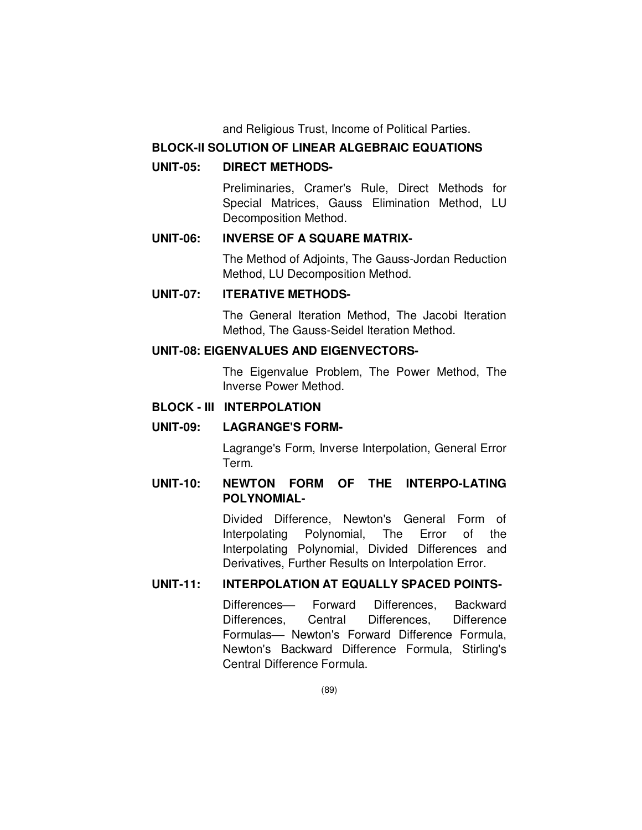and Religious Trust, Income of Political Parties.

### **BLOCK-II SOLUTION OF LINEAR ALGEBRAIC EQUATIONS**

### **UNIT-05: DIRECT METHODS-**

Preliminaries, Cramer's Rule, Direct Methods for Special Matrices, Gauss Elimination Method, LU Decomposition Method.

## **UNIT-06: INVERSE OF A SQUARE MATRIX-**

The Method of Adjoints, The Gauss-Jordan Reduction Method, LU Decomposition Method.

## **UNIT-07: ITERATIVE METHODS-**

The General Iteration Method, The Jacobi Iteration Method, The Gauss-Seidel Iteration Method.

#### **UNIT-08: EIGENVALUES AND EIGENVECTORS-**

 The Eigenvalue Problem, The Power Method, The Inverse Power Method.

### **BLOCK - III INTERPOLATION**

### **UNIT-09: LAGRANGE'S FORM-**

Lagrange's Form, Inverse Interpolation, General Error Term.

## **UNIT-10: NEWTON FORM OF THE INTERPO-LATING POLYNOMIAL-**

Divided Difference, Newton's General Form of Interpolating Polynomial, The Error of the Interpolating Polynomial, Divided Differences and Derivatives, Further Results on Interpolation Error.

#### **UNIT-11: INTERPOLATION AT EQUALLY SPACED POINTS-**

Differences- Forward Differences, Backward Differences, Central Differences, Difference Formulas- Newton's Forward Difference Formula, Newton's Backward Difference Formula, Stirling's Central Difference Formula.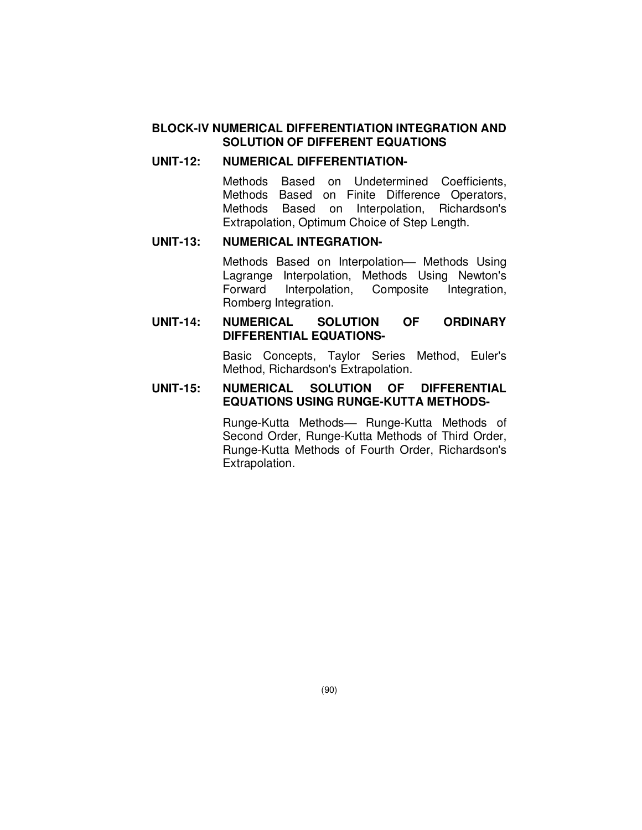#### **BLOCK-IV NUMERICAL DIFFERENTIATION INTEGRATION AND SOLUTION OF DIFFERENT EQUATIONS**

### **UNIT-12: NUMERICAL DIFFERENTIATION-**

Methods Based on Undetermined Coefficients, Methods Based on Finite Difference Operators, Methods Based on Interpolation, Richardson's Extrapolation, Optimum Choice of Step Length.

### **UNIT-13: NUMERICAL INTEGRATION-**

Methods Based on Interpolation - Methods Using Lagrange Interpolation, Methods Using Newton's Forward Interpolation, Composite Integration, Romberg Integration.

#### **UNIT-14: NUMERICAL SOLUTION OF ORDINARY DIFFERENTIAL EQUATIONS-**

Basic Concepts, Taylor Series Method, Euler's Method, Richardson's Extrapolation.

## **UNIT-15: NUMERICAL SOLUTION OF DIFFERENTIAL EQUATIONS USING RUNGE-KUTTA METHODS-**

Runge-Kutta Methods- Runge-Kutta Methods of Second Order, Runge-Kutta Methods of Third Order, Runge-Kutta Methods of Fourth Order, Richardson's Extrapolation.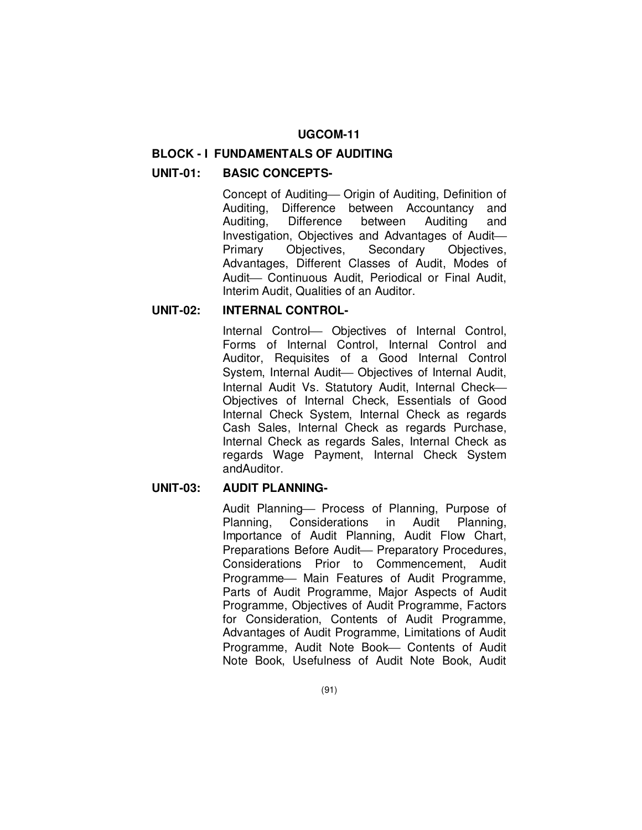#### **BLOCK - I FUNDAMENTALS OF AUDITING**

#### **UNIT-01: BASIC CONCEPTS-**

Concept of Auditing - Origin of Auditing, Definition of Auditing, Difference between Accountancy and Auditing, Difference between Auditing and Investigation, Objectives and Advantages of Audit Primary Objectives, Secondary Objectives, Advantages, Different Classes of Audit, Modes of Audit- Continuous Audit, Periodical or Final Audit, Interim Audit, Qualities of an Auditor.

#### **UNIT-02: INTERNAL CONTROL-**

Internal Control Objectives of Internal Control, Forms of Internal Control, Internal Control and Auditor, Requisites of a Good Internal Control System, Internal Audit- Objectives of Internal Audit, Internal Audit Vs. Statutory Audit, Internal Check-Objectives of Internal Check, Essentials of Good Internal Check System, Internal Check as regards Cash Sales, Internal Check as regards Purchase, Internal Check as regards Sales, Internal Check as regards Wage Payment, Internal Check System andAuditor.

#### **UNIT-03: AUDIT PLANNING-**

Audit Planning - Process of Planning, Purpose of Planning, Considerations in Audit Planning, Importance of Audit Planning, Audit Flow Chart, Preparations Before Audit- Preparatory Procedures, Considerations Prior to Commencement, Audit Programme- Main Features of Audit Programme, Parts of Audit Programme, Major Aspects of Audit Programme, Objectives of Audit Programme, Factors for Consideration, Contents of Audit Programme, Advantages of Audit Programme, Limitations of Audit Programme, Audit Note Book- Contents of Audit Note Book, Usefulness of Audit Note Book, Audit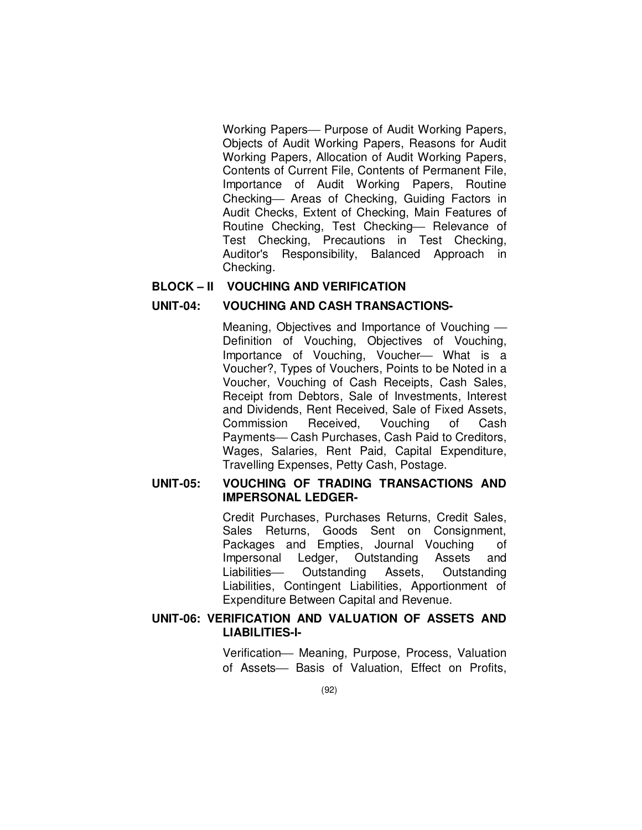Working Papers— Purpose of Audit Working Papers, Objects of Audit Working Papers, Reasons for Audit Working Papers, Allocation of Audit Working Papers, Contents of Current File, Contents of Permanent File, Importance of Audit Working Papers, Routine Checking – Areas of Checking, Guiding Factors in Audit Checks, Extent of Checking, Main Features of Routine Checking, Test Checking- Relevance of Test Checking, Precautions in Test Checking, Auditor's Responsibility, Balanced Approach in Checking.

#### **BLOCK – II VOUCHING AND VERIFICATION**

#### **UNIT-04: VOUCHING AND CASH TRANSACTIONS-**

Meaning, Objectives and Importance of Vouching Definition of Vouching, Objectives of Vouching, Importance of Vouching, Voucher- What is a Voucher?, Types of Vouchers, Points to be Noted in a Voucher, Vouching of Cash Receipts, Cash Sales, Receipt from Debtors, Sale of Investments, Interest and Dividends, Rent Received, Sale of Fixed Assets, Commission Received, Vouching of Cash Payments-Cash Purchases, Cash Paid to Creditors, Wages, Salaries, Rent Paid, Capital Expenditure, Travelling Expenses, Petty Cash, Postage.

#### **UNIT-05: VOUCHING OF TRADING TRANSACTIONS AND IMPERSONAL LEDGER-**

Credit Purchases, Purchases Returns, Credit Sales, Sales Returns, Goods Sent on Consignment, Packages and Empties, Journal Vouching of Impersonal Ledger, Outstanding Assets and Liabilities - Outstanding Assets, Outstanding Liabilities, Contingent Liabilities, Apportionment of Expenditure Between Capital and Revenue.

#### **UNIT-06: VERIFICATION AND VALUATION OF ASSETS AND LIABILITIES-I-**

Verification- Meaning, Purpose, Process, Valuation of Assets- Basis of Valuation, Effect on Profits,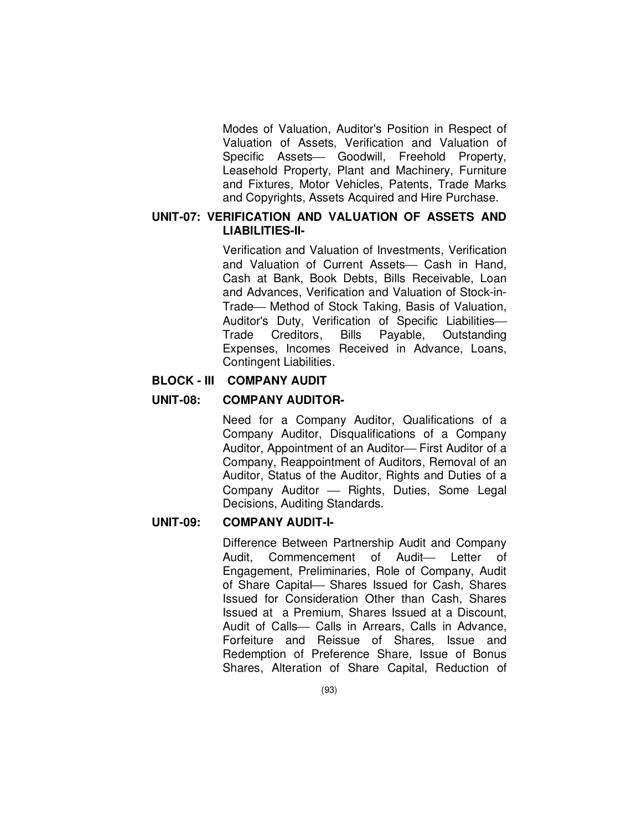Modes of Valuation, Auditor's Position in Respect of Valuation of Assets, Verification and Valuation of Specific Assets- Goodwill, Freehold Property, Leasehold Property, Plant and Machinery, Furniture and Fixtures, Motor Vehicles, Patents, Trade Marks and Copyrights, Assets Acquired and Hire Purchase.

## **UNIT-07: VERIFICATION AND VALUATION OF ASSETS AND LIABILITIES-II-**

Verification and Valuation of Investments, Verification and Valuation of Current Assets- Cash in Hand, Cash at Bank, Book Debts, Bills Receivable, Loan and Advances, Verification and Valuation of Stock-in-Trade – Method of Stock Taking, Basis of Valuation, Auditor's Duty, Verification of Specific Liabilities Trade Creditors, Bills Payable, Outstanding Expenses, Incomes Received in Advance, Loans, Contingent Liabilities.

## **BLOCK - III COMPANY AUDIT**

### **UNIT-08: COMPANY AUDITOR-**

Need for a Company Auditor, Qualifications of a Company Auditor, Disqualifications of a Company Auditor, Appointment of an Auditor-First Auditor of a Company, Reappointment of Auditors, Removal of an Auditor, Status of the Auditor, Rights and Duties of a Company Auditor — Rights, Duties, Some Legal Decisions, Auditing Standards.

## **UNIT-09: COMPANY AUDIT-I-**

Difference Between Partnership Audit and Company Audit, Commencement of Audit- Letter of Engagement, Preliminaries, Role of Company, Audit of Share Capital – Shares Issued for Cash, Shares Issued for Consideration Other than Cash, Shares Issued at a Premium, Shares Issued at a Discount, Audit of Calls Calls in Arrears, Calls in Advance, Forfeiture and Reissue of Shares, Issue and Redemption of Preference Share, Issue of Bonus Shares, Alteration of Share Capital, Reduction of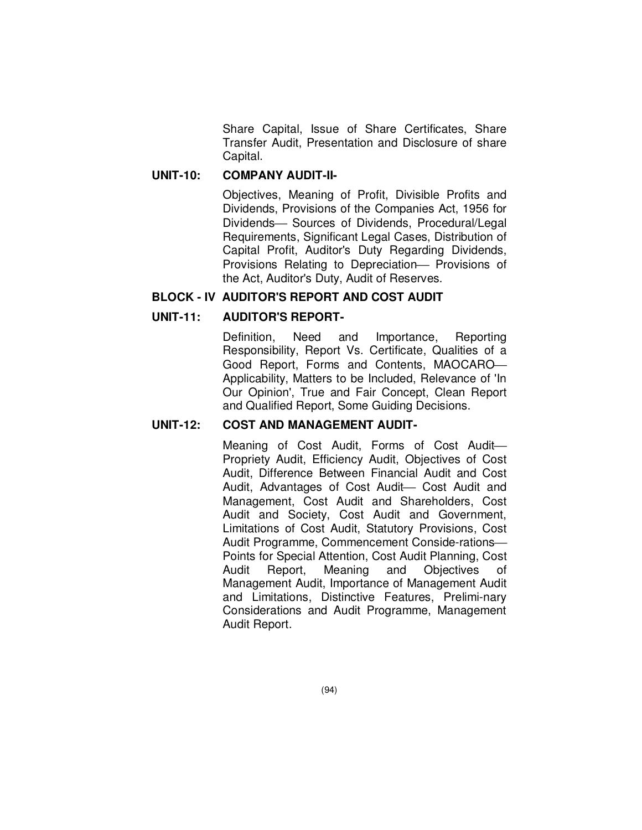Share Capital, Issue of Share Certificates, Share Transfer Audit, Presentation and Disclosure of share Capital.

#### **UNIT-10: COMPANY AUDIT-II-**

Objectives, Meaning of Profit, Divisible Profits and Dividends, Provisions of the Companies Act, 1956 for Dividends- Sources of Dividends, Procedural/Legal Requirements, Significant Legal Cases, Distribution of Capital Profit, Auditor's Duty Regarding Dividends, Provisions Relating to Depreciation- Provisions of the Act, Auditor's Duty, Audit of Reserves.

#### **BLOCK - IV AUDITOR'S REPORT AND COST AUDIT**

### **UNIT-11: AUDITOR'S REPORT-**

Definition, Need and Importance, Reporting Responsibility, Report Vs. Certificate, Qualities of a Good Report, Forms and Contents, MAOCARO Applicability, Matters to be Included, Relevance of 'In Our Opinion', True and Fair Concept, Clean Report and Qualified Report, Some Guiding Decisions.

#### **UNIT-12: COST AND MANAGEMENT AUDIT-**

Meaning of Cost Audit, Forms of Cost Audit Propriety Audit, Efficiency Audit, Objectives of Cost Audit, Difference Between Financial Audit and Cost Audit, Advantages of Cost Audit Cost Audit and Management, Cost Audit and Shareholders, Cost Audit and Society, Cost Audit and Government, Limitations of Cost Audit, Statutory Provisions, Cost Audit Programme, Commencement Conside-rations Points for Special Attention, Cost Audit Planning, Cost Audit Report, Meaning and Objectives of Management Audit, Importance of Management Audit and Limitations, Distinctive Features, Prelimi-nary Considerations and Audit Programme, Management Audit Report.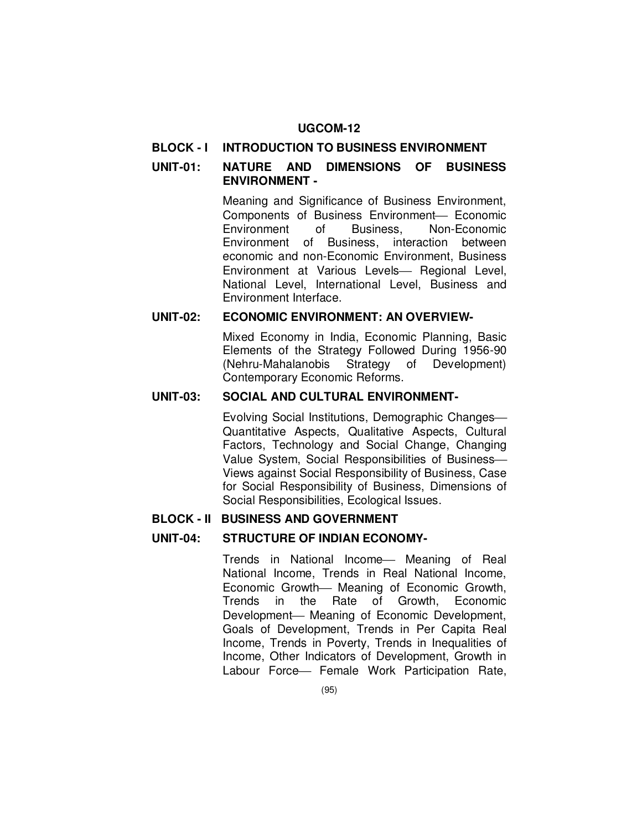#### **BLOCK - I INTRODUCTION TO BUSINESS ENVIRONMENT**

### **UNIT-01: NATURE AND DIMENSIONS OF BUSINESS ENVIRONMENT -**

Meaning and Significance of Business Environment, Components of Business Environment- Economic Environment of Business, Non-Economic Environment of Business, interaction between economic and non-Economic Environment, Business Environment at Various Levels- Regional Level, National Level, International Level, Business and Environment Interface.

## **UNIT-02: ECONOMIC ENVIRONMENT: AN OVERVIEW-**

Mixed Economy in India, Economic Planning, Basic Elements of the Strategy Followed During 1956-90 (Nehru-Mahalanobis Strategy of Development) Contemporary Economic Reforms.

#### **UNIT-03: SOCIAL AND CULTURAL ENVIRONMENT-**

Evolving Social Institutions, Demographic Changes Quantitative Aspects, Qualitative Aspects, Cultural Factors, Technology and Social Change, Changing Value System, Social Responsibilities of Business Views against Social Responsibility of Business, Case for Social Responsibility of Business, Dimensions of Social Responsibilities, Ecological Issues.

#### **BLOCK - II BUSINESS AND GOVERNMENT**

#### **UNIT-04: STRUCTURE OF INDIAN ECONOMY-**

Trends in National Income Meaning of Real National Income, Trends in Real National Income, Economic Growth- Meaning of Economic Growth, Trends in the Rate of Growth, Economic Development- Meaning of Economic Development, Goals of Development, Trends in Per Capita Real Income, Trends in Poverty, Trends in Inequalities of Income, Other Indicators of Development, Growth in Labour Force - Female Work Participation Rate,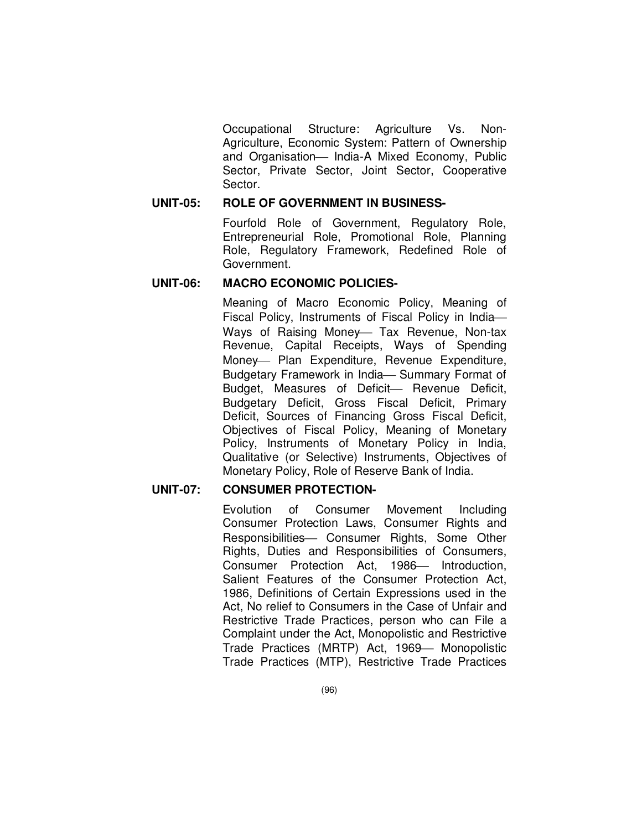Occupational Structure: Agriculture Vs. Non-Agriculture, Economic System: Pattern of Ownership and Organisation- India-A Mixed Economy, Public Sector, Private Sector, Joint Sector, Cooperative Sector.

# **UNIT-05: ROLE OF GOVERNMENT IN BUSINESS-**

Fourfold Role of Government, Regulatory Role, Entrepreneurial Role, Promotional Role, Planning Role, Regulatory Framework, Redefined Role of Government.

#### **UNIT-06: MACRO ECONOMIC POLICIES-**

Meaning of Macro Economic Policy, Meaning of Fiscal Policy, Instruments of Fiscal Policy in India Ways of Raising Money- Tax Revenue, Non-tax Revenue, Capital Receipts, Ways of Spending Money- Plan Expenditure, Revenue Expenditure, Budgetary Framework in India-Summary Format of Budget, Measures of Deficit- Revenue Deficit, Budgetary Deficit, Gross Fiscal Deficit, Primary Deficit, Sources of Financing Gross Fiscal Deficit, Objectives of Fiscal Policy, Meaning of Monetary Policy, Instruments of Monetary Policy in India, Qualitative (or Selective) Instruments, Objectives of Monetary Policy, Role of Reserve Bank of India.

### **UNIT-07: CONSUMER PROTECTION-**

Evolution of Consumer Movement Including Consumer Protection Laws, Consumer Rights and Responsibilities- Consumer Rights, Some Other Rights, Duties and Responsibilities of Consumers, Consumer Protection Act, 1986— Introduction, Salient Features of the Consumer Protection Act, 1986, Definitions of Certain Expressions used in the Act, No relief to Consumers in the Case of Unfair and Restrictive Trade Practices, person who can File a Complaint under the Act, Monopolistic and Restrictive Trade Practices (MRTP) Act, 1969 - Monopolistic Trade Practices (MTP), Restrictive Trade Practices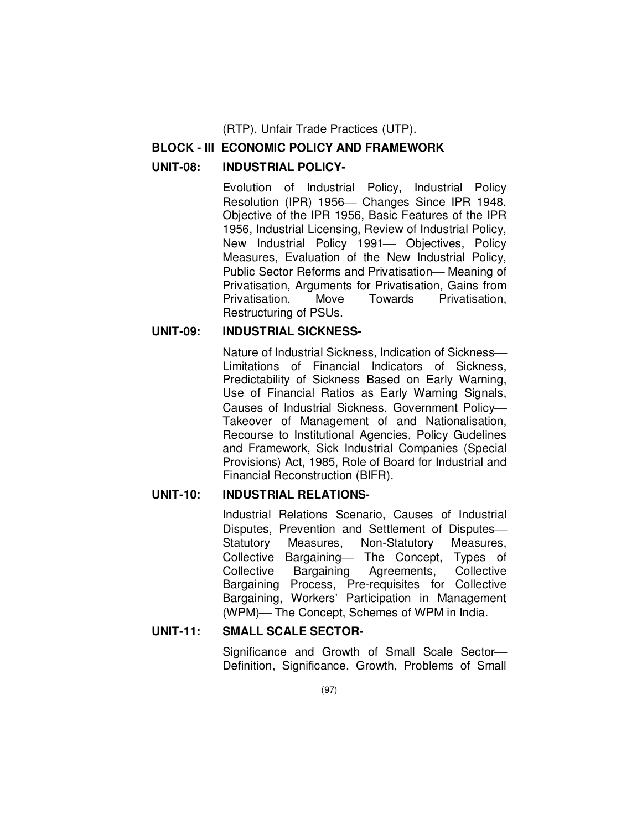(RTP), Unfair Trade Practices (UTP).

#### **BLOCK - III ECONOMIC POLICY AND FRAMEWORK**

#### **UNIT-08: INDUSTRIAL POLICY-**

Evolution of Industrial Policy, Industrial Policy Resolution (IPR) 1956– Changes Since IPR 1948, Objective of the IPR 1956, Basic Features of the IPR 1956, Industrial Licensing, Review of Industrial Policy, New Industrial Policy 1991- Objectives, Policy Measures, Evaluation of the New Industrial Policy, Public Sector Reforms and Privatisation-Meaning of Privatisation, Arguments for Privatisation, Gains from Privatisation, Move Towards Privatisation, Restructuring of PSUs.

# **UNIT-09: INDUSTRIAL SICKNESS-**

Nature of Industrial Sickness, Indication of Sickness Limitations of Financial Indicators of Sickness, Predictability of Sickness Based on Early Warning, Use of Financial Ratios as Early Warning Signals, Causes of Industrial Sickness, Government Policy Takeover of Management of and Nationalisation, Recourse to Institutional Agencies, Policy Gudelines and Framework, Sick Industrial Companies (Special Provisions) Act, 1985, Role of Board for Industrial and Financial Reconstruction (BIFR).

#### **UNIT-10: INDUSTRIAL RELATIONS-**

Industrial Relations Scenario, Causes of Industrial Disputes, Prevention and Settlement of Disputes Statutory Measures, Non-Statutory Measures, Collective Bargaining- The Concept, Types of Collective Bargaining Agreements, Collective Bargaining Process, Pre-requisites for Collective Bargaining, Workers' Participation in Management (WPM)-The Concept, Schemes of WPM in India.

#### **UNIT-11: SMALL SCALE SECTOR-**

Significance and Growth of Small Scale Sector Definition, Significance, Growth, Problems of Small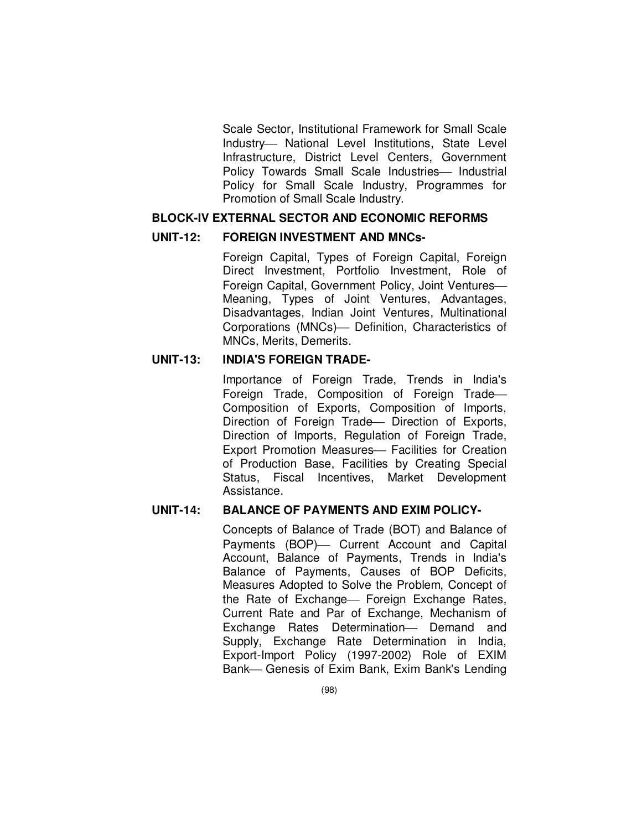Scale Sector, Institutional Framework for Small Scale Industry- National Level Institutions, State Level Infrastructure, District Level Centers, Government Policy Towards Small Scale Industries- Industrial Policy for Small Scale Industry, Programmes for Promotion of Small Scale Industry.

#### **BLOCK-IV EXTERNAL SECTOR AND ECONOMIC REFORMS**

#### **UNIT-12: FOREIGN INVESTMENT AND MNCs-**

Foreign Capital, Types of Foreign Capital, Foreign Direct Investment, Portfolio Investment, Role of Foreign Capital, Government Policy, Joint Ventures Meaning, Types of Joint Ventures, Advantages, Disadvantages, Indian Joint Ventures, Multinational Corporations (MNCs)- Definition, Characteristics of MNCs, Merits, Demerits.

#### **UNIT-13: INDIA'S FOREIGN TRADE-**

Importance of Foreign Trade, Trends in India's Foreign Trade, Composition of Foreign Trade Composition of Exports, Composition of Imports, Direction of Foreign Trade - Direction of Exports, Direction of Imports, Regulation of Foreign Trade, Export Promotion Measures- Facilities for Creation of Production Base, Facilities by Creating Special Status, Fiscal Incentives, Market Development Assistance.

#### **UNIT-14: BALANCE OF PAYMENTS AND EXIM POLICY-**

Concepts of Balance of Trade (BOT) and Balance of Payments (BOP) Current Account and Capital Account, Balance of Payments, Trends in India's Balance of Payments, Causes of BOP Deficits, Measures Adopted to Solve the Problem, Concept of the Rate of Exchange Foreign Exchange Rates, Current Rate and Par of Exchange, Mechanism of Exchange Rates Determination- Demand and Supply, Exchange Rate Determination in India, Export-Import Policy (1997-2002) Role of EXIM Bank- Genesis of Exim Bank, Exim Bank's Lending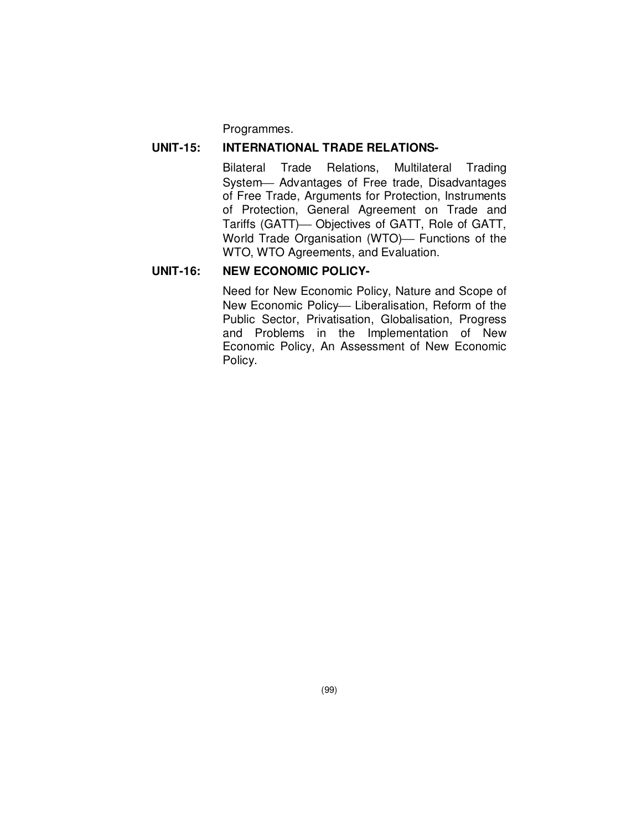Programmes.

#### **UNIT-15: INTERNATIONAL TRADE RELATIONS-**

Bilateral Trade Relations, Multilateral Trading System- Advantages of Free trade, Disadvantages of Free Trade, Arguments for Protection, Instruments of Protection, General Agreement on Trade and Tariffs (GATT) - Objectives of GATT, Role of GATT, World Trade Organisation (WTO) Functions of the WTO, WTO Agreements, and Evaluation.

### **UNIT-16: NEW ECONOMIC POLICY-**

Need for New Economic Policy, Nature and Scope of New Economic Policy-Liberalisation, Reform of the Public Sector, Privatisation, Globalisation, Progress and Problems in the Implementation of New Economic Policy, An Assessment of New Economic Policy.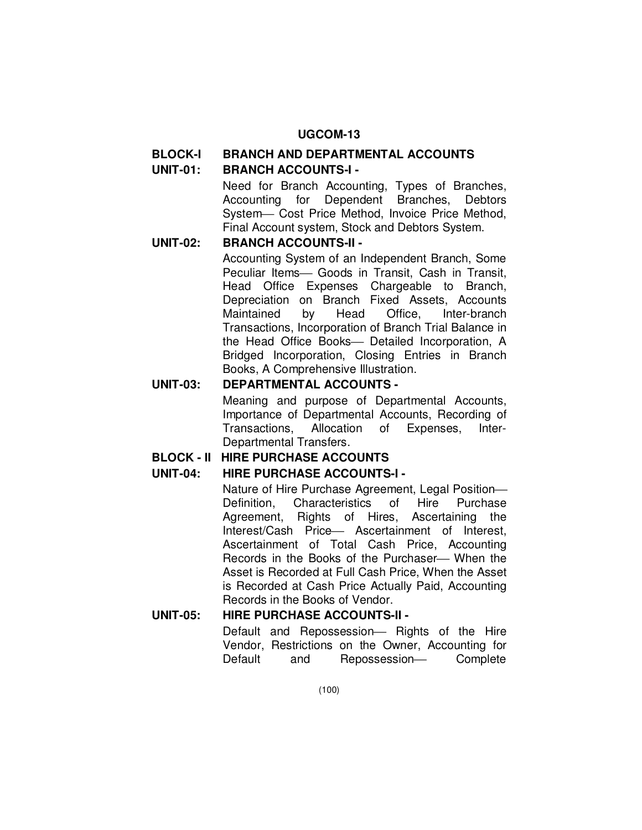# **BLOCK-I BRANCH AND DEPARTMENTAL ACCOUNTS**

# **UNIT-01: BRANCH ACCOUNTS-I -**

Need for Branch Accounting, Types of Branches, Accounting for Dependent Branches, Debtors System- Cost Price Method, Invoice Price Method, Final Account system, Stock and Debtors System.

## **UNIT-02: BRANCH ACCOUNTS-II -**

Accounting System of an Independent Branch, Some Peculiar Items- Goods in Transit, Cash in Transit, Head Office Expenses Chargeable to Branch, Depreciation on Branch Fixed Assets, Accounts Maintained by Head Office, Inter-branch Transactions, Incorporation of Branch Trial Balance in the Head Office Books- Detailed Incorporation, A Bridged Incorporation, Closing Entries in Branch Books, A Comprehensive Illustration.

## **UNIT-03: DEPARTMENTAL ACCOUNTS -**

Meaning and purpose of Departmental Accounts, Importance of Departmental Accounts, Recording of Transactions, Allocation of Expenses, Inter-Departmental Transfers.

## **BLOCK - II HIRE PURCHASE ACCOUNTS**

## **UNIT-04: HIRE PURCHASE ACCOUNTS-I -**

Nature of Hire Purchase Agreement, Legal Position Definition, Characteristics of Hire Purchase Agreement, Rights of Hires, Ascertaining the Interest/Cash Price- Ascertainment of Interest, Ascertainment of Total Cash Price, Accounting Records in the Books of the Purchaser— When the Asset is Recorded at Full Cash Price, When the Asset is Recorded at Cash Price Actually Paid, Accounting Records in the Books of Vendor.

## **UNIT-05: HIRE PURCHASE ACCOUNTS-II -**

Default and Repossession- Rights of the Hire Vendor, Restrictions on the Owner, Accounting for Default and Repossession- Complete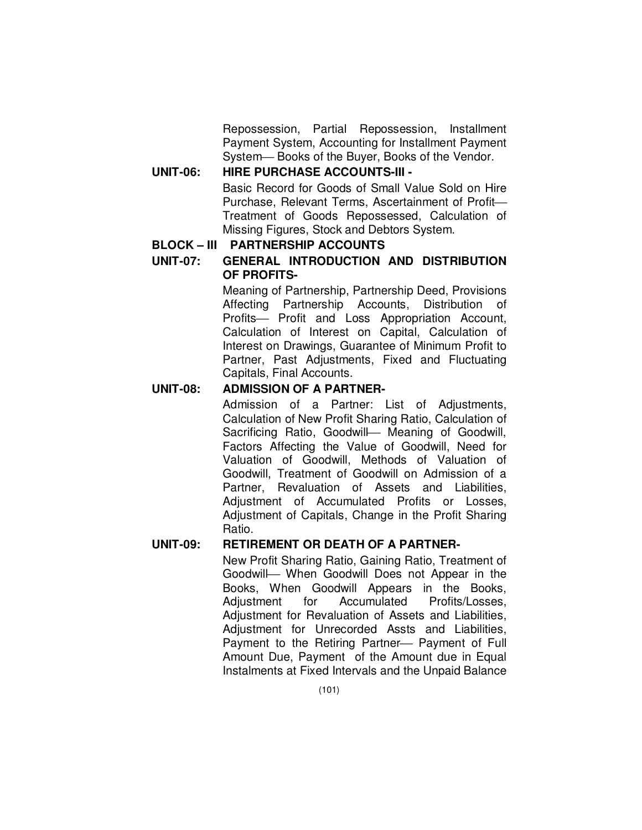Repossession, Partial Repossession, Installment Payment System, Accounting for Installment Payment System-Books of the Buyer, Books of the Vendor.

## **UNIT-06: HIRE PURCHASE ACCOUNTS-III -**

Basic Record for Goods of Small Value Sold on Hire Purchase, Relevant Terms, Ascertainment of Profit Treatment of Goods Repossessed, Calculation of Missing Figures, Stock and Debtors System.

## **BLOCK – III PARTNERSHIP ACCOUNTS**

**UNIT-07: GENERAL INTRODUCTION AND DISTRIBUTION OF PROFITS-**

> Meaning of Partnership, Partnership Deed, Provisions Affecting Partnership Accounts, Distribution of Profits- Profit and Loss Appropriation Account, Calculation of Interest on Capital, Calculation of Interest on Drawings, Guarantee of Minimum Profit to Partner, Past Adjustments, Fixed and Fluctuating Capitals, Final Accounts.

## **UNIT-08: ADMISSION OF A PARTNER-**

Admission of a Partner: List of Adjustments, Calculation of New Profit Sharing Ratio, Calculation of Sacrificing Ratio, Goodwill- Meaning of Goodwill, Factors Affecting the Value of Goodwill, Need for Valuation of Goodwill, Methods of Valuation of Goodwill, Treatment of Goodwill on Admission of a Partner, Revaluation of Assets and Liabilities, Adjustment of Accumulated Profits or Losses, Adjustment of Capitals, Change in the Profit Sharing Ratio.

## **UNIT-09: RETIREMENT OR DEATH OF A PARTNER-**

New Profit Sharing Ratio, Gaining Ratio, Treatment of Goodwill When Goodwill Does not Appear in the Books, When Goodwill Appears in the Books, Adjustment for Accumulated Profits/Losses, Adjustment for Revaluation of Assets and Liabilities, Adjustment for Unrecorded Assts and Liabilities, Payment to the Retiring Partner – Payment of Full Amount Due, Payment of the Amount due in Equal Instalments at Fixed Intervals and the Unpaid Balance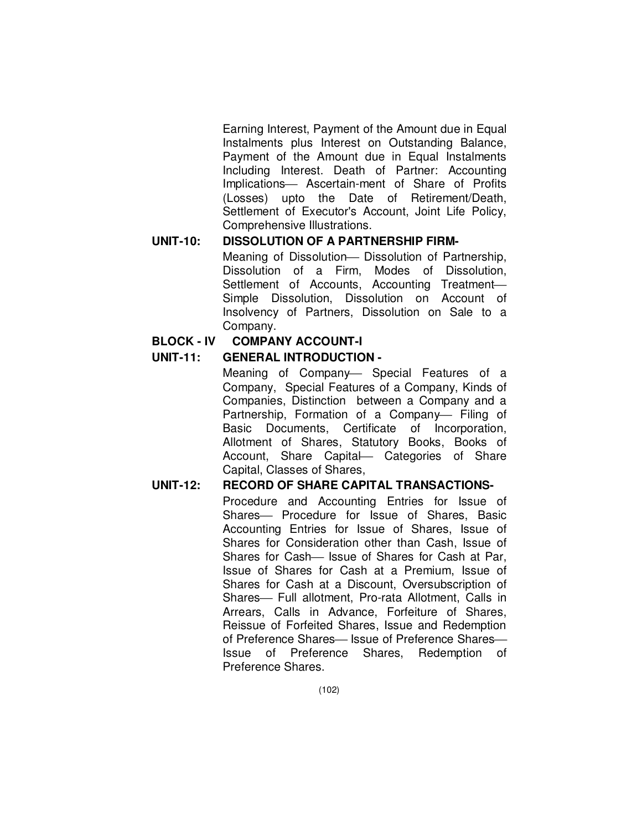Earning Interest, Payment of the Amount due in Equal Instalments plus Interest on Outstanding Balance, Payment of the Amount due in Equal Instalments Including Interest. Death of Partner: Accounting Implications- Ascertain-ment of Share of Profits (Losses) upto the Date of Retirement/Death, Settlement of Executor's Account, Joint Life Policy, Comprehensive Illustrations.

## **UNIT-10: DISSOLUTION OF A PARTNERSHIP FIRM-**

Meaning of Dissolution - Dissolution of Partnership. Dissolution of a Firm, Modes of Dissolution, Settlement of Accounts, Accounting Treatment-Simple Dissolution, Dissolution on Account of Insolvency of Partners, Dissolution on Sale to a Company.

## **BLOCK - IV COMPANY ACCOUNT-I**

## **UNIT-11: GENERAL INTRODUCTION -**

Meaning of Company- Special Features of a Company, Special Features of a Company, Kinds of Companies, Distinction between a Company and a Partnership, Formation of a Company- Filing of Basic Documents, Certificate of Incorporation, Allotment of Shares, Statutory Books, Books of Account, Share Capital Categories of Share Capital, Classes of Shares,

## **UNIT-12: RECORD OF SHARE CAPITAL TRANSACTIONS-**

Procedure and Accounting Entries for Issue of Shares- Procedure for Issue of Shares, Basic Accounting Entries for Issue of Shares, Issue of Shares for Consideration other than Cash, Issue of Shares for Cash— Issue of Shares for Cash at Par, Issue of Shares for Cash at a Premium, Issue of Shares for Cash at a Discount, Oversubscription of Shares— Full allotment, Pro-rata Allotment, Calls in Arrears, Calls in Advance, Forfeiture of Shares, Reissue of Forfeited Shares, Issue and Redemption of Preference Shares— Issue of Preference Shares— Issue of Preference Shares, Redemption of Preference Shares.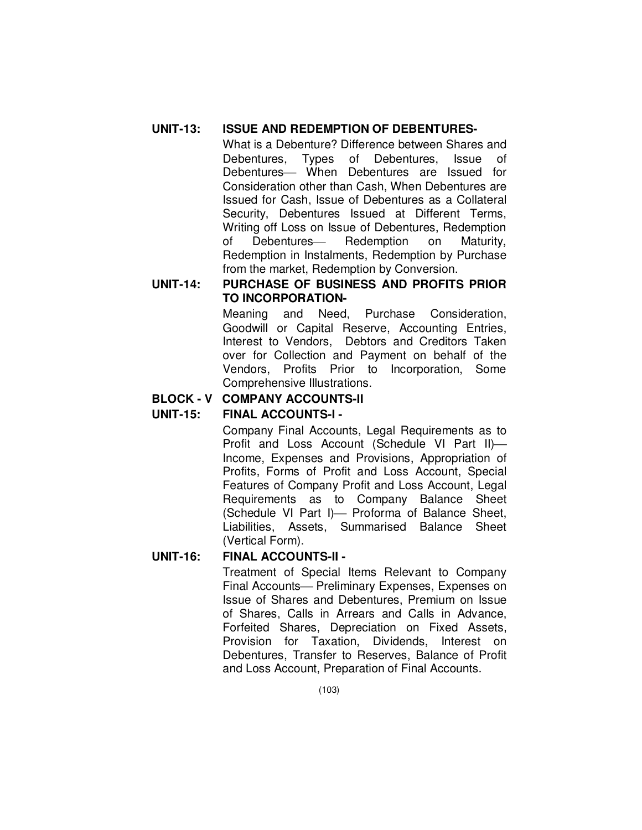## **UNIT-13: ISSUE AND REDEMPTION OF DEBENTURES-**

What is a Debenture? Difference between Shares and Debentures, Types of Debentures, Issue of Debentures- When Debentures are Issued for Consideration other than Cash, When Debentures are Issued for Cash, Issue of Debentures as a Collateral Security, Debentures Issued at Different Terms, Writing off Loss on Issue of Debentures, Redemption of Debentures- Redemption on Maturity, Redemption in Instalments, Redemption by Purchase from the market, Redemption by Conversion.

## **UNIT-14: PURCHASE OF BUSINESS AND PROFITS PRIOR TO INCORPORATION-**

Meaning and Need, Purchase Consideration, Goodwill or Capital Reserve, Accounting Entries, Interest to Vendors, Debtors and Creditors Taken over for Collection and Payment on behalf of the Vendors, Profits Prior to Incorporation, Some Comprehensive Illustrations.

# **BLOCK - V COMPANY ACCOUNTS-II**

## **UNIT-15: FINAL ACCOUNTS-I -**

Company Final Accounts, Legal Requirements as to Profit and Loss Account (Schedule VI Part II) Income, Expenses and Provisions, Appropriation of Profits, Forms of Profit and Loss Account, Special Features of Company Profit and Loss Account, Legal Requirements as to Company Balance Sheet (Schedule VI Part I) - Proforma of Balance Sheet, Liabilities, Assets, Summarised Balance Sheet (Vertical Form).

## **UNIT-16: FINAL ACCOUNTS-II -**

Treatment of Special Items Relevant to Company Final Accounts- Preliminary Expenses, Expenses on Issue of Shares and Debentures, Premium on Issue of Shares, Calls in Arrears and Calls in Advance, Forfeited Shares, Depreciation on Fixed Assets, Provision for Taxation, Dividends, Interest on Debentures, Transfer to Reserves, Balance of Profit and Loss Account, Preparation of Final Accounts.